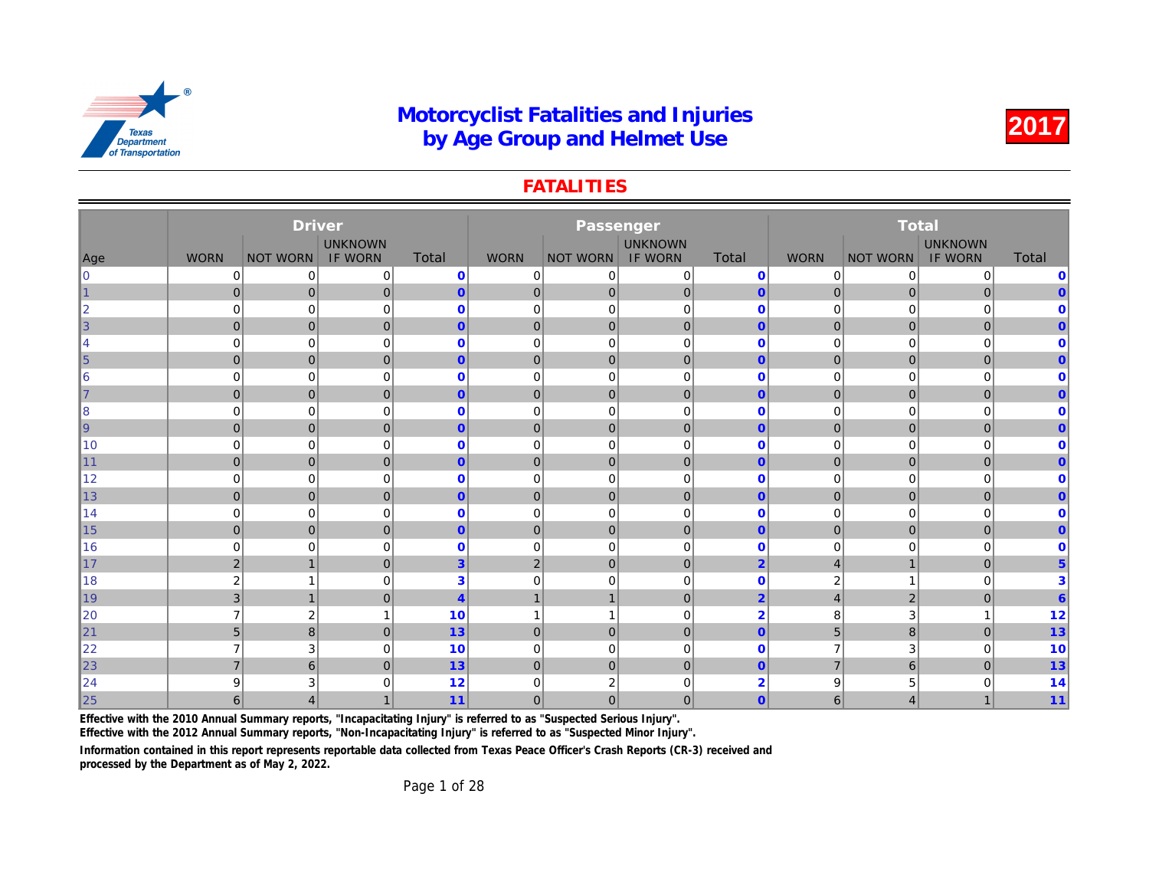#### **FATALITIES**

|                |                | <b>Driver</b>   |                |                |                |                 |                |                |                |              |
|----------------|----------------|-----------------|----------------|----------------|----------------|-----------------|----------------|----------------|----------------|--------------|
|                |                |                 | <b>UNKNOWN</b> |                |                |                 | <b>UNKNOWN</b> |                |                |              |
| Age            | <b>WORN</b>    | <b>NOT WORN</b> | <b>IF WORN</b> | Total          | <b>WORN</b>    | <b>NOT WORN</b> | <b>IF WORN</b> | Total          | <b>WORN</b>    | <b>NOT W</b> |
| $\overline{0}$ | 0              | 0               | 0              | $\bf{0}$       | $\mathbf 0$    | 0               | $\mathbf 0$    | $\mathbf 0$    | 0              |              |
| 1              | $\overline{0}$ | $\mathbf 0$     | $\overline{0}$ | $\overline{0}$ | $\overline{0}$ | 0               | $\overline{0}$ | $\overline{0}$ | $\overline{0}$ |              |
| $\overline{2}$ | $\mathbf 0$    | $\mathbf 0$     | $\mathbf 0$    | $\mathbf 0$    | $\mathbf 0$    | $\mathbf 0$     | $\mathbf 0$    | $\mathbf 0$    | $\mathbf 0$    |              |
| 3              | $\overline{0}$ | $\pmb{0}$       | $\mathbf 0$    | $\overline{0}$ | $\mathbf 0$    | 0               | $\mathbf 0$    | $\mathbf{0}$   | $\mathbf 0$    |              |
| 4              | $\mathbf 0$    | $\mathbf 0$     | 0              | $\mathbf 0$    | $\mathbf 0$    | 0               | $\mathbf 0$    | $\mathbf 0$    | 0              |              |
| 5              | $\overline{0}$ | $\mathbf 0$     | $\mathbf{0}$   | $\overline{0}$ | $\mathbf 0$    | $\mathbf 0$     | $\mathbf 0$    | $\mathbf{0}$   | $\mathbf 0$    |              |
| 6              | $\mathbf 0$    | $\mathbf 0$     | 0              | $\mathbf{0}$   | $\mathbf 0$    | $\mathbf 0$     | $\mathbf 0$    | $\mathbf 0$    | 0              |              |
| 7              | $\overline{0}$ | $\mathbf 0$     | $\mathbf{0}$   | $\overline{0}$ | $\mathbf 0$    | $\mathbf{0}$    | $\mathbf{0}$   | $\mathbf{0}$   | $\mathbf 0$    |              |
| 8              | $\Omega$       | $\mathbf 0$     | 0              | $\mathbf{0}$   | $\mathbf 0$    | $\mathbf 0$     | $\mathbf 0$    | $\mathbf 0$    | 0              |              |
| <u> g</u>      | $\overline{0}$ | $\pmb{0}$       | $\mathbf{0}$   | $\overline{0}$ | $\mathbf 0$    | $\mathbf{0}$    | $\mathbf 0$    | $\mathbf{0}$   | $\mathbf 0$    |              |
| 10             | $\mathbf 0$    | 0               | 0              | $\mathbf 0$    | $\mathbf 0$    | $\mathbf 0$     | $\mathbf 0$    | $\mathbf 0$    | 0              |              |
| 11             | $\overline{0}$ | $\mathbf 0$     | $\mathbf{0}$   | $\overline{0}$ | $\mathbf 0$    | $\mathbf{0}$    | $\mathbf 0$    | $\mathbf{0}$   | $\mathbf 0$    |              |
| 12             | $\Omega$       | 0               | 0              | $\mathbf 0$    | $\mathbf 0$    | $\mathbf 0$     | $\mathbf 0$    | $\mathbf 0$    | 0              |              |
| 13             | $\overline{0}$ | $\mathbf 0$     | $\mathbf{0}$   | $\overline{0}$ | $\mathbf 0$    | $\mathbf{0}$    | $\mathbf{0}$   | $\mathbf{0}$   | $\overline{0}$ |              |
| 14             | $\mathbf 0$    | $\mathbf 0$     | 0              | $\mathbf 0$    | $\overline{0}$ | $\mathbf 0$     | $\mathbf 0$    | $\mathbf 0$    | 0              |              |
| 15             | $\overline{0}$ | $\overline{0}$  | $\mathbf{0}$   | $\overline{0}$ | $\overline{0}$ | $\mathbf{0}$    | $\mathbf{0}$   | $\mathbf{0}$   | $\overline{0}$ |              |
| 16             | $\Omega$       | $\mathbf 0$     | $\mathbf 0$    | $\mathbf 0$    | $\overline{0}$ | $\Omega$        | $\Omega$       | $\Omega$       | $\Omega$       |              |
| 17             | $\overline{2}$ | $\mathbf{1}$    | $\mathbf{0}$   | $\overline{3}$ | $\overline{2}$ | $\mathbf{0}$    | $\mathbf{0}$   | $\overline{2}$ | $\overline{4}$ |              |
| 18             | $\overline{2}$ | 1               | 0              | 3              | $\overline{0}$ | $\Omega$        | $\mathbf 0$    | $\mathbf 0$    | 2              |              |
| 19             | 3              | $\mathbf{1}$    | $\mathbf{0}$   | $\overline{4}$ | $\overline{1}$ | $\overline{1}$  | $\mathbf{0}$   | $\overline{2}$ | $\overline{4}$ |              |
| 20             |                | $\overline{2}$  | 1              | 10             | $\overline{1}$ |                 | $\mathbf 0$    | $\overline{2}$ | 8              |              |
| 21             | 5 <sup>5</sup> | 8               | $\mathbf{0}$   | 13             | $\overline{0}$ | $\mathbf 0$     | $\mathbf{0}$   | $\mathbf{0}$   | 5              |              |
| 22             |                | 3               | $\mathbf 0$    | 10             | $\overline{0}$ | $\mathbf 0$     | $\mathbf 0$    | $\mathbf 0$    | 7              |              |
| 23             | $\overline{7}$ | $\,$ 6 $\,$     | $\mathbf{0}$   | 13             | $\mathbf 0$    | $\overline{0}$  | $\mathbf{0}$   | $\overline{0}$ | $\overline{7}$ |              |
| 24             | 9              | 3               | 0              | 12             | $\mathbf 0$    | $\overline{2}$  | $\Omega$       | $\overline{2}$ | 9              |              |
| 25             | 6              | $\overline{4}$  |                | 11             | $\mathbf 0$    | $\mathbf{0}$    | $\mathbf{0}$   | $\overline{0}$ | 6              |              |

Effective with the 2010 Annual Summary reports, "Incapacitating Injury" is referred to as "Suspected Serious Injury".

Effective with the 2012 Annual Summary reports, "Non-Incapacitating Injury" is referred to as "Suspected Minor Injury".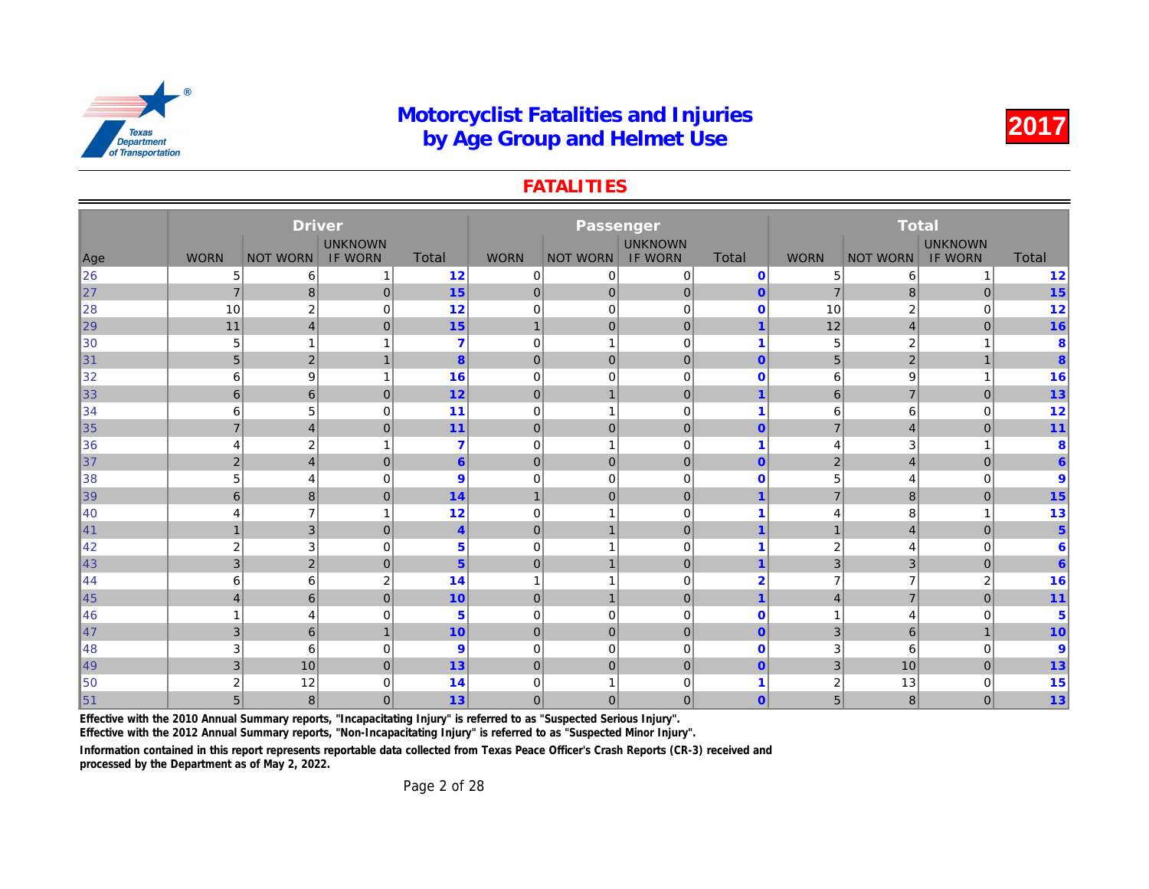#### **FATALITIES**

|     |                | <b>Driver</b>    |                |                |                |                 |                |                         |                |              |
|-----|----------------|------------------|----------------|----------------|----------------|-----------------|----------------|-------------------------|----------------|--------------|
|     |                |                  | <b>UNKNOWN</b> |                |                |                 | <b>UNKNOWN</b> |                         |                |              |
| Age | <b>WORN</b>    | <b>NOT WORN</b>  | <b>IF WORN</b> | Total          | <b>WORN</b>    | <b>NOT WORN</b> | <b>IF WORN</b> | Total                   | <b>WORN</b>    | <b>NOT W</b> |
| 26  | 5              | 6                | -1             | 12             | $\mathbf 0$    | 0               | $\mathbf 0$    | $\mathbf 0$             | 5              |              |
| 27  | $\overline{7}$ | 8                | $\mathbf 0$    | 15             | $\overline{0}$ | 0               | $\mathbf 0$    | $\mathbf{0}$            | $\overline{7}$ |              |
| 28  | 10             | $\boldsymbol{2}$ | $\mathbf 0$    | 12             | $\mathbf 0$    | $\mathbf 0$     | $\mathbf 0$    | $\mathbf 0$             | 10             |              |
| 29  | 11             | $\overline{4}$   | $\mathbf{0}$   | 15             | $\overline{1}$ | $\mathbf{0}$    | $\mathbf 0$    | $\overline{1}$          | 12             |              |
| 30  | 5              | 1                |                | 7              | 0              | $\overline{ }$  | $\mathbf 0$    | 1                       | 5              |              |
| 31  | 5              | $\overline{2}$   | 1              | 8              | $\mathbf 0$    | $\mathbf 0$     | $\mathbf{0}$   | $\mathbf{0}$            | 5              |              |
| 32  | 6              | 9                | 1              | 16             | $\mathbf 0$    | $\mathbf 0$     | $\mathbf 0$    | $\mathbf 0$             | 6              |              |
| 33  | 6              | 6                | $\mathbf{0}$   | 12             | $\mathbf 0$    | 1               | $\mathbf{0}$   | $\overline{1}$          | 6              |              |
| 34  | 6              | 5                | 0              | 11             | $\mathbf 0$    |                 | $\mathbf 0$    | $\overline{\mathbf{1}}$ | 6              |              |
| 35  | $\overline{7}$ | $\overline{4}$   | $\mathbf{0}$   | 11             | $\mathbf 0$    | $\mathbf 0$     | $\mathbf 0$    | $\mathbf{0}$            | $\overline{7}$ |              |
| 36  | 4              | $\boldsymbol{2}$ | 1              | $\overline{7}$ | $\mathbf 0$    | -1              | $\mathbf 0$    | 1                       | 4              |              |
| 37  | $\overline{2}$ | $\overline{4}$   | $\mathbf{0}$   | $6\phantom{1}$ | $\mathbf 0$    | $\mathbf 0$     | $\mathbf{0}$   | $\mathbf{0}$            | $\overline{2}$ |              |
| 38  | 5              | $\overline{4}$   | 0              | $\overline{9}$ | $\mathbf 0$    | $\mathbf 0$     | $\mathbf 0$    | $\mathbf 0$             | 5              |              |
| 39  | 6              | 8                | $\mathbf{0}$   | 14             | $\mathbf{1}$   | $\mathbf{0}$    | $\mathbf 0$    | $\overline{1}$          | $\overline{7}$ |              |
| 40  | 4              | $\overline{7}$   | 1              | 12             | $\mathbf 0$    |                 | $\mathbf 0$    | 1                       | 4              |              |
| 41  | $\mathbf{1}$   | 3                | $\Omega$       | $\overline{4}$ | $\mathbf 0$    | 1               | $\overline{0}$ | $\overline{1}$          | $\mathbf{1}$   |              |
| 42  | $\overline{2}$ | 3                | $\mathbf 0$    | $5\phantom{1}$ | $\overline{0}$ |                 | $\Omega$       | $\overline{\mathbf{1}}$ | 2              |              |
| ∥43 | 3              | $\mathbf 2$      | $\mathbf{0}$   | 5 <sup>5</sup> | $\overline{0}$ | 1               | $\overline{0}$ | $\overline{1}$          | 3              |              |
| 44  | 6              | 6                | $\overline{2}$ | 14             | $\overline{1}$ |                 | $\mathbf 0$    | $\overline{2}$          | 7              |              |
| 45  | $\overline{4}$ | 6                | $\mathbf{0}$   | 10             | $\mathbf 0$    | $\mathbf{1}$    | $\overline{0}$ | $\overline{1}$          | $\overline{4}$ |              |
| 46  |                | $\overline{4}$   | 0              | 5              | $\overline{0}$ | $\mathbf 0$     | $\mathbf 0$    | $\mathbf 0$             | 1              |              |
| ∥47 | 3              | $6\phantom{1}$   | $\mathbf{1}$   | 10             | $\mathbf 0$    | $\mathbf{0}$    | $\overline{0}$ | $\mathbf{0}$            | 3              |              |
| 48  | 3              | 6                | $\mathbf 0$    | 9              | $\mathbf 0$    | $\mathbf 0$     | $\mathbf 0$    | $\mathbf 0$             | 3              |              |
| 49  | 3              | 10               | $\mathbf{0}$   | 13             | $\mathbf{0}$   | $\overline{0}$  | $\mathbf{0}$   | $\overline{0}$          | 3              |              |
| 50  | $\overline{2}$ | 12               | 0              | 14             | 0              |                 | $\Omega$       |                         | 2              |              |
| 51  | 5              | $\bf 8$          | $\overline{0}$ | 13             | $\mathbf 0$    | 0               | $\mathbf 0$    | $\mathbf{0}$            | 5              |              |

Effective with the 2010 Annual Summary reports, "Incapacitating Injury" is referred to as "Suspected Serious Injury".

Effective with the 2012 Annual Summary reports, "Non-Incapacitating Injury" is referred to as "Suspected Minor Injury".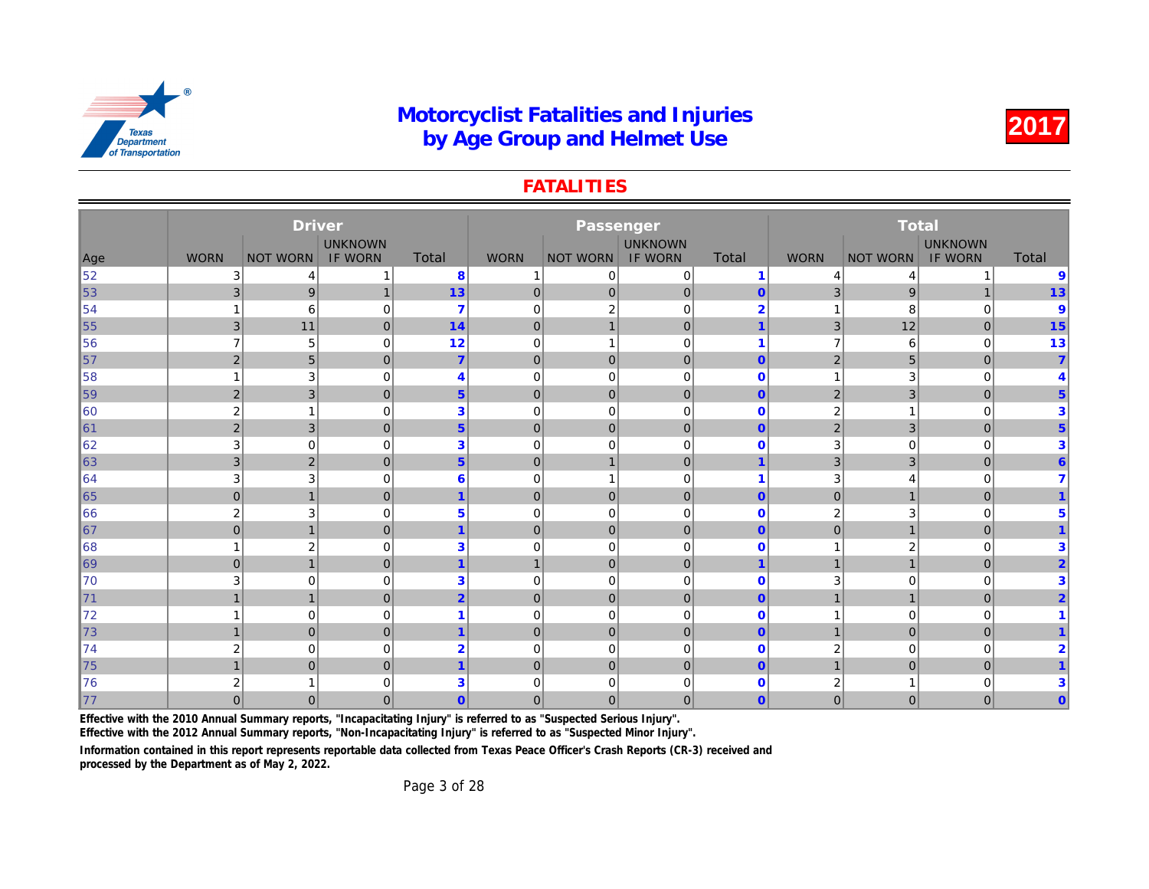#### **FATALITIES**

|     |                | <b>Driver</b>             |                |                         |                |                 |                |                         |                         |              |
|-----|----------------|---------------------------|----------------|-------------------------|----------------|-----------------|----------------|-------------------------|-------------------------|--------------|
|     |                |                           | <b>UNKNOWN</b> |                         |                |                 | <b>UNKNOWN</b> |                         |                         |              |
| Age | <b>WORN</b>    | <b>NOT WORN</b>           | <b>IF WORN</b> | Total                   | <b>WORN</b>    | <b>NOT WORN</b> | <b>IF WORN</b> | Total                   | <b>WORN</b>             | <b>NOT W</b> |
| 52  | 3              | 4                         |                | 8                       | -1             | 0               | $\mathbf 0$    | $\overline{1}$          | 4                       |              |
| 53  | 3 <sup>1</sup> | 9                         | $\mathbf{1}$   | 13                      | $\overline{0}$ | $\mathbf 0$     | $\pmb{0}$      | $\mathbf{0}$            | 3                       |              |
| 54  | 1              | 6                         | $\mathbf 0$    | $\overline{7}$          | $\mathbf 0$    | $\overline{2}$  | $\mathbf 0$    | $\overline{2}$          | 1                       |              |
| 55  | $\mathbf{3}$   | 11                        | $\mathbf{0}$   | 14                      | $\overline{0}$ | $\mathbf 1$     | $\mathbf{0}$   | $\overline{1}$          | 3                       |              |
| 56  | $\overline{7}$ | 5                         | 0              | 12                      | 0              |                 | $\mathbf 0$    | 1                       | $\overline{7}$          |              |
| 157 | $\overline{2}$ | 5                         | $\mathbf{0}$   | $\overline{7}$          | $\mathbf 0$    | $\mathbf 0$     | $\mathbf{0}$   | $\mathbf{0}$            | $\overline{2}$          |              |
| 58  |                | 3                         | 0              | $\overline{4}$          | $\mathbf 0$    | $\mathbf 0$     | $\mathbf 0$    | $\mathbf 0$             | 1                       |              |
| 59  | 2              | $\mathbf{3}$              | $\mathbf{0}$   | 5 <sup>5</sup>          | $\mathbf 0$    | $\mathbf{0}$    | $\mathbf{0}$   | $\mathbf{0}$            | $\overline{2}$          |              |
| 60  | $\overline{2}$ | $\overline{1}$            | 0              | 3                       | $\mathbf 0$    | $\mathbf 0$     | $\mathbf 0$    | $\mathbf 0$             | 2                       |              |
| ∥61 | $\overline{2}$ | $\ensuremath{\mathsf{3}}$ | $\mathbf{0}$   | 5 <sup>5</sup>          | $\mathbf 0$    | $\mathbf 0$     | $\mathbf 0$    | $\mathbf{0}$            | $\overline{\mathbf{c}}$ |              |
| 62  | 3              | $\mathbf 0$               | 0              | 3                       | $\mathbf 0$    | $\mathbf 0$     | $\mathbf 0$    | $\mathbf 0$             | 3                       |              |
| 63  | 3              | $\overline{2}$            | $\mathbf{0}$   | $5\phantom{.0}$         | $\mathbf 0$    | 1               | $\mathbf{0}$   | $\overline{1}$          | 3                       |              |
| 64  | 3              | 3                         | 0              | $6\phantom{1}6$         | $\mathbf 0$    |                 | $\mathbf 0$    | $\overline{1}$          | 3                       |              |
| 65  | $\overline{0}$ | $\mathbf{1}$              | $\mathbf{0}$   | $\overline{\mathbf{1}}$ | $\overline{0}$ | $\mathbf 0$     | $\mathbf{0}$   | $\mathbf{0}$            | $\mathbf 0$             |              |
| 66  | $\overline{2}$ | 3                         | 0              | $5\phantom{1}$          | $\mathbf 0$    | $\mathbf 0$     | $\mathbf 0$    | $\mathbf 0$             | 2                       |              |
| 67  | $\Omega$       | $\mathbf{1}$              | $\mathbf{0}$   | $\overline{1}$          | $\overline{0}$ | $\mathbf{0}$    | $\overline{0}$ | $\mathbf{0}$            | $\overline{0}$          |              |
| 68  |                | $\boldsymbol{2}$          | $\mathbf 0$    | 3                       | $\mathbf 0$    | $\Omega$        | $\Omega$       | $\Omega$                | 1                       |              |
| 69  | $\overline{0}$ | $\mathbf{1}$              | $\mathbf{0}$   | $\mathbf{1}$            | $\mathbf{1}$   | $\mathbf 0$     | $\overline{0}$ | $\overline{\mathbf{1}}$ | $\mathbf{1}$            |              |
| 70  | 3              | 0                         | $\mathbf 0$    | 3                       | $\mathbf 0$    | $\mathbf 0$     | $\mathbf 0$    | $\mathbf 0$             | 3                       |              |
| 71  | $\mathbf{1}$   | $\mathbf{1}$              | $\mathbf{0}$   | $\overline{2}$          | $\overline{0}$ | $\mathbf{0}$    | $\overline{0}$ | $\mathbf{0}$            | $\mathbf{1}$            |              |
| 72  |                | $\mathbf 0$               | $\mathbf 0$    | $\overline{\mathbf{1}}$ | $\overline{0}$ | $\mathbf 0$     | $\mathbf 0$    | $\mathbf 0$             |                         |              |
| 73  | $\overline{1}$ | $\mathbf 0$               | $\mathbf{0}$   | $\overline{\mathbf{1}}$ | $\overline{0}$ | $\mathbf 0$     | $\overline{0}$ | $\mathbf{0}$            | $\overline{1}$          |              |
| 74  | $\overline{2}$ | $\mathbf 0$               | $\mathbf 0$    | $\overline{2}$          | $\mathbf 0$    | $\mathbf 0$     | $\mathbf 0$    | $\mathbf 0$             | 2                       |              |
| 75  | $\overline{1}$ | $\overline{0}$            | $\overline{0}$ | $\overline{1}$          | $\mathbf{0}$   | $\overline{0}$  | $\mathbf{0}$   | $\overline{0}$          | $\overline{1}$          |              |
| 76  | $\overline{2}$ | 1                         | 0              | 3                       | $\mathbf 0$    | $\Omega$        | $\Omega$       | $\mathbf 0$             | 2                       |              |
| 77  | $\overline{0}$ | $\mathbf 0$               | $\overline{0}$ | $\overline{0}$          | $\mathbf 0$    | 0               | $\mathbf 0$    | $\mathbf{0}$            | $\mathbf 0$             |              |

Effective with the 2010 Annual Summary reports, "Incapacitating Injury" is referred to as "Suspected Serious Injury".

Effective with the 2012 Annual Summary reports, "Non-Incapacitating Injury" is referred to as "Suspected Minor Injury".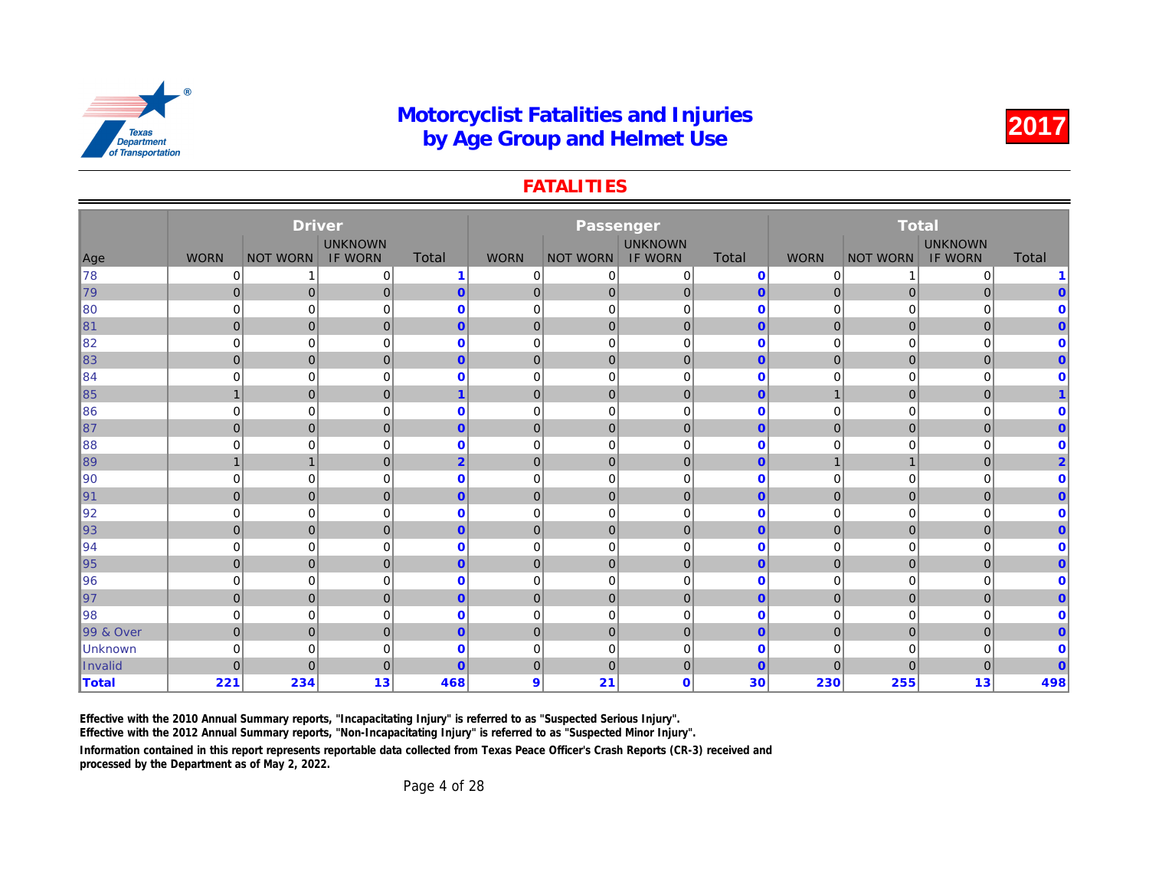#### **FATALITIES**

|                |                | <b>Driver</b>   |                |                |                |                 |                |              |                |              |
|----------------|----------------|-----------------|----------------|----------------|----------------|-----------------|----------------|--------------|----------------|--------------|
|                |                |                 | <b>UNKNOWN</b> |                |                |                 | <b>UNKNOWN</b> |              |                |              |
| Age            | <b>WORN</b>    | <b>NOT WORN</b> | <b>IF WORN</b> | Total          | <b>WORN</b>    | <b>NOT WORN</b> | <b>IF WORN</b> | Total        | <b>WORN</b>    | <b>NOT W</b> |
| 78             | 0              |                 | 0              |                | 0              | 0               | 0              | $\mathbf 0$  | 0              |              |
| 79             | $\mathbf{0}$   | $\mathbf 0$     | $\mathbf{0}$   | $\mathbf{0}$   | $\mathbf 0$    | $\mathbf{0}$    | $\mathbf{0}$   | $\mathbf{0}$ | $\mathbf{0}$   |              |
| 80             | $\Omega$       | 0               | $\mathbf 0$    | $\mathbf{0}$   | $\mathbf 0$    | $\mathbf 0$     | $\mathbf 0$    | $\Omega$     | 0              |              |
| ∥81            | $\overline{0}$ | $\mathbf 0$     | $\mathbf 0$    | $\overline{0}$ | $\mathbf 0$    | $\mathbf 0$     | $\mathbf 0$    | $\mathbf{0}$ | $\mathbf 0$    |              |
| 82             | $\Omega$       | $\mathbf 0$     | 0              | $\mathbf{0}$   | $\mathbf 0$    | $\mathbf 0$     | $\mathbf 0$    | $\mathbf 0$  | 0              |              |
| 83             | $\overline{0}$ | $\mathbf 0$     | $\mathbf{0}$   | $\overline{0}$ | $\overline{0}$ | $\mathbf 0$     | $\overline{0}$ | $\mathbf{0}$ | $\overline{0}$ |              |
| 84             | $\Omega$       | 0               | 0              | $\mathbf{0}$   | 0              | 0               | $\mathbf 0$    | $\mathbf 0$  | 0              |              |
| 85             | $\mathbf{1}$   | $\mathbf 0$     | $\mathbf{0}$   | 1              | $\mathbf 0$    | $\mathbf 0$     | $\mathbf 0$    | $\mathbf{0}$ | $\mathbf{1}$   |              |
| 86             | $\mathbf 0$    | 0               | 0              | $\mathbf 0$    | $\mathbf 0$    | $\mathbf 0$     | $\mathbf 0$    | $\mathbf 0$  | 0              |              |
| ∥87            | $\overline{0}$ | $\mathbf 0$     | $\mathbf{0}$   | $\overline{0}$ | $\mathbf 0$    | $\mathbf{0}$    | $\mathbf{0}$   | $\mathbf{0}$ | $\mathbf 0$    |              |
| 88             | $\Omega$       | 0               | 0              | $\mathbf 0$    | $\mathbf 0$    | $\mathbf 0$     | $\mathbf 0$    | $\mathbf 0$  | 0              |              |
| 89             | $\mathbf{1}$   | $\mathbf{1}$    | $\mathbf{0}$   | $\overline{2}$ | $\overline{0}$ | $\mathbf 0$     | $\overline{0}$ | $\mathbf{0}$ | $\mathbf 1$    |              |
| 90             | $\Omega$       | $\mathbf 0$     | 0              | $\mathbf{0}$   | $\mathbf 0$    | $\mathbf 0$     | $\mathbf 0$    | $\mathbf 0$  | 0              |              |
| ∥91            | $\Omega$       | $\overline{0}$  | $\mathbf{0}$   | $\overline{0}$ | $\mathbf 0$    | $\mathbf{0}$    | $\overline{0}$ | $\mathbf{0}$ | $\overline{0}$ |              |
| 92             | $\Omega$       | 0               | 0              | $\mathbf{0}$   | 0              | $\mathbf 0$     | $\mathbf 0$    | $\mathbf 0$  | 0              |              |
| ∥93            | $\mathbf{0}$   | $\mathbf 0$     | $\mathbf 0$    | $\overline{0}$ | $\mathbf 0$    | $\mathbf 0$     | $\mathbf 0$    | $\mathbf{0}$ | $\mathbf 0$    |              |
| 94             | $\mathbf 0$    | 0               | 0              | $\mathbf 0$    | $\mathbf 0$    | 0               | $\mathbf 0$    | $\mathbf 0$  | 0              |              |
| 95             | $\overline{0}$ | $\overline{0}$  | $\mathbf{0}$   | $\overline{0}$ | $\overline{0}$ | $\mathbf{0}$    | $\overline{0}$ | $\mathbf{0}$ | $\overline{0}$ |              |
| 96             | $\Omega$       | 0               | $\mathbf 0$    | $\mathbf{0}$   | 0              | 0               | $\Omega$       | $\mathbf 0$  | 0              |              |
| 97             | 0              | $\pmb{0}$       | $\mathbf{0}$   | $\overline{0}$ | $\mathbf 0$    | 0               | $\mathbf{0}$   | $\mathbf{0}$ | $\mathbf 0$    |              |
| 98             | $\mathbf 0$    | 0               | 0              | $\mathbf{0}$   | 0              | $\mathbf 0$     | $\mathbf 0$    | $\mathbf 0$  | 0              |              |
| 99 & Over      | $\mathbf{0}$   | $\mathbf 0$     | $\mathbf{0}$   | $\overline{0}$ | $\mathbf 0$    | $\mathbf{0}$    | $\mathbf{0}$   | $\mathbf{0}$ | $\mathbf 0$    |              |
| <b>Unknown</b> | $\Omega$       | 0               | 0              | $\mathbf 0$    | $\mathbf 0$    | $\mathbf 0$     | $\mathbf 0$    | $\mathbf 0$  | 0              |              |
| Invalid        | $\Omega$       | $\mathbf{0}$    | $\mathbf{0}$   | $\mathbf{0}$   | $\overline{0}$ | $\mathbf{0}$    | $\mathbf 0$    | $\mathbf{0}$ | $\overline{0}$ |              |
| <b>Total</b>   | 221            | 234             | 13             | 468            | 9              | 21              | $\mathbf{0}$   | 30           | 230            |              |

Effective with the 2010 Annual Summary reports, "Incapacitating Injury" is referred to as "Suspected Serious Injury".

Effective with the 2012 Annual Summary reports, "Non-Incapacitating Injury" is referred to as "Suspected Minor Injury".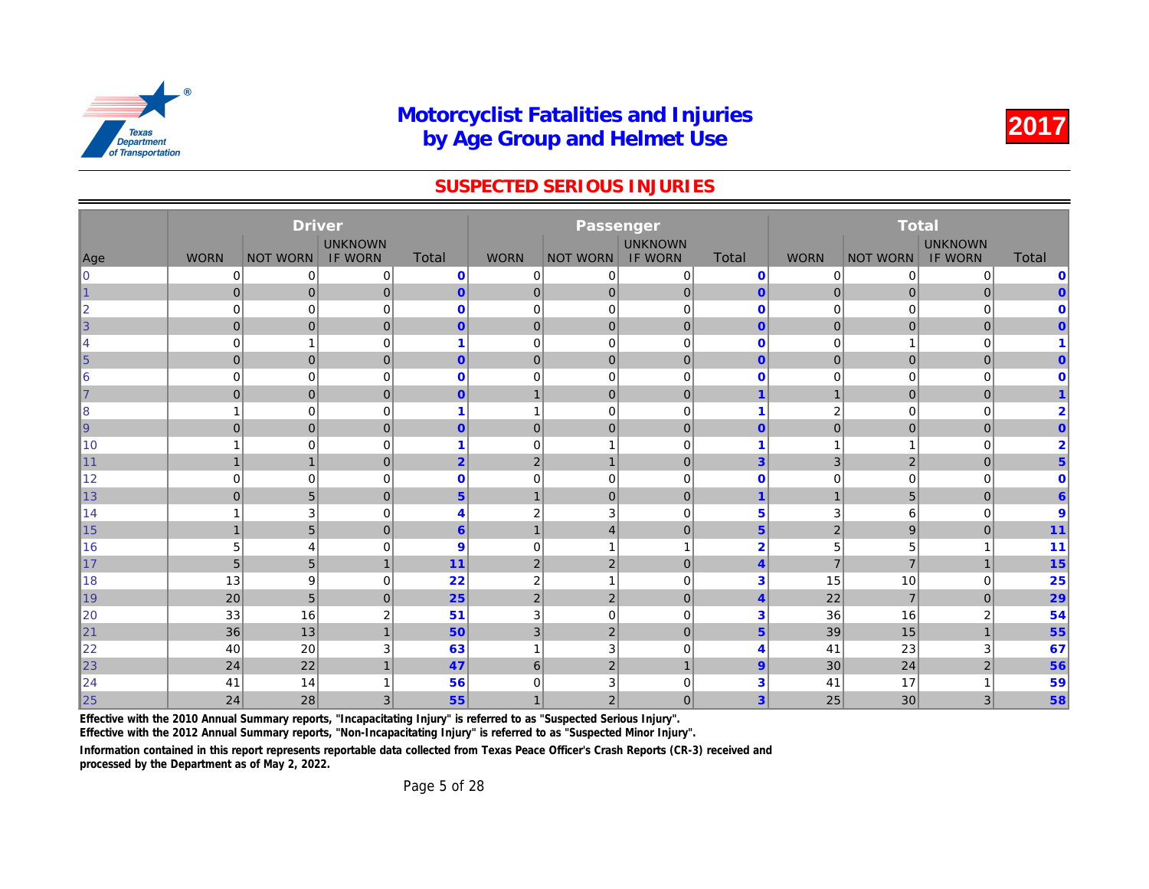#### SUSPECTED SERIOUS INJURIES

|                |                | <b>Driver</b>   |                |                  |                 |                 |                |                 |                |              |
|----------------|----------------|-----------------|----------------|------------------|-----------------|-----------------|----------------|-----------------|----------------|--------------|
|                |                |                 | <b>UNKNOWN</b> |                  |                 |                 | <b>UNKNOWN</b> |                 |                |              |
| Age            | <b>WORN</b>    | <b>NOT WORN</b> | <b>IF WORN</b> | Total            | <b>WORN</b>     | <b>NOT WORN</b> | <b>IF WORN</b> | Total           | <b>WORN</b>    | <b>NOT W</b> |
| $\overline{0}$ | 0              | 0               | 0              | $\mathbf 0$      | $\mathbf 0$     | 0               | $\mathbf 0$    | $\mathbf 0$     | 0              |              |
| 1              | $\overline{0}$ | $\mathbf 0$     | $\overline{0}$ | $\overline{0}$   | $\overline{0}$  | 0               | $\mathbf 0$    | $\overline{0}$  | $\overline{0}$ |              |
| $\overline{2}$ | $\mathbf 0$    | $\mathbf 0$     | $\mathbf 0$    | $\mathbf 0$      | $\mathbf 0$     | $\mathbf 0$     | $\mathbf 0$    | $\mathbf 0$     | $\mathbf 0$    |              |
| 3              | $\overline{0}$ | $\mathbf 0$     | $\mathbf{0}$   | $\overline{0}$   | $\mathbf 0$     | 0               | $\mathbf{0}$   | $\mathbf{0}$    | $\mathbf 0$    |              |
| 4              | $\mathbf 0$    | $\overline{1}$  | 0              | 1                | 0               | $\mathbf 0$     | $\mathbf 0$    | $\mathbf 0$     | 0              |              |
| $\overline{5}$ | $\overline{0}$ | $\mathbf 0$     | $\mathbf{0}$   | $\overline{0}$   | $\mathbf 0$     | $\mathbf{0}$    | $\mathbf{0}$   | $\mathbf{0}$    | $\mathbf 0$    |              |
| 6              | $\mathbf 0$    | 0               | 0              | $\mathbf{0}$     | $\mathbf 0$     | $\mathbf 0$     | $\mathbf 0$    | $\mathbf 0$     | 0              |              |
| 7              | $\overline{0}$ | $\mathbf 0$     | $\mathbf{0}$   | $\overline{0}$   | $\mathbf{1}$    | $\mathbf{0}$    | $\mathbf{0}$   | $\overline{1}$  | $\mathbf{1}$   |              |
| 8              |                | 0               | 0              | 1                | -1              | $\mathbf 0$     | $\mathbf 0$    | 1               | $\overline{2}$ |              |
| 9              | $\overline{0}$ | $\mathbf 0$     | $\mathbf{0}$   | $\overline{0}$   | $\mathbf 0$     | $\mathbf{0}$    | $\mathbf 0$    | $\mathbf{0}$    | $\mathbf 0$    |              |
| 10             |                | 0               | 0              | 1                | $\mathbf 0$     |                 | $\mathbf 0$    | 1               |                |              |
| 11             | $\mathbf{1}$   | $\mathbf{1}$    | $\mathbf{0}$   | $\overline{2}$   | $\overline{2}$  | $\mathbf 1$     | $\mathbf{0}$   | $\overline{3}$  | 3              |              |
| 12             | $\Omega$       | 0               | 0              | $\mathbf 0$      | $\mathbf 0$     | $\mathbf 0$     | $\mathbf 0$    | $\mathbf 0$     | 0              |              |
| 13             | $\overline{0}$ | 5               | $\mathbf{0}$   | 5 <sup>5</sup>   | $\mathbf{1}$    | $\mathbf 0$     | $\mathbf{0}$   | $\overline{1}$  | $\mathbf{1}$   |              |
| 14             |                | 3               | 0              | 4                | $\overline{2}$  | 3               | $\mathbf 0$    | 5               | 3              |              |
| 15             | $\mathbf{1}$   | $\overline{5}$  | $\Omega$       | $6 \overline{6}$ | $\overline{1}$  | $\overline{4}$  | $\mathbf{0}$   | $5\overline{)}$ | $\overline{2}$ |              |
| 16             | 5              | 4               | $\mathbf{0}$   | 9                | $\overline{0}$  |                 | $\mathbf{1}$   | $\overline{2}$  | 5              |              |
| 17             | 5              | 5               | $\mathbf{1}$   | 11               | $\overline{2}$  | 2               | $\overline{0}$ | $\overline{4}$  | $\overline{7}$ |              |
| 18             | 13             | 9               | $\mathbf 0$    | 22               | $\overline{2}$  |                 | $\mathbf 0$    | 3               | 15             |              |
| 19             | 20             | 5               | $\mathbf{0}$   | 25               | $\overline{2}$  | 2               | $\overline{0}$ | $\overline{4}$  | 22             |              |
| 20             | 33             | 16              | $\overline{2}$ | 51               | 3               | $\mathbf 0$     | $\mathbf 0$    | 3               | 36             |              |
| 21             | 36             | 13              | $\overline{A}$ | 50               | 3               | 2               | $\overline{0}$ | $5\phantom{1}$  | 39             |              |
| 22             | 40             | 20              | 3              | 63               | $\overline{1}$  | 3               | $\mathbf 0$    | 4               | 41             |              |
| 23             | 24             | 22              | $\overline{1}$ | 47               | $6\phantom{1}6$ | $\overline{2}$  | $\mathbf{1}$   | 9               | 30             |              |
| 24             | 41             | 14              |                | 56               | 0               | 3               | $\Omega$       | 3               | 41             |              |
| 25             | 24             | 28              | 3              | 55               |                 | $\overline{2}$  | $\mathbf 0$    | $\overline{3}$  | 25             |              |

Effective with the 2010 Annual Summary reports, "Incapacitating Injury" is referred to as "Suspected Serious Injury".

Effective with the 2012 Annual Summary reports, "Non-Incapacitating Injury" is referred to as "Suspected Minor Injury".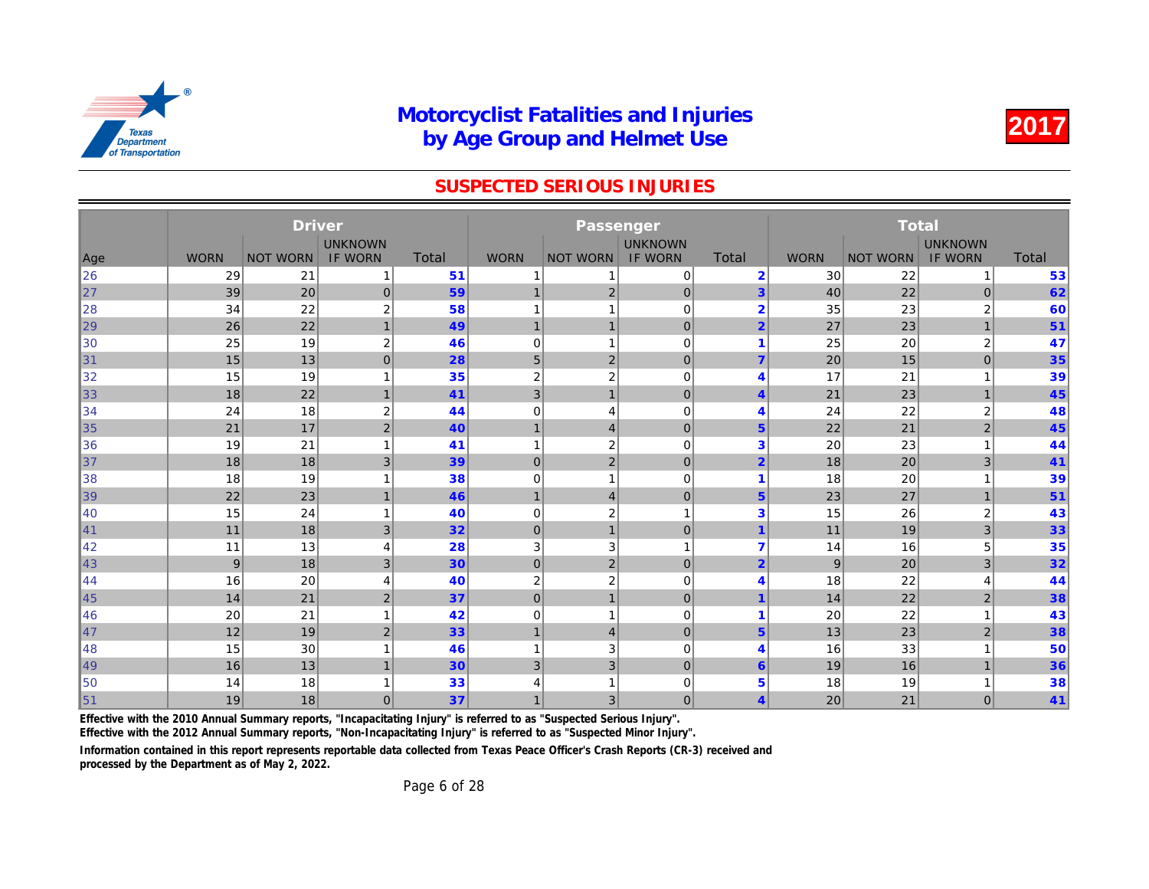#### SUSPECTED SERIOUS INJURIES

|                |             | <b>Driver</b>   |                |              |                         |                         |                |                         |             |              |
|----------------|-------------|-----------------|----------------|--------------|-------------------------|-------------------------|----------------|-------------------------|-------------|--------------|
|                |             |                 | <b>UNKNOWN</b> |              |                         |                         | <b>UNKNOWN</b> |                         |             |              |
| Age            | <b>WORN</b> | <b>NOT WORN</b> | <b>IF WORN</b> | <b>Total</b> | <b>WORN</b>             | <b>NOT WORN</b>         | <b>IF WORN</b> | Total                   | <b>WORN</b> | <b>NOT W</b> |
| 26             | 29          | 21              |                | 51           | 1                       | 1                       | 0              | $\overline{2}$          | 30          |              |
| $\vert$ 27     | 39          | 20              | $\overline{0}$ | 59           | 1                       | $\overline{2}$          | $\mathbf 0$    | 3                       | 40          |              |
| 28             | 34          | 22              | $\overline{2}$ | 58           | 1                       | 1                       | $\mathbf 0$    | $\overline{2}$          | 35          |              |
| 29             | 26          | 22              | $\mathbf{1}$   | 49           | $\mathbf 1$             | $\mathbf{1}$            | $\mathbf{0}$   | $\overline{2}$          | 27          |              |
| $\parallel$ 30 | 25          | 19              | 2              | 46           | 0                       | 1                       | $\mathbf 0$    | 1                       | 25          |              |
| $\vert$ 31     | 15          | 13              | $\overline{0}$ | 28           | 5                       | $\overline{2}$          | $\mathbf{0}$   | $\overline{7}$          | 20          |              |
| 32             | 15          | 19              | -1             | 35           | $\overline{\mathbf{c}}$ | 2                       | $\mathbf 0$    | 4                       | 17          |              |
| $\vert$ 33     | 18          | 22              | $\mathbf{1}$   | 41           | 3                       | $\mathbf{1}$            | $\mathbf 0$    | $\overline{\mathbf{4}}$ | 21          |              |
| 34             | 24          | 18              | 2              | 44           | 0                       | 4                       | 0              | 4                       | 24          |              |
| $\vert$ 35     | 21          | 17              | 2              | 40           | 1                       | 4                       | $\mathbf 0$    | $5\phantom{1}$          | 22          |              |
| 36             | 19          | 21              | $\mathbf{1}$   | 41           | 1                       | 2                       | $\mathbf 0$    | 3                       | 20          |              |
| $\vert$ 37     | 18          | 18              | 3              | 39           | $\mathbf 0$             | $\overline{\mathbf{c}}$ | $\mathbf 0$    | $\overline{2}$          | 18          |              |
| 38             | 18          | 19              |                | 38           | 0                       | 1                       | $\mathbf 0$    |                         | 18          |              |
| $\vert$ 39     | 22          | 23              |                | 46           | $\mathbf 1$             | 4                       | $\mathbf 0$    | $5\phantom{1}$          | 23          |              |
| ∥40            | 15          | 24              |                | 40           | 0                       | 2                       | 1              | 3                       | 15          |              |
| $\vert$ 41     | 11          | 18              | 3              | 32           | $\mathbf{0}$            | $\mathbf{1}$            | $\mathbf 0$    | 1                       | 11          |              |
| 42             | 11          | 13              | 4              | 28           | 3                       | 3                       |                | 7                       | 14          |              |
| $\parallel$ 43 | 9           | 18              | 3              | 30           | $\mathbf{0}$            | $\overline{2}$          | $\mathbf 0$    | $\overline{2}$          | 9           |              |
| ∥44            | 16          | 20              | 4              | 40           | $\overline{2}$          | 2                       | $\mathbf 0$    | 4                       | 18          |              |
| $\parallel$ 45 | 14          | 21              | 2              | 37           | $\mathbf{0}$            | $\mathbf{1}$            | $\mathbf 0$    | $\blacktriangleleft$    | 14          |              |
| ∥46            | 20          | 21              |                | 42           | $\Omega$                | 1                       | $\mathbf 0$    |                         | 20          |              |
| $\vert$ 47     | 12          | 19              | $\overline{2}$ | 33           | $\overline{1}$          | 4                       | $\mathbf 0$    | 5                       | 13          |              |
| ∥48            | 15          | 30              |                | 46           | 1                       | 3                       | $\mathbf 0$    | 4                       | 16          |              |
| ∥49            | 16          | 13              | $\overline{1}$ | 30           | $\overline{3}$          | 3                       | $\mathbf 0$    | 6                       | 19          |              |
| 150            | 14          | 18              |                | 33           | 4                       | 1                       | 0              | 5                       | 18          |              |
| $\vert$ 51     | 19          | 18              | $\overline{0}$ | 37           |                         | 3                       | $\mathbf{0}$   | $\overline{\mathbf{4}}$ | 20          |              |

Effective with the 2010 Annual Summary reports, "Incapacitating Injury" is referred to as "Suspected Serious Injury".

Effective with the 2012 Annual Summary reports, "Non-Incapacitating Injury" is referred to as "Suspected Minor Injury".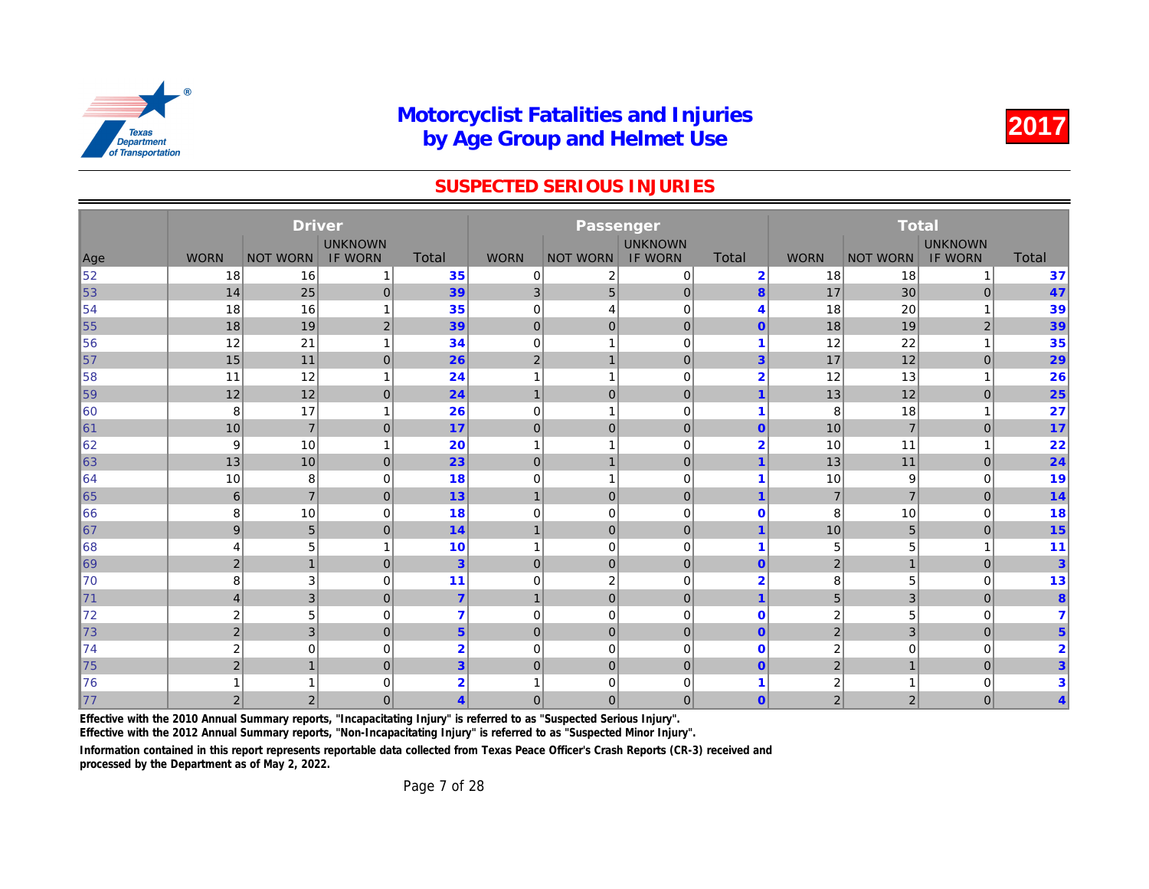#### SUSPECTED SERIOUS INJURIES

|                |                 | <b>Driver</b>   |                |                |                |                 |                |                         |                |              |
|----------------|-----------------|-----------------|----------------|----------------|----------------|-----------------|----------------|-------------------------|----------------|--------------|
|                |                 |                 | <b>UNKNOWN</b> |                |                |                 | <b>UNKNOWN</b> |                         |                |              |
| Age            | <b>WORN</b>     | <b>NOT WORN</b> | <b>IF WORN</b> | <b>Total</b>   | <b>WORN</b>    | <b>NOT WORN</b> | <b>IF WORN</b> | <b>Total</b>            | <b>WORN</b>    | <b>NOT W</b> |
| 52             | 18              | 16              | -1             | 35             | $\mathbf 0$    | $\overline{2}$  | $\mathbf 0$    | $\overline{2}$          | 18             |              |
| 53             | 14              | 25              | $\overline{0}$ | 39             | 3 <sub>l</sub> | 5 <sub>5</sub>  | $\pmb{0}$      | $\overline{\mathbf{8}}$ | 17             |              |
| 54             | 18              | 16              | 1              | 35             | $\mathbf 0$    | $\overline{4}$  | $\mathbf 0$    | 4                       | 18             |              |
| $\vert$ 55     | 18              | 19              | $\overline{2}$ | 39             | $\mathbf 0$    | $\mathbf{0}$    | $\mathbf 0$    | $\mathbf{0}$            | 18             |              |
| 156            | 12              | 21              | 1              | 34             | 0              | 1               | $\mathbf 0$    | $\overline{\mathbf{1}}$ | 12             |              |
| $\vert$ 57     | 15              | 11              | $\overline{0}$ | 26             | $\overline{2}$ | 1               | $\mathbf 0$    | 3                       | 17             |              |
| ∥58            | 11              | 12              | 1              | 24             | -1             | 1               | $\mathbf 0$    | $\overline{2}$          | 12             |              |
| 59             | 12              | 12              | $\overline{0}$ | 24             | $\overline{1}$ | $\mathbf{0}$    | $\mathbf 0$    | 1                       | 13             |              |
| 160            | 8               | 17              | 1              | 26             | $\mathbf 0$    | 1               | $\mathbf 0$    | -1                      | 8              |              |
| $\vert$ 61     | 10              | $\overline{7}$  | $\overline{0}$ | 17             | $\mathbf 0$    | $\mathbf{0}$    | $\mathbf 0$    | $\overline{0}$          | 10             |              |
| 62             | 9               | 10              | -1             | 20             | $\overline{1}$ | 1               | $\mathbf 0$    | $\overline{2}$          | 10             |              |
| 63             | 13              | 10              | $\mathbf 0$    | 23             | $\mathbf 0$    | 1               | $\mathbf 0$    | 1                       | 13             |              |
| 64             | 10              | 8               | $\mathbf 0$    | 18             | 0              | 1               | $\mathbf 0$    | $\overline{\mathbf{1}}$ | 10             |              |
| 65             | $6\phantom{1}6$ | $\overline{7}$  | $\mathbf{0}$   | 13             | $\overline{1}$ | $\mathbf 0$     | $\mathbf 0$    | $\overline{\mathbf{1}}$ | $\overline{7}$ |              |
| 66             | 8               | 10              | 0              | 18             | 0              | $\mathbf 0$     | $\mathbf 0$    | $\mathbf 0$             | 8              |              |
| $\vert$ 67     | 9               | 5               | $\mathbf{0}$   | 14             | $\overline{1}$ | $\mathbf{0}$    | $\overline{0}$ | $\overline{1}$          | 10             |              |
| 168            | $\overline{4}$  | 5               | 1              | 10             | $\overline{1}$ | $\mathbf 0$     | $\mathbf 0$    | $\overline{\mathbf{1}}$ | 5              |              |
| $\ 69\ $       | 2               | $\mathbf{1}$    | $\mathbf{0}$   | 3              | $\mathbf{0}$   | $\mathbf{0}$    | $\mathbf{0}$   | $\overline{0}$          | $\overline{2}$ |              |
| 170            | 8               | 3               | $\mathbf 0$    | 11             | $\mathbf 0$    | $\overline{2}$  | $\mathbf 0$    | $\overline{2}$          | 8              |              |
| $\parallel$ 71 | $\overline{4}$  | 3               | $\mathbf{0}$   | $\overline{7}$ | $\mathbf{1}$   | $\mathbf 0$     | $\mathbf 0$    | $\overline{1}$          | 5              |              |
| 72             | $\overline{2}$  | 5               | $\mathbf 0$    | 7              | $\mathbf 0$    | $\mathbf 0$     | $\mathbf 0$    | $\mathbf 0$             | 2              |              |
| 73             | 2               | 3               | $\mathbf{0}$   | 5 <sup>5</sup> | $\mathbf 0$    | $\mathbf{0}$    | $\mathbf 0$    | $\mathbf{0}$            | $\overline{2}$ |              |
| 74             | $\overline{2}$  | $\mathbf 0$     | $\mathbf 0$    | $\overline{2}$ | $\mathbf 0$    | $\mathbf 0$     | $\mathbf 0$    | $\mathbf 0$             | 2              |              |
| 75             | $\overline{2}$  | $\overline{1}$  | $\mathbf{0}$   | $\overline{3}$ | $\mathbf 0$    | $\mathbf{0}$    | $\mathbf 0$    | $\mathbf{0}$            | $\overline{2}$ |              |
| 176            |                 | -1              | $\mathbf 0$    | $\overline{2}$ |                | 0               | 0              | 1                       | 2              |              |
| 77             | 2 <sup>1</sup>  | $\overline{2}$  | $\overline{0}$ | $\overline{4}$ | $\mathbf 0$    | $\overline{0}$  | $\mathbf{0}$   | $\overline{0}$          | $\overline{2}$ |              |

Effective with the 2010 Annual Summary reports, "Incapacitating Injury" is referred to as "Suspected Serious Injury".

Effective with the 2012 Annual Summary reports, "Non-Incapacitating Injury" is referred to as "Suspected Minor Injury".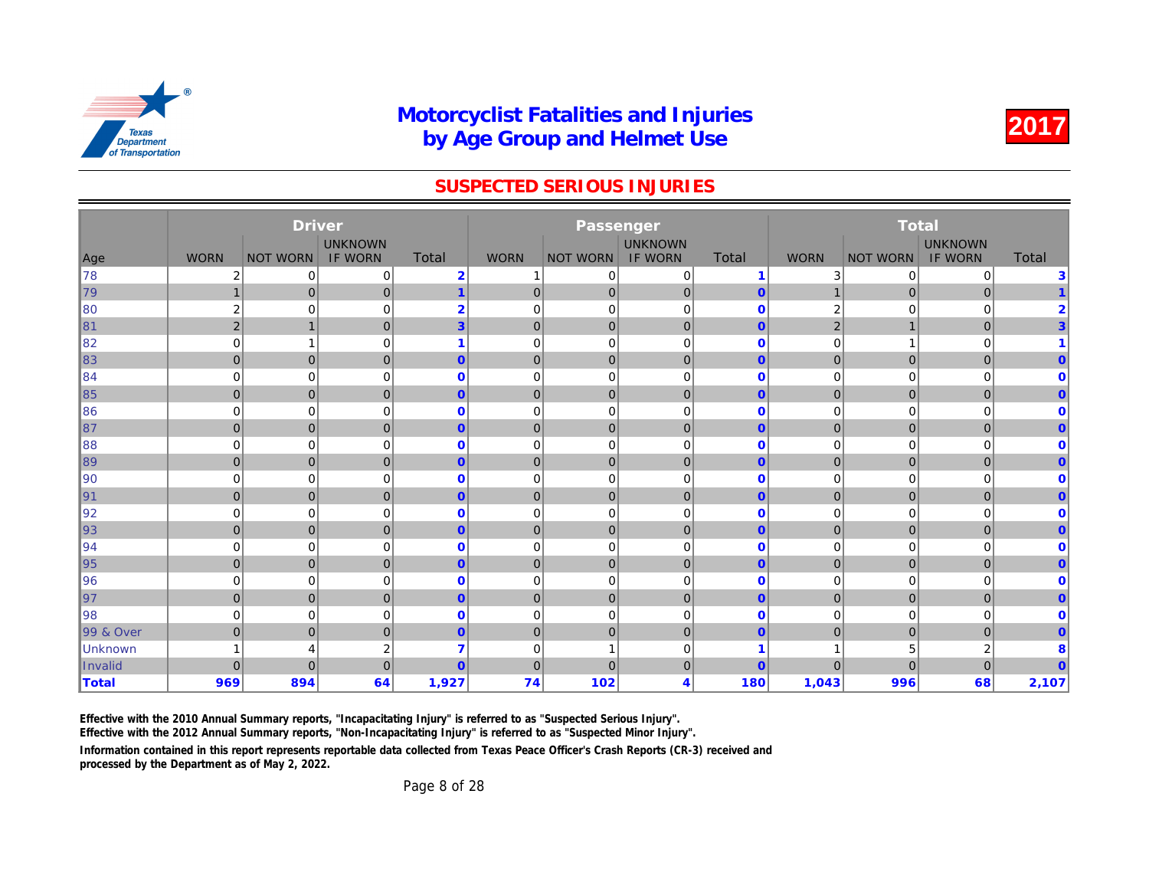#### SUSPECTED SERIOUS INJURIES

|                      |                | <b>Driver</b>   |                |                |                |                 |                         |                |                |              |
|----------------------|----------------|-----------------|----------------|----------------|----------------|-----------------|-------------------------|----------------|----------------|--------------|
|                      |                |                 | <b>UNKNOWN</b> |                |                |                 | <b>UNKNOWN</b>          |                |                |              |
| Age                  | <b>WORN</b>    | <b>NOT WORN</b> | <b>IF WORN</b> | <b>Total</b>   | <b>WORN</b>    | <b>NOT WORN</b> | <b>IF WORN</b>          | Total          | <b>WORN</b>    | <b>NOT W</b> |
| ∥78                  | 2              | $\mathbf 0$     | 0              | $\overline{2}$ | 1              | 0               | 0                       | -1             | 3              |              |
| 79                   | $\mathbf{1}$   | $\mathbf 0$     | 0              | $\overline{1}$ | $\mathbf{0}$   | $\overline{0}$  | $\mathbf 0$             | $\mathbf{0}$   | 1              |              |
| 80                   | $\overline{2}$ | $\mathbf 0$     | 0              | $\overline{2}$ | $\mathbf 0$    | $\mathbf 0$     | $\mathbf 0$             | $\Omega$       | 2              |              |
| 81                   | $2 \nvert$     | $\overline{1}$  | $\mathbf{0}$   | 3              | $\overline{0}$ | $\overline{0}$  | $\mathbf 0$             | $\mathbf{0}$   | $\overline{2}$ |              |
| 82                   | $\mathbf 0$    | 1               | 0              |                | 0              | $\mathbf 0$     | $\mathbf 0$             | $\mathbf 0$    | 0              |              |
| $\parallel$ 83       | $\overline{0}$ | $\mathbf{0}$    | $\mathbf{0}$   | $\overline{0}$ | $\overline{0}$ | $\overline{0}$  | $\mathbf{0}$            | $\mathbf{0}$   | $\overline{0}$ |              |
| ∥84                  | $\mathbf 0$    | $\mathbf 0$     | 0              | $\mathbf 0$    | 0              | $\mathbf 0$     | $\mathbf 0$             | $\mathbf 0$    | 0              |              |
| ∥85                  | $\overline{0}$ | $\mathbf 0$     | $\mathbf{0}$   | $\overline{0}$ | $\mathbf 0$    | $\overline{0}$  | $\mathbf 0$             | $\mathbf{0}$   | $\mathbf 0$    |              |
| 86                   | 0              | $\mathbf 0$     | 0              | $\mathbf 0$    | 0              | 0               | $\mathbf 0$             | $\mathbf 0$    | 0              |              |
| ∥87                  | $\overline{0}$ | $\mathbf 0$     | $\mathbf{0}$   | $\overline{0}$ | $\overline{0}$ | $\overline{0}$  | $\mathbf 0$             | $\mathbf{0}$   | $\mathbf{0}$   |              |
| 88                   | 0              | $\mathbf 0$     | $\mathbf 0$    | $\mathbf 0$    | $\mathbf 0$    | $\mathbf 0$     | $\mathbf 0$             | $\mathbf 0$    | 0              |              |
| ∥89                  | $\overline{0}$ | $\mathbf{0}$    | $\mathbf{0}$   | $\overline{0}$ | $\overline{0}$ | $\overline{0}$  | $\mathbf{0}$            | $\mathbf{0}$   | $\overline{0}$ |              |
| $\parallel$ 90       | $\mathbf 0$    | $\mathbf 0$     | 0              | $\mathbf{0}$   | 0              | $\mathbf 0$     | $\mathbf 0$             | $\mathbf 0$    | 0              |              |
| $\vert$ 91           | $\overline{0}$ | $\mathbf 0$     | $\mathbf{0}$   | $\overline{0}$ | $\mathbf 0$    | $\overline{0}$  | $\mathbf 0$             | $\mathbf{0}$   | $\overline{0}$ |              |
| ∥92                  | 0              | $\mathbf 0$     | 0              | $\mathbf 0$    | 0              | $\mathbf 0$     | $\mathbf 0$             | $\mathbf 0$    | 0              |              |
| 93                   | $\overline{0}$ | $\mathbf 0$     | $\mathbf{0}$   | $\mathbf{0}$   | $\overline{0}$ | $\overline{0}$  | $\mathbf 0$             | $\mathbf{0}$   | $\mathbf 0$    |              |
| ∥94                  | $\mathbf 0$    | $\mathbf 0$     | $\mathbf 0$    | $\bf{0}$       | 0              | $\mathbf 0$     | $\mathbf 0$             | $\mathbf 0$    | 0              |              |
| ∥95                  | $\overline{0}$ | $\mathbf{0}$    | $\mathbf{0}$   | $\overline{0}$ | $\overline{0}$ | $\overline{0}$  | $\mathbf 0$             | $\mathbf{0}$   | $\overline{0}$ |              |
| ∥96                  | $\mathbf 0$    | $\mathbf 0$     | 0              | $\mathbf 0$    | 0              | $\mathbf 0$     | $\mathbf 0$             | $\mathbf 0$    | 0              |              |
| ∥97                  | $\overline{0}$ | $\mathbf 0$     | 0              | $\overline{0}$ | $\mathbf 0$    | $\overline{0}$  | $\mathbf 0$             | $\overline{0}$ | $\mathbf 0$    |              |
| ∥98                  | 0              | $\mathbf 0$     | 0              | $\mathbf 0$    | 0              | $\mathbf 0$     | $\mathbf 0$             | $\mathbf 0$    | 0              |              |
| <b>99 &amp; Over</b> | $\overline{0}$ | $\mathbf 0$     | $\mathbf{0}$   | $\overline{0}$ | $\mathbf{0}$   | $\overline{0}$  | $\mathbf 0$             | $\mathbf{0}$   | $\mathbf 0$    |              |
| Unknown              |                | $\overline{4}$  | 2              | $\overline{7}$ | $\mathbf 0$    |                 | $\mathbf 0$             |                |                |              |
| Invalid              | $\mathbf{0}$   | $\overline{0}$  | $\mathbf{0}$   | $\overline{0}$ | $\overline{0}$ | $\mathbf{0}$    | $\mathbf 0$             | $\overline{0}$ | $\overline{0}$ |              |
| ∥Total               | 969            | 894             | 64             | 1,927          | 74             | 102             | $\overline{\mathbf{4}}$ | 180            | 1,043          |              |

Effective with the 2010 Annual Summary reports, "Incapacitating Injury" is referred to as "Suspected Serious Injury".

Effective with the 2012 Annual Summary reports, "Non-Incapacitating Injury" is referred to as "Suspected Minor Injury".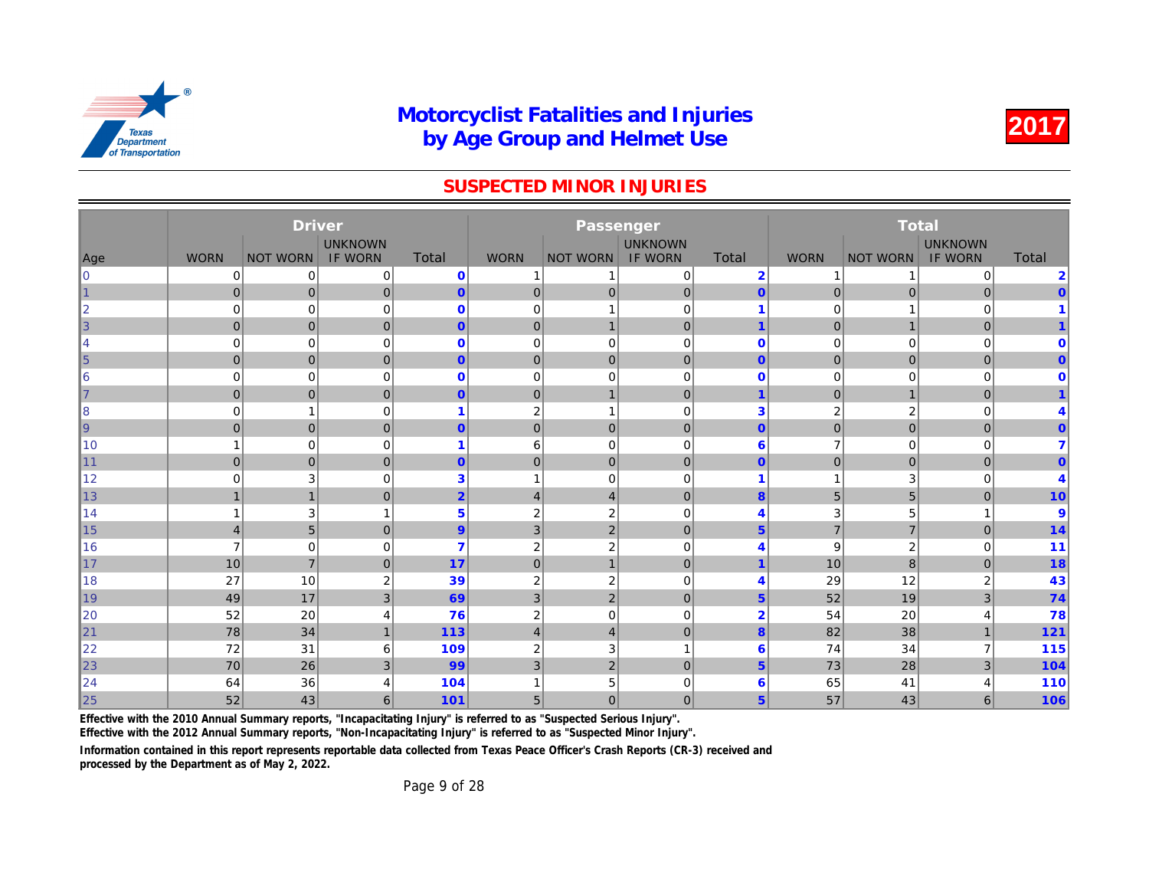#### SUSPECTED MINOR INJURIES

|                |                | <b>Driver</b>   |                |                      |                |                 |                |                 |                |              |
|----------------|----------------|-----------------|----------------|----------------------|----------------|-----------------|----------------|-----------------|----------------|--------------|
|                |                |                 | <b>UNKNOWN</b> |                      |                |                 | <b>UNKNOWN</b> |                 |                |              |
| Age            | <b>WORN</b>    | <b>NOT WORN</b> | <b>IF WORN</b> | Total                | <b>WORN</b>    | <b>NOT WORN</b> | <b>IF WORN</b> | <b>Total</b>    | <b>WORN</b>    | <b>NOT W</b> |
| $\overline{0}$ | 0              | 0               | 0              | $\mathbf 0$          | -1             |                 | 0              | $\overline{2}$  |                |              |
| 1              | $\mathbf{0}$   | $\pmb{0}$       | $\mathbf{0}$   | $\mathbf 0$          | $\mathbf 0$    | $\mathbf{0}$    | $\pmb{0}$      | $\mathbf{0}$    | 0              |              |
| $\overline{2}$ | $\mathbf 0$    | 0               | 0              | $\mathbf 0$          | 0              |                 | $\mathbf 0$    | 1               | 0              |              |
| 3              | $\overline{0}$ | $\mathbf 0$     | $\mathbf{0}$   | $\overline{0}$       | $\mathbf 0$    | $\mathbf{1}$    | $\mathbf{0}$   | $\overline{1}$  | $\mathbf 0$    |              |
| 4              | $\mathbf 0$    | $\mathbf 0$     | $\mathbf 0$    | $\mathbf{0}$         | $\mathbf 0$    | $\mathbf 0$     | $\mathbf 0$    | $\mathbf 0$     | 0              |              |
| 5              | $\overline{0}$ | $\mathbf 0$     | $\mathbf{0}$   | $\overline{0}$       | $\mathbf 0$    | $\mathbf{0}$    | $\mathbf{0}$   | $\mathbf{0}$    | $\mathbf 0$    |              |
| 6              | $\mathbf 0$    | $\mathbf 0$     | $\mathbf 0$    | $\mathbf{0}$         | $\overline{0}$ | $\mathbf 0$     | $\mathbf 0$    | $\mathbf 0$     | 0              |              |
| 7              | $\overline{0}$ | $\mathbf{0}$    | $\mathbf{0}$   | $\overline{0}$       | $\mathbf 0$    | 1               | $\mathbf{0}$   | $\overline{1}$  | $\mathbf 0$    |              |
| 8              | $\Omega$       | 1               | $\mathbf 0$    | $\blacktriangleleft$ | $\overline{2}$ |                 | $\Omega$       | 3               | 2              |              |
| 9              | $\overline{0}$ | $\mathbf{0}$    | $\mathbf{0}$   | $\overline{0}$       | $\overline{0}$ | $\mathbf 0$     | $\overline{0}$ | $\mathbf{0}$    | $\overline{0}$ |              |
| 10             |                | $\mathbf 0$     | $\mathbf 0$    | 1                    | 6              | $\mathbf 0$     | $\mathbf 0$    | $6\phantom{1}6$ | 7              |              |
| 11             | $\overline{0}$ | $\overline{0}$  | $\mathbf{0}$   | $\overline{0}$       | $\overline{0}$ | $\mathbf{0}$    | $\mathbf{0}$   | $\mathbf{0}$    | $\overline{0}$ |              |
| 12             | $\Omega$       | 3               | $\mathbf 0$    | 3                    |                | $\Omega$        | $\Omega$       | 1               |                |              |
| 13             | $\mathbf{1}$   | $\mathbf{1}$    | $\mathbf{0}$   | $\overline{2}$       | $\overline{4}$ | $\overline{4}$  | $\mathbf{0}$   | 8               | 5              |              |
| 14             |                | 3               | 1              | $5\phantom{1}$       | $\overline{2}$ | $\overline{2}$  | $\mathbf 0$    | 4               | 3              |              |
| 15             | $\overline{4}$ | 5               | $\mathbf{0}$   | 9                    | 3              | 2               | $\overline{0}$ | $5\phantom{1}$  | $\overline{7}$ |              |
| 16             | 7              | $\mathbf 0$     | $\mathbf 0$    | $\overline{7}$       | $\overline{2}$ | $\overline{2}$  | $\mathbf 0$    | 4               | 9              |              |
| 17             | 10             | $\overline{7}$  | $\mathbf{0}$   | 17                   | $\overline{0}$ | $\mathbf{1}$    | $\overline{0}$ | $\overline{1}$  | 10             |              |
| 18             | 27             | 10              | $\overline{2}$ | 39                   | $\overline{2}$ | $\overline{2}$  | $\Omega$       | 4               | 29             |              |
| 19             | 49             | 17              | 3              | 69                   | $\mathbf{3}$   | $\sqrt{2}$      | $\mathbf{0}$   | $\overline{5}$  | 52             |              |
| 20             | 52             | 20              | 4              | 76                   | $\overline{2}$ | $\mathbf 0$     | $\Omega$       | $\overline{2}$  | 54             |              |
| 21             | 78             | 34              | $\overline{1}$ | 113                  | $\overline{4}$ | $\overline{4}$  | $\pmb{0}$      | $\overline{8}$  | 82             |              |
| 22             | 72             | 31              | 6              | 109                  | $\overline{2}$ | 3               | 1              | 6               | 74             |              |
| 23             | 70             | 26              | 3              | 99                   | 3              | $\overline{2}$  | $\mathbf{0}$   | $5\phantom{1}$  | 73             |              |
| 24             | 64             | 36              | 4              | 104                  |                | 5               | $\mathbf 0$    | 6               | 65             |              |
| $\ 25$         | 52             | 43              | 6              | 101                  | 5 <sub>5</sub> | $\mathbf{0}$    | $\mathbf{0}$   | 5 <sup>5</sup>  | 57             |              |

Effective with the 2010 Annual Summary reports, "Incapacitating Injury" is referred to as "Suspected Serious Injury".

Effective with the 2012 Annual Summary reports, "Non-Incapacitating Injury" is referred to as "Suspected Minor Injury".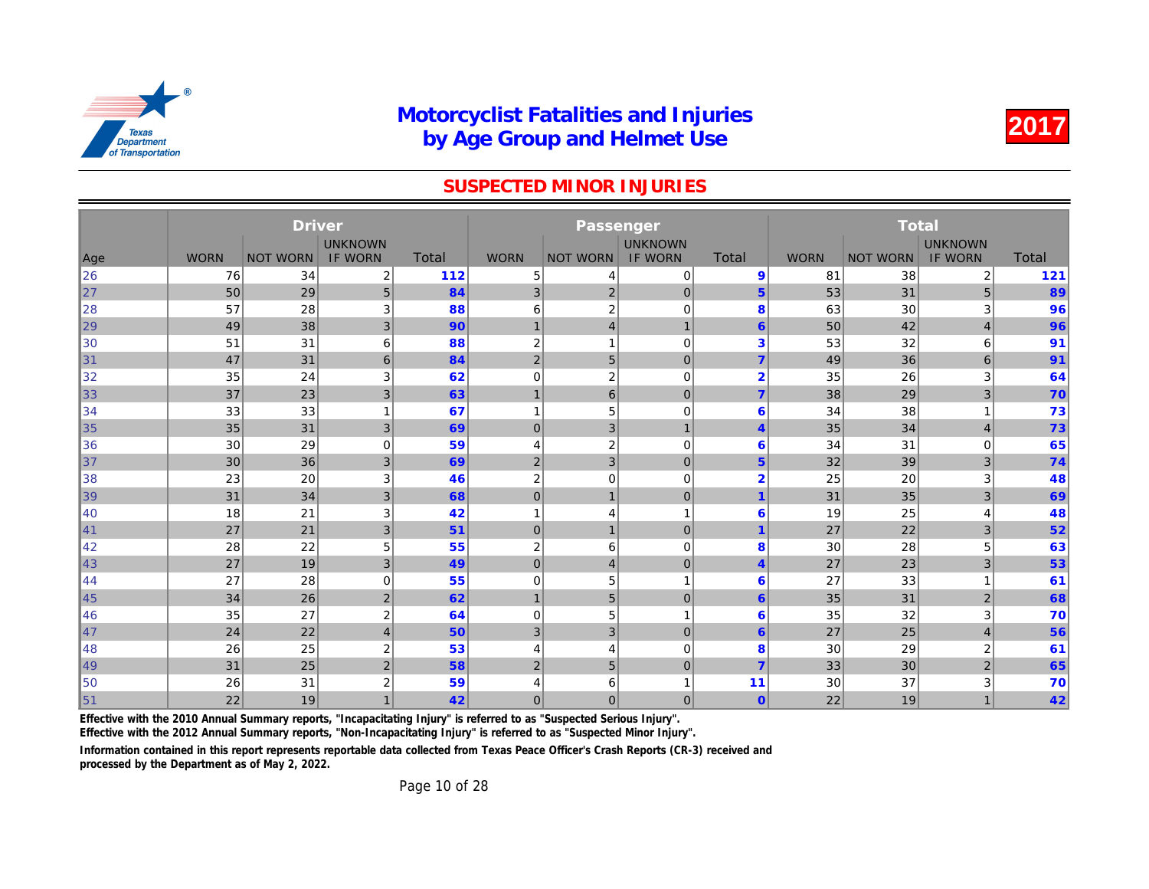#### SUSPECTED MINOR INJURIES

|                |             | <b>Driver</b>   |                  |              |                |                  |                |                         |             |              |
|----------------|-------------|-----------------|------------------|--------------|----------------|------------------|----------------|-------------------------|-------------|--------------|
|                |             |                 | <b>UNKNOWN</b>   |              |                |                  | <b>UNKNOWN</b> |                         |             |              |
| Age            | <b>WORN</b> | <b>NOT WORN</b> | <b>IF WORN</b>   | <b>Total</b> | <b>WORN</b>    | <b>NOT WORN</b>  | <b>IF WORN</b> | Total                   | <b>WORN</b> | <b>NOT W</b> |
| 26             | 76          | 34              | 2                | 112          | 5              | 4                | 0              | 9                       | 81          |              |
| $\vert$ 27     | 50          | 29              | 5 <sub>5</sub>   | 84           | 3              | $\overline{2}$   | $\mathbf 0$    | 5                       | 53          |              |
| ∥28            | 57          | 28              | 3                | 88           | 6              | 2                | $\mathbf 0$    | 8                       | 63          |              |
| 29             | 49          | 38              | 3                | 90           | $\overline{1}$ | $\overline{4}$   | $\overline{1}$ | 6                       | 50          |              |
| 30             | 51          | 31              | 6                | 88           | 2              | 1                | $\mathbf 0$    | 3                       | 53          |              |
| 31             | 47          | 31              | $6 \overline{6}$ | 84           | $\overline{2}$ | 5 <sup>5</sup>   | $\mathbf 0$    | $\overline{7}$          | 49          |              |
| 32             | 35          | 24              | 3                | 62           | 0              | 2                | $\mathbf 0$    | $\overline{2}$          | 35          |              |
| $\vert$ 33     | 37          | 23              | 3                | 63           | $\mathbf 1$    | $6 \overline{6}$ | $\mathbf 0$    | $\overline{7}$          | 38          |              |
| 34             | 33          | 33              | 1                | 67           | 1              | 5                | $\mathbf 0$    | 6                       | 34          |              |
| $\vert$ 35     | 35          | 31              | 3                | 69           | $\mathbf 0$    | 3 <sup>1</sup>   | $\mathbf{1}$   | $\overline{\mathbf{4}}$ | 35          |              |
| 36             | 30          | 29              | $\mathbf 0$      | 59           | 4              | $\overline{c}$   | 0              | 6                       | 34          |              |
| $\vert$ 37     | 30          | 36              | 3                | 69           | 2              | 3                | $\mathbf{0}$   | $5\phantom{1}$          | 32          |              |
| 38             | 23          | 20              | 3                | 46           | 2              | 0                | $\mathbf 0$    | $\overline{2}$          | 25          |              |
| 39             | 31          | 34              | 3                | 68           | $\mathbf 0$    | $\mathbf{1}$     | $\mathbf 0$    | $\overline{\mathbf{1}}$ | 31          |              |
| ∥40            | 18          | 21              | 3                | 42           | 1              | 4                | 1              | 6                       | 19          |              |
| $\vert$ 41     | 27          | 21              | 3                | 51           | $\mathbf{0}$   | $\mathbf{1}$     | $\mathbf 0$    | $\mathbf 1$             | 27          |              |
| 42             | 28          | 22              | 5                | 55           | 2              | 6                | $\mathbf 0$    | 8                       | 30          |              |
| ∥43            | 27          | 19              | 3                | 49           | $\mathbf{0}$   | 4                | $\mathbf 0$    | $\overline{\mathbf{4}}$ | 27          |              |
| ∥44            | 27          | 28              | $\mathbf 0$      | 55           | 0              | 5                | 1              | 6                       | 27          |              |
| 45             | 34          | 26              | $\overline{2}$   | 62           | $\mathbf{1}$   | 5                | $\mathbf{0}$   | 6                       | 35          |              |
| 46             | 35          | 27              | $\overline{2}$   | 64           | 0              | 5                | 1              | 6                       | 35          |              |
| $\parallel$ 47 | 24          | 22              | $\overline{4}$   | 50           | 3              | 3                | $\mathbf 0$    | $6\phantom{1}$          | 27          |              |
| 48             | 26          | 25              | $\overline{2}$   | 53           | 4              | 4                | $\mathbf 0$    | 8                       | 30          |              |
| ∥49            | 31          | 25              | $\overline{c}$   | 58           | $\overline{2}$ | 5                | $\mathbf{0}$   | $\overline{7}$          | 33          |              |
| 150            | 26          | 31              | 2                | 59           | 4              | 6                |                | 11                      | 30          |              |
| $\vert$ 51     | 22          | 19              | $\mathbf{1}$     | 42           | $\overline{0}$ | $\overline{0}$   | $\overline{0}$ | $\mathbf{0}$            | 22          |              |

Effective with the 2010 Annual Summary reports, "Incapacitating Injury" is referred to as "Suspected Serious Injury".

Effective with the 2012 Annual Summary reports, "Non-Incapacitating Injury" is referred to as "Suspected Minor Injury".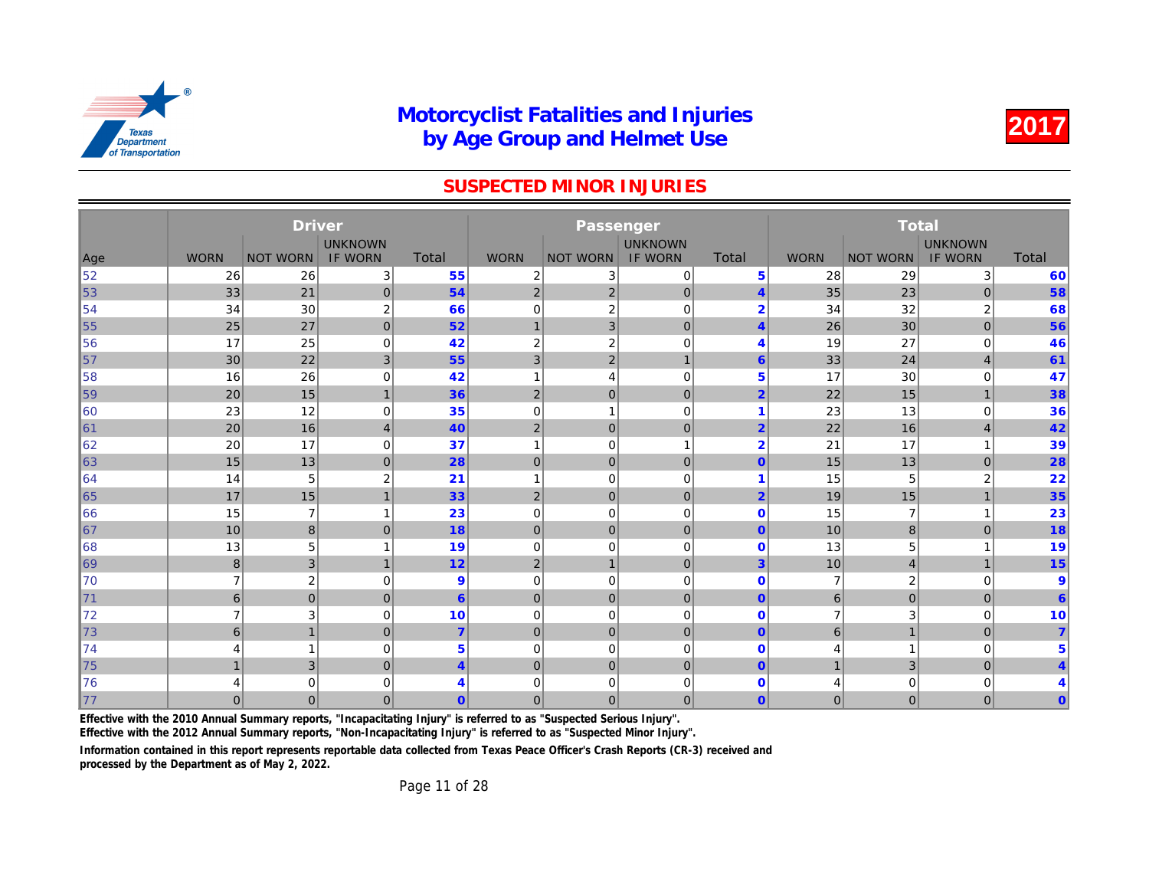#### SUSPECTED MINOR INJURIES

|     |                | <b>Driver</b>   |                  |                         |                |                  |                |                         |                |              |
|-----|----------------|-----------------|------------------|-------------------------|----------------|------------------|----------------|-------------------------|----------------|--------------|
|     |                |                 | <b>UNKNOWN</b>   |                         |                |                  | <b>UNKNOWN</b> |                         |                |              |
| Age | <b>WORN</b>    | <b>NOT WORN</b> | <b>IF WORN</b>   | Total                   | <b>WORN</b>    | <b>NOT WORN</b>  | <b>IF WORN</b> | Total                   | <b>WORN</b>    | <b>NOT W</b> |
| 52  | 26             | 26              | 3                | 55                      | $\overline{2}$ | 3                | $\mathbf 0$    | 5                       | 28             |              |
| 53  | 33             | 21              | $\mathbf{0}$     | 54                      | $\overline{2}$ | 2 <sub>1</sub>   | $\mathbf 0$    | $\overline{4}$          | 35             |              |
| 54  | 34             | 30              | $\boldsymbol{2}$ | 66                      | $\mathbf 0$    | $\boldsymbol{2}$ | $\mathbf 0$    | $\overline{2}$          | 34             |              |
| 55  | 25             | 27              | $\mathbf 0$      | 52                      | $\mathbf{1}$   | 3                | $\mathbf 0$    | $\overline{4}$          | 26             |              |
| 56  | 17             | 25              | 0                | 42                      | $\overline{2}$ | $\overline{2}$   | $\mathbf 0$    | 4                       | 19             |              |
| 57  | 30             | 22              | 3                | 55                      | $\mathbf{3}$   | $\mathbf 2$      | $\mathbf{1}$   | $6\phantom{1}$          | 33             |              |
| 58  | 16             | 26              | 0                | 42                      | $\mathbf{1}$   | 4                | $\mathbf 0$    | 5                       | 17             |              |
| 59  | 20             | 15              | $\mathbf{1}$     | 36                      | $\overline{2}$ | $\mathbf{0}$     | $\mathbf 0$    | $\overline{2}$          | 22             |              |
| 60  | 23             | 12              | 0                | 35                      | $\mathbf 0$    | $\mathbf{1}$     | $\mathbf 0$    | $\overline{\mathbf{1}}$ | 23             |              |
| 161 | 20             | 16              | 4                | 40                      | $\overline{2}$ | $\mathbf{0}$     | $\mathbf{0}$   | $\overline{2}$          | 22             |              |
| 62  | 20             | 17              | 0                | 37                      | $\overline{1}$ | $\mathbf 0$      | $\mathbf{1}$   | $\overline{2}$          | 21             |              |
| 63  | 15             | 13              | $\mathbf{0}$     | 28                      | $\mathbf 0$    | $\mathbf{0}$     | $\mathbf{0}$   | $\mathbf{0}$            | 15             |              |
| 64  | 14             | 5               | $\overline{2}$   | 21                      | -1             | $\mathbf 0$      | $\mathbf 0$    | 1                       | 15             |              |
| 65  | 17             | 15              | $\overline{1}$   | 33                      | $\overline{2}$ | $\mathbf 0$      | $\mathbf 0$    | $\overline{2}$          | 19             |              |
| 66  | 15             | $\overline{7}$  | 1                | 23                      | $\mathbf 0$    | $\mathbf 0$      | $\mathbf 0$    | $\mathbf 0$             | 15             |              |
| 167 | 10             | 8               | $\Omega$         | 18                      | $\mathbf 0$    | $\mathbf{0}$     | $\overline{0}$ | $\mathbf{0}$            | 10             |              |
| 68  | 13             | 5               |                  | 19                      | $\overline{0}$ | $\Omega$         | $\Omega$       | $\mathbf 0$             | 13             |              |
| 69  | 8              | 3               | $\overline{1}$   | 12                      | $\overline{2}$ | $\mathbf{1}$     | $\overline{0}$ | 3                       | 10             |              |
| 70  | 7              | $\overline{2}$  | 0                | 9                       | $\overline{0}$ | $\mathbf 0$      | $\mathbf 0$    | $\mathbf 0$             | $\overline{7}$ |              |
| 71  | $6 \mid$       | $\mathbf 0$     | $\mathbf{0}$     | $6 \overline{6}$        | $\mathbf{0}$   | $\mathbf 0$      | $\overline{0}$ | $\mathbf{0}$            | 6              |              |
| 72  | $\overline{7}$ | 3               | $\mathbf 0$      | 10                      | $\mathbf 0$    | $\mathbf 0$      | $\mathbf 0$    | $\Omega$                | $\overline{7}$ |              |
| 73  | 6              | $\mathbf{1}$    | $\mathbf 0$      | $\overline{7}$          | $\mathbf 0$    | $\mathbf 0$      | $\mathbf 0$    | $\mathbf{0}$            | 6              |              |
| 74  |                | 1               | 0                | 5                       | $\mathbf 0$    | $\mathbf 0$      | $\mathbf 0$    | $\mathbf 0$             | 4              |              |
| 75  |                | $\mathbf{3}$    | $\overline{0}$   | $\overline{\mathbf{4}}$ | $\mathbf 0$    | $\overline{0}$   | $\overline{0}$ | $\mathbf{0}$            | $\overline{1}$ |              |
| 76  | 4              | 0               | 0                | 4                       | 0              | 0                | 0              | $\bf{0}$                | 4              |              |
| 177 | $\Omega$       | $\mathbf{0}$    | $\Omega$         | $\overline{0}$          | $\overline{0}$ | $\mathbf{0}$     | $\mathbf{0}$   | $\overline{0}$          | $\overline{0}$ |              |

Effective with the 2010 Annual Summary reports, "Incapacitating Injury" is referred to as "Suspected Serious Injury".

Effective with the 2012 Annual Summary reports, "Non-Incapacitating Injury" is referred to as "Suspected Minor Injury".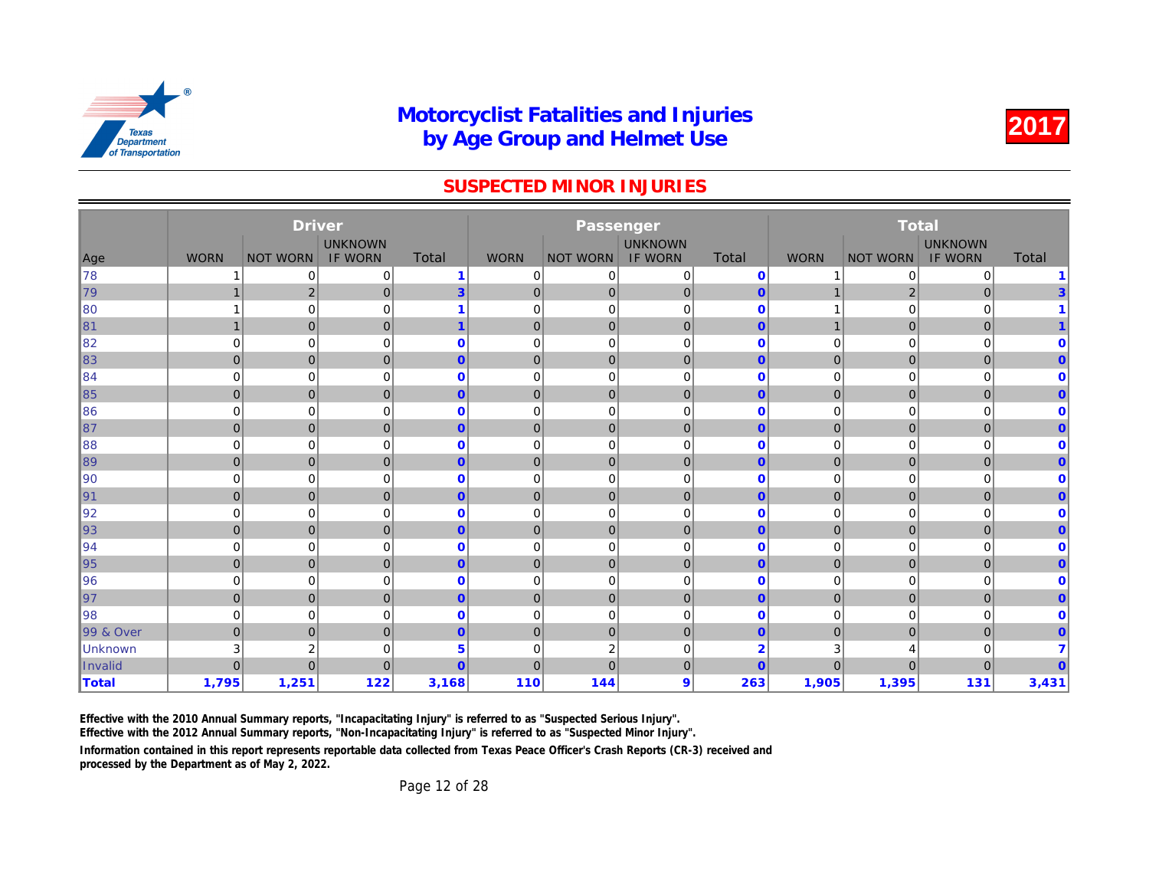#### SUSPECTED MINOR INJURIES

| <b>UNKNOWN</b><br><b>UNKNOWN</b>                                                                                                                                    |              |
|---------------------------------------------------------------------------------------------------------------------------------------------------------------------|--------------|
|                                                                                                                                                                     |              |
| Total<br><b>WORN</b><br><b>IF WORN</b><br>Total<br><b>WORN</b><br><b>IF WORN</b><br><b>WORN</b><br><b>NOT WORN</b><br><b>NOT WORN</b><br>Age                        | <b>NOT W</b> |
| 78<br>0<br>$\mathbf 0$<br>0<br>0<br>0<br>$\mathbf{0}$<br>1                                                                                                          |              |
| 3<br>  79<br>$\overline{2}$<br>$\mathbf 0$<br> 0 <br>$\mathbf 0$<br>$\mathbf{0}$<br>$\mathbf{1}$<br>$\overline{0}$<br>1                                             |              |
| $\mathbf 0$<br>$\mathbf 0$<br>$\mathbf 0$<br>∥80<br>$\Omega$<br>$\mathbf 0$<br>$\mathbf{0}$<br>1                                                                    |              |
| $\mathbf 0$<br>$\mathbf 0$<br>$\mathbf 0$<br>$\ 81$<br>$\overline{0}$<br>$\overline{\mathbf{1}}$<br>$\mathbf{0}$<br>$\mathbf{0}$<br>$\mathbf{1}$<br>$\mathbf{1}$    |              |
| $\mathbf{0}$<br>$\mathbf 0$<br>0<br>∥82<br>0<br>0<br>$\Omega$<br>0<br>0<br>$\mathbf 0$                                                                              |              |
| $\overline{0}$<br>$\vert 0 \vert$<br>$\parallel$ 83<br>$\overline{0}$<br>$\mathbf 0$<br>$\mathbf 0$<br>$\mathbf 0$<br>$\overline{0}$<br>$\mathbf 0$<br>$\mathbf{0}$ |              |
| 0<br>$\mathbf 0$<br>0<br>∥84<br>0<br>$\mathbf 0$<br>$\mathbf 0$<br>$\mathbf 0$<br>0<br>$\bf{0}$                                                                     |              |
| $\overline{0}$<br>85<br>$\overline{0}$<br>$\mathbf 0$<br>$\mathbf 0$<br>$\mathbf 0$<br>$\mathbf 0$<br>$\overline{0}$<br>$\mathbf 0$<br>$\mathbf{0}$                 |              |
| $\mathbf 0$<br>0<br>0<br>$\mathbf 0$<br>0<br>0<br>0<br>86∥<br>$\bf{0}$<br>0                                                                                         |              |
| ∥87<br>$\overline{0}$<br>$\mathbf 0$<br>$\overline{0}$<br>$\overline{0}$<br>$\mathbf 0$<br>$\mathbf 0$<br>$\mathbf 0$<br>$\mathbf 0$<br>$\mathbf{0}$                |              |
| $\mathbf 0$<br>$\mathbf 0$<br>$\mathbf 0$<br>0<br> 88<br>0<br>$\mathbf 0$<br>$\Omega$<br>0<br>$\mathbf 0$                                                           |              |
| $\overline{0}$<br>$\overline{0}$<br>$\overline{0}$<br>∥89<br>$\overline{0}$<br>$\overline{0}$<br>$\mathbf{0}$<br>$\mathbf 0$<br>$\mathbf 0$<br>$\mathbf{0}$         |              |
| 0<br>$\mathbf 0$<br>0<br>$\mathbf 0$<br>$\mathbf 0$<br>0<br>∥90<br>$\Omega$<br>0<br>$\mathbf{0}$                                                                    |              |
| $\overline{0}$<br>$\overline{0}$<br>$\mathbf 0$<br>$\mathbf 0$<br>∥91<br>$\overline{0}$<br>$\mathbf{0}$<br>$\mathbf 0$<br>$\mathbf{0}$<br>$\overline{0}$            |              |
| 0<br>$\mathbf{0}$<br>$\mathbf 0$<br>0<br>∥92<br>$\mathbf 0$<br>$\mathbf 0$<br>0<br>0<br>$\mathbf 0$                                                                 |              |
| $\pmb{0}$<br>$\overline{0}$<br> 93<br>$\mathbf 0$<br>$\overline{0}$<br>$\pmb{0}$<br>$\pmb{0}$<br>$\mathbf 0$<br>$\mathbf 0$<br>$\mathbf{0}$                         |              |
| 0<br>∥94<br>0<br>$\mathbf 0$<br>0<br>$\mathbf 0$<br>$\mathbf 0$<br>$\Omega$<br>0<br>$\mathbf 0$                                                                     |              |
| 95<br>$\overline{0}$<br>$\overline{0}$<br>$\mathbf 0$<br>$\mathbf 0$<br>$\mathbf 0$<br>$\mathbf 0$<br>$\overline{0}$<br>$\mathbf 0$<br>$\mathbf{0}$                 |              |
| 0<br>$\mathbf 0$<br>$\overline{0}$<br>$\mathbf 0$<br>0<br> 96<br>$\mathbf 0$<br>$\mathbf 0$<br>0<br>$\mathbf 0$                                                     |              |
| $\overline{0}$<br>$\pmb{0}$<br>∥97<br>$\overline{0}$<br>$\mathbf 0$<br> 0 <br>$\mathbf 0$<br>$\overline{0}$<br>$\mathbf 0$<br>$\mathbf{0}$                          |              |
| 0<br>0<br>∥98<br>0<br>$\mathbf 0$<br>$\mathbf 0$<br>$\mathbf 0$<br>$\mathbf 0$<br>0<br>$\mathbf 0$                                                                  |              |
| 99 & Over<br>$\overline{0}$<br>$\overline{0}$<br>$\mathbf 0$<br>$\overline{0}$<br>$\mathbf{0}$<br>$\mathbf 0$<br>$\mathbf 0$<br>$\mathbf 0$<br>$\mathbf{0}$         |              |
| 5<br>3<br>3<br>$\overline{2}$<br>$\overline{2}$<br>$\mathbf 0$<br>$\overline{2}$<br><b>Unknown</b><br>$\Omega$<br>0                                                 |              |
| $\overline{0}$<br>$\Omega$<br>$\Omega$<br>$\mathbf{0}$<br>$\mathbf 0$<br>$\overline{0}$<br>Invalid<br>$\Omega$<br>$\Omega$<br>$\mathbf{0}$                          |              |
| 1,795<br>122<br>3,168<br>9<br>263<br>1,251<br>110<br>144<br>1,905<br>Total                                                                                          |              |

Effective with the 2010 Annual Summary reports, "Incapacitating Injury" is referred to as "Suspected Serious Injury".

Effective with the 2012 Annual Summary reports, "Non-Incapacitating Injury" is referred to as "Suspected Minor Injury".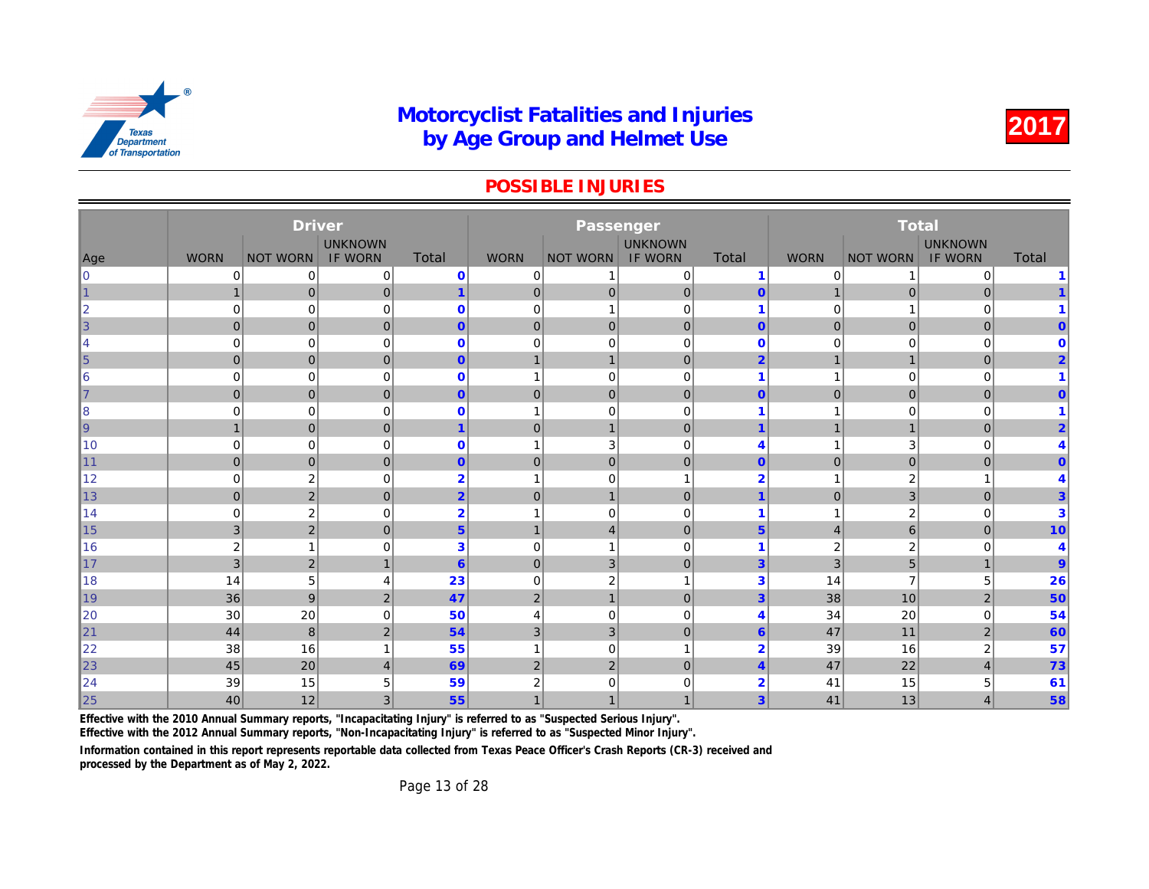#### POSSIBLE INJURIES

|                |                           | <b>Driver</b>   |                |                |                | Passenger       |                |                         |                |              |
|----------------|---------------------------|-----------------|----------------|----------------|----------------|-----------------|----------------|-------------------------|----------------|--------------|
|                |                           |                 | <b>UNKNOWN</b> |                |                |                 | <b>UNKNOWN</b> |                         |                |              |
| Age            | <b>WORN</b>               | <b>NOT WORN</b> | <b>IF WORN</b> | <b>Total</b>   | <b>WORN</b>    | <b>NOT WORN</b> | <b>IF WORN</b> | <b>Total</b>            | <b>WORN</b>    | <b>NOT W</b> |
| 10             | 0                         | 0               | 0              | $\mathbf 0$    | 0              |                 | 0              | $\overline{1}$          | 0              |              |
| $\vert$ 1      |                           | $\mathbf 0$     | $\overline{0}$ | $\mathbf{1}$   | $\mathbf 0$    | $\mathbf 0$     | $\mathbf 0$    | $\mathbf 0$             |                |              |
| 2              | $\mathbf 0$               | $\mathbf 0$     | 0              | $\mathbf 0$    | $\mathbf 0$    | $\mathbf{1}$    | $\mathbf 0$    | $\overline{\mathbf{1}}$ | 0              |              |
| $\vert$ 3      | $\overline{0}$            | $\mathbf 0$     | $\overline{0}$ | $\mathbf{0}$   | $\mathbf 0$    | $\mathbf{0}$    | $\mathbf 0$    | $\overline{0}$          | $\overline{0}$ |              |
| 14             | $\mathbf 0$               | $\mathbf 0$     | $\mathbf 0$    | $\mathbf{0}$   | $\mathbf 0$    | $\mathbf 0$     | $\mathbf 0$    | $\mathbf{0}$            | 0              |              |
| $\vert$ 5      | $\mathbf{0}$              | $\mathbf 0$     | $\overline{0}$ | $\mathbf{0}$   | $\overline{1}$ | $\mathbf 1$     | $\mathbf 0$    | $\overline{2}$          | $\mathbf{1}$   |              |
| 16             | $\mathbf 0$               | $\mathbf 0$     | 0              | $\mathbf 0$    | $\mathbf{1}$   | $\mathbf 0$     | $\mathbf 0$    | $\overline{\mathbf{1}}$ | 1              |              |
| $\vert$ 7      | $\mathbf{0}$              | $\mathbf 0$     | $\overline{0}$ | $\mathbf{0}$   | $\mathbf 0$    | $\mathbf{0}$    | $\mathbf 0$    | $\mathbf{0}$            | $\mathbf{0}$   |              |
| 8              | $\mathbf 0$               | $\mathbf 0$     | $\mathbf 0$    | $\bf{0}$       | $\mathbf 1$    | $\mathbf 0$     | $\mathbf 0$    | -1                      | 1              |              |
| $\vert$ 9      | $\mathbf 1$               | $\mathbf 0$     | $\overline{0}$ | 1              | $\mathbf 0$    | $\mathbf 1$     | $\pmb{0}$      | 1                       | $\mathbf{1}$   |              |
| ∥10            | $\mathbf 0$               | $\mathbf 0$     | 0              | $\bf{0}$       |                | 3               | $\mathbf 0$    | 4                       | 1              |              |
| $\vert$ 11     | $\mathbf 0$               | $\mathbf 0$     | $\overline{0}$ | $\mathbf{0}$   | $\mathbf 0$    | $\mathbf{0}$    | $\pmb{0}$      | $\mathbf{0}$            | $\mathbf 0$    |              |
| ∥12            | $\mathbf 0$               | $\overline{c}$  | $\mathbf 0$    | $\overline{2}$ |                | $\mathbf 0$     | 1              | $\overline{2}$          | 1              |              |
| $\vert$ 13     | $\mathbf 0$               | $\overline{c}$  | $\overline{0}$ | $\overline{2}$ | $\mathbf 0$    | $\mathbf{1}$    | $\pmb{0}$      | 1                       | $\mathbf 0$    |              |
| ∥14            | $\mathbf 0$               | $\overline{c}$  | 0              | $\overline{2}$ |                | $\mathbf 0$     | $\mathbf 0$    | 1                       | 1              |              |
| 15             | $\ensuremath{\mathsf{3}}$ | $\overline{c}$  | $\mathbf{0}$   | $\overline{5}$ | $\overline{1}$ | $\overline{4}$  | $\pmb{0}$      | $5\phantom{1}$          | $\overline{4}$ |              |
| ∥16            | $\overline{2}$            | $\mathbf{1}$    | $\mathbf 0$    | 3              | $\mathbf 0$    | 1               | $\mathbf 0$    | 1                       | 2              |              |
| $\vert$ 17     | 3                         | $\overline{c}$  | 1              | $6\phantom{1}$ | $\mathbf 0$    | 3               | $\pmb{0}$      | 3                       | 3              |              |
| ∥18            | 14                        | 5               | 4              | 23             | $\mathbf 0$    | $\overline{2}$  | $\mathbf{1}$   | 3                       | 14             |              |
| ∥19            | 36                        | 9               | $\overline{2}$ | 47             | 2              | $\mathbf{1}$    | $\mathbf 0$    | 3                       | 38             |              |
| 20             | 30                        | 20              | $\mathbf 0$    | 50             | 4              | $\mathbf 0$     | $\mathbf 0$    | 4                       | 34             |              |
| $\vert$ 21     | 44                        | 8               | 2 <sup>1</sup> | 54             | 3              | $\mathbf{3}$    | $\mathbf 0$    | $6\phantom{1}$          | 47             |              |
| $\mathsf{I}22$ | 38                        | 16              | 1              | 55             | 1              | $\mathbf 0$     | $\mathbf{1}$   | $\overline{2}$          | 39             |              |
| $\vert$ 23     | 45                        | 20              | $\overline{4}$ | 69             | 2              | 2 <sub>1</sub>  | $\overline{0}$ | $\overline{4}$          | 47             |              |
| $\ 24$         | 39                        | 15              | 5              | 59             | $\overline{2}$ | $\mathbf 0$     | $\mathbf 0$    | $\overline{2}$          | 41             |              |
| $\vert$ 25     | 40                        | 12              | 3 <sub>l</sub> | 55             |                | 1               | $\mathbf{1}$   | 3                       | 41             |              |

Effective with the 2010 Annual Summary reports, "Incapacitating Injury" is referred to as "Suspected Serious Injury".

Effective with the 2012 Annual Summary reports, "Non-Incapacitating Injury" is referred to as "Suspected Minor Injury".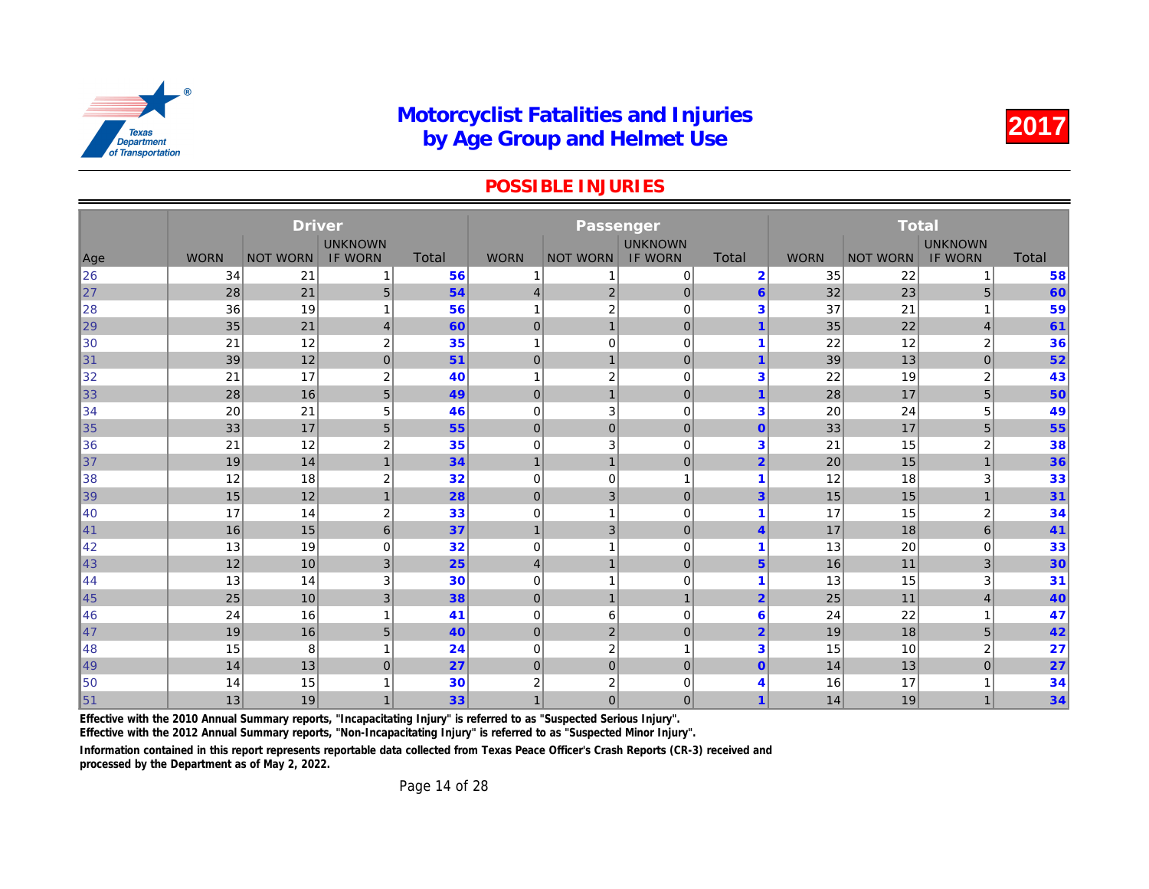#### POSSIBLE INJURIES

|                | <b>Driver</b> |                 |                  |              |                | Passenger        |                |                         |             |              |
|----------------|---------------|-----------------|------------------|--------------|----------------|------------------|----------------|-------------------------|-------------|--------------|
|                |               |                 | <b>UNKNOWN</b>   |              |                |                  | <b>UNKNOWN</b> |                         |             |              |
| Age            | <b>WORN</b>   | <b>NOT WORN</b> | <b>IF WORN</b>   | <b>Total</b> | <b>WORN</b>    | <b>NOT WORN</b>  | <b>IF WORN</b> | Total                   | <b>WORN</b> | <b>NOT W</b> |
| 26             | 34            | 21              |                  | 56           | 1              | 1                | 0              | $\overline{2}$          | 35          |              |
| $\vert$ 27     | 28            | 21              | 5 <sub>5</sub>   | 54           | 4              | $\overline{2}$   | $\mathbf 0$    | $6\phantom{1}6$         | 32          |              |
| 28             | 36            | 19              |                  | 56           | 1              | 2                | $\mathbf 0$    | 3                       | 37          |              |
| 29             | 35            | 21              | $\overline{4}$   | 60           | $\mathbf 0$    | $\mathbf{1}$     | $\mathbf{0}$   | $\overline{\mathbf{1}}$ | 35          |              |
| $\parallel$ 30 | 21            | 12              | 2                | 35           | 1              | 0                | $\mathbf 0$    | 1                       | 22          |              |
| $\vert$ 31     | 39            | 12              | $\overline{0}$   | 51           | $\mathbf{0}$   | $\mathbf{1}$     | $\mathbf{0}$   |                         | 39          |              |
| 32             | 21            | 17              | $\boldsymbol{2}$ | 40           | 1              | $\boldsymbol{2}$ | $\mathbf 0$    | 3                       | 22          |              |
| 33             | 28            | 16              | $5\phantom{.0}$  | 49           | $\mathbf{0}$   | $\mathbf{1}$     | $\pmb{0}$      |                         | 28          |              |
| 34             | 20            | 21              | 5                | 46           | 0              | 3                | 0              | 3                       | 20          |              |
| $\vert$ 35     | 33            | 17              | $\overline{5}$   | 55           | $\mathbf{0}$   | $\mathbf 0$      | $\mathbf 0$    | $\mathbf{0}$            | 33          |              |
| 36             | 21            | 12              | $\overline{2}$   | 35           | 0              | 3                | $\mathbf 0$    | 3                       | 21          |              |
| $\parallel$ 37 | 19            | 14              | $\mathbf{1}$     | 34           | $\mathbf 1$    | $\mathbf{1}$     | $\mathbf 0$    | $\overline{2}$          | 20          |              |
| 38             | 12            | 18              | $\overline{2}$   | 32           | 0              | $\overline{0}$   | 1              |                         | 12          |              |
| $\vert$ 39     | 15            | 12              | $\mathbf 1$      | 28           | $\mathbf{0}$   | 3                | $\mathbf{0}$   | 3                       | 15          |              |
| ∥40            | 17            | 14              | $\overline{2}$   | 33           | $\Omega$       | 1                | $\mathbf 0$    | -1                      | 17          |              |
| $\vert$ 41     | 16            | 15              | $6\phantom{1}$   | 37           | $\mathbf 1$    | 3                | $\mathbf 0$    | $\overline{\mathbf{4}}$ | 17          |              |
| 42             | 13            | 19              | $\mathbf 0$      | 32           | 0              | 1                | $\mathbf 0$    | -1                      | 13          |              |
| $\parallel$ 43 | 12            | 10              | 3                | 25           | 4              | $\mathbf{1}$     | $\mathbf 0$    | 5                       | 16          |              |
| 144            | 13            | 14              | 3                | 30           | 0              | 1                | $\mathbf 0$    |                         | 13          |              |
| 45             | 25            | 10              | 3                | 38           | $\mathbf{0}$   | $\mathbf{1}$     | $\mathbf{1}$   | $\overline{2}$          | 25          |              |
| ∥46            | 24            | 16              |                  | 41           | 0              | 6                | $\mathbf 0$    | 6                       | 24          |              |
| $\vert$ 47     | 19            | 16              | $\overline{5}$   | 40           | $\mathbf 0$    | $\overline{2}$   | $\mathbf{0}$   | $\overline{2}$          | 19          |              |
| ∥48            | 15            | 8               |                  | 24           | 0              | 2                | 1              | 3                       | 15          |              |
| ∥49            | 14            | 13              | $\Omega$         | 27           | $\overline{0}$ | $\overline{0}$   | $\mathbf 0$    | $\mathbf{0}$            | 14          |              |
| 150            | 14            | 15              |                  | 30           | 2              | 2                | $\mathbf 0$    | 4                       | 16          |              |
| $\vert$ 51     | 13            | 19              |                  | 33           | $\overline{1}$ | $\overline{0}$   | $\mathbf 0$    | $\overline{1}$          | 14          |              |

Effective with the 2010 Annual Summary reports, "Incapacitating Injury" is referred to as "Suspected Serious Injury".

Effective with the 2012 Annual Summary reports, "Non-Incapacitating Injury" is referred to as "Suspected Minor Injury".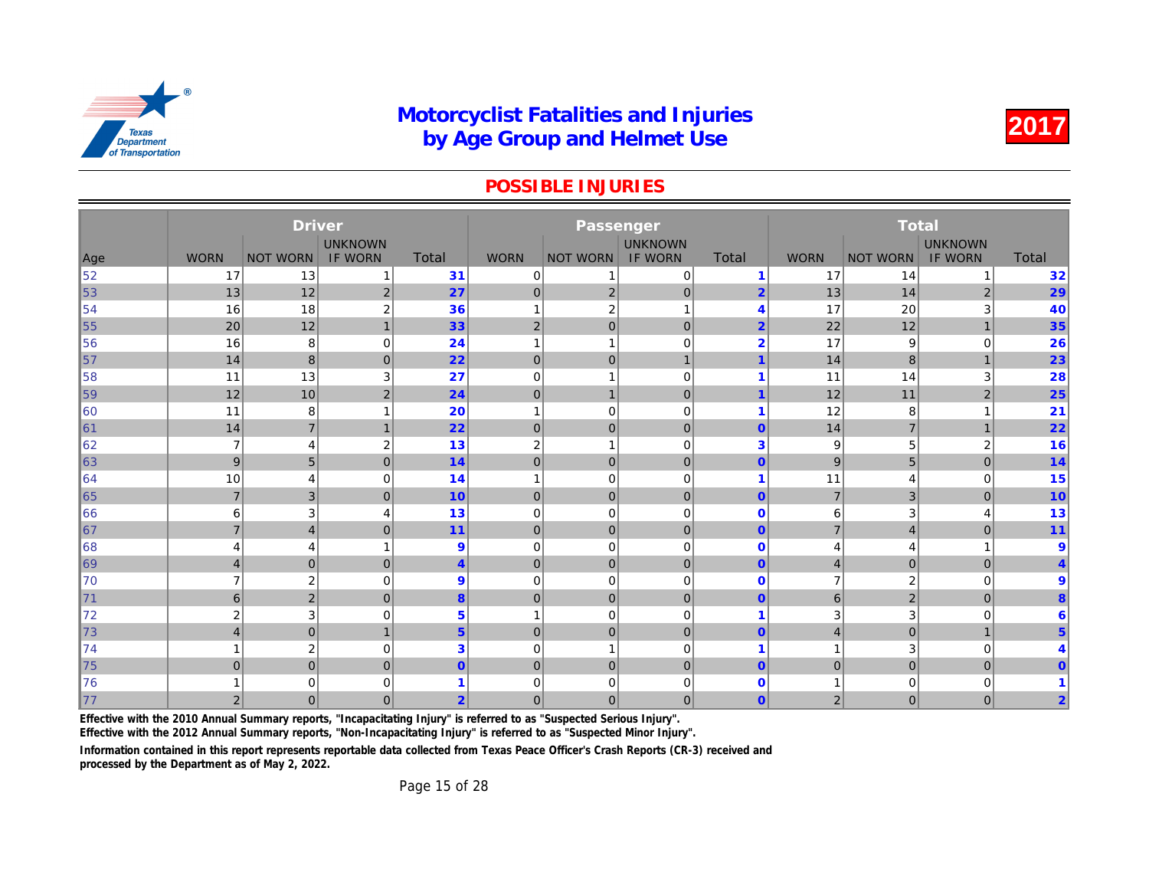#### POSSIBLE INJURIES

|     |                | <b>Driver</b>    |                |                 |                |                  |                |                         |                  |              |
|-----|----------------|------------------|----------------|-----------------|----------------|------------------|----------------|-------------------------|------------------|--------------|
|     |                |                  | <b>UNKNOWN</b> |                 |                |                  | <b>UNKNOWN</b> |                         |                  |              |
| Age | <b>WORN</b>    | <b>NOT WORN</b>  | <b>IF WORN</b> | Total           | <b>WORN</b>    | <b>NOT WORN</b>  | <b>IF WORN</b> | Total                   | <b>WORN</b>      | <b>NOT W</b> |
| 52  | 17             | 13               | 1              | 31              | 0              |                  | 0              | $\overline{1}$          | 17               |              |
| 53  | 13             | 12               | $\overline{2}$ | 27              | $\mathbf 0$    | 2 <sup>2</sup>   | $\mathbf 0$    | $\overline{2}$          | 13               |              |
| 54  | 16             | 18               | $\overline{2}$ | 36              | $\mathbf{1}$   | $\boldsymbol{2}$ | $\mathbf{1}$   | 4                       | 17               |              |
| 55  | 20             | 12               | $\mathbf{1}$   | 33              | $\overline{2}$ | $\mathbf 0$      | $\mathbf 0$    | $\overline{2}$          | 22               |              |
| 56  | 16             | 8                | 0              | 24              | $\overline{1}$ | -1               | $\mathbf 0$    | $\overline{2}$          | 17               |              |
| 57  | 14             | 8                | $\mathbf 0$    | 22              | $\mathbf 0$    | $\mathbf{0}$     | $\mathbf{1}$   | 1                       | 14               |              |
| 58  | 11             | 13               | 3              | 27              | $\mathbf 0$    | -1               | $\mathbf 0$    | $\overline{1}$          | 11               |              |
| 59  | 12             | $10$             | $\sqrt{2}$     | 24              | $\mathbf 0$    | $\mathbf{1}$     | $\mathbf 0$    | 1                       | 12               |              |
| 60  | 11             | 8                | 1              | 20              | $\mathbf{1}$   | 0                | $\mathbf 0$    | $\overline{1}$          | 12               |              |
| ∥61 | 14             | $\overline{7}$   | $\overline{1}$ | 22              | $\mathbf 0$    | $\mathbf{0}$     | $\mathbf{0}$   | $\mathbf{0}$            | 14               |              |
| 62  | 7              | 4                | $\overline{2}$ | 13              | $\overline{2}$ | 1                | $\mathbf 0$    | 3                       | 9                |              |
| 63  | 9              | $\sqrt{5}$       | $\mathbf{0}$   | 14              | $\mathbf 0$    | $\mathbf{0}$     | $\pmb{0}$      | $\mathbf{0}$            | $\boldsymbol{9}$ |              |
| 64  | 10             | 4                | 0              | 14              | $\mathbf{1}$   | $\mathbf 0$      | $\mathbf 0$    | $\overline{\mathbf{1}}$ | 11               |              |
| 65  | $\overline{7}$ | 3                | $\mathbf{0}$   | 10              | $\mathbf 0$    | $\mathbf{0}$     | $\mathbf{0}$   | $\mathbf{0}$            | $\overline{7}$   |              |
| 66  | 6              | 3                | $\overline{4}$ | 13              | $\mathbf 0$    | $\mathbf 0$      | $\mathbf 0$    | $\mathbf 0$             | 6                |              |
| 67  | $\overline{7}$ | $\overline{4}$   | $\overline{0}$ | 11              | $\mathbf 0$    | $\mathbf{0}$     | $\mathbf{0}$   | $\mathbf{0}$            | $\overline{7}$   |              |
| 68  | 4              | 4                | 1              | 9               | $\overline{0}$ | $\mathbf 0$      | $\mathbf 0$    | $\mathbf 0$             | 4                |              |
| 69  | 4              | $\mathbf 0$      | $\mathbf{0}$   | $\overline{4}$  | $\overline{0}$ | $\mathbf 0$      | $\mathbf{0}$   | $\mathbf{0}$            | 4                |              |
| 70  | 7              | $\boldsymbol{2}$ | $\mathbf{0}$   | 9               | $\overline{0}$ | $\mathbf 0$      | $\Omega$       | $\mathbf 0$             | $\overline{7}$   |              |
| 71  | 6              | $\mathbf 2$      | $\Omega$       | 8               | $\overline{0}$ | $\mathbf{0}$     | $\overline{0}$ | $\mathbf{0}$            | 6                |              |
| 72  | $\overline{2}$ | 3                | 0              | $5\phantom{1}$  | $\overline{1}$ | $\mathbf 0$      | $\Omega$       | 1                       | 3                |              |
| 73  | $\overline{4}$ | $\mathbf 0$      | $\mathbf{1}$   | $5\phantom{.0}$ | $\overline{0}$ | $\mathbf 0$      | $\mathbf 0$    | $\mathbf{0}$            | $\overline{4}$   |              |
| 74  |                | $\boldsymbol{2}$ | 0              | $\mathbf{3}$    | $\mathbf 0$    |                  | $\mathbf 0$    | 1                       | 4                |              |
| 75  | $\Omega$       | $\mathbf 0$      | $\overline{0}$ | $\overline{0}$  | $\mathbf 0$    | $\overline{0}$   | $\mathbf{0}$   | $\overline{0}$          | $\overline{0}$   |              |
| 76  |                | 0                | 0              |                 | 0              | 0                | $\mathbf 0$    | $\mathbf 0$             |                  |              |
| 77  | $\overline{2}$ | $\mathbf 0$      | $\overline{0}$ | $\overline{2}$  | $\mathbf 0$    | 0                | $\mathbf 0$    | $\mathbf{0}$            | $\overline{2}$   |              |

Effective with the 2010 Annual Summary reports, "Incapacitating Injury" is referred to as "Suspected Serious Injury".

Effective with the 2012 Annual Summary reports, "Non-Incapacitating Injury" is referred to as "Suspected Minor Injury".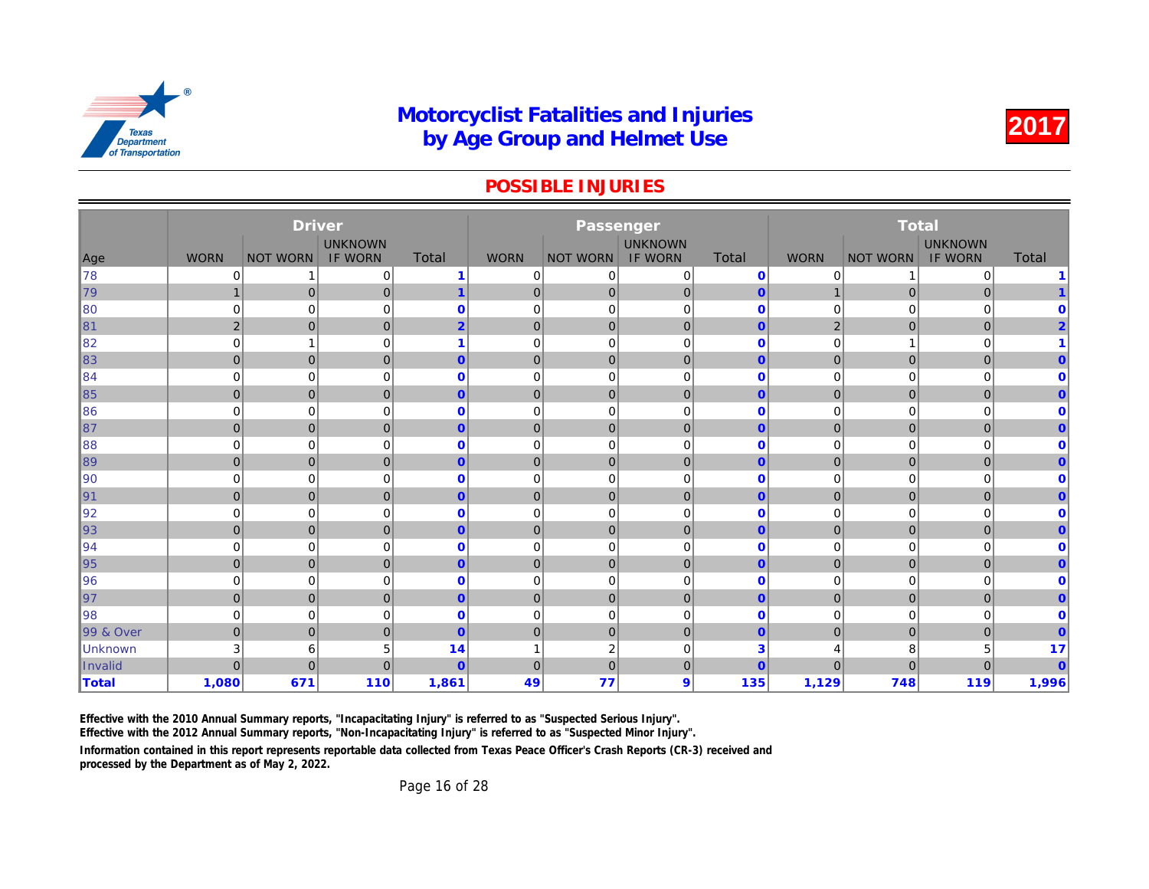#### POSSIBLE INJURIES

|              |                | <b>Driver</b>   |                |                |                | Passenger       |                |                |                |              |
|--------------|----------------|-----------------|----------------|----------------|----------------|-----------------|----------------|----------------|----------------|--------------|
|              |                |                 | <b>UNKNOWN</b> |                |                |                 | <b>UNKNOWN</b> |                |                |              |
| Age          | <b>WORN</b>    | <b>NOT WORN</b> | <b>IF WORN</b> | <b>Total</b>   | <b>WORN</b>    | <b>NOT WORN</b> | <b>IF WORN</b> | Total          | <b>WORN</b>    | <b>NOT W</b> |
| ∥78          | 0              | -1              | 0              |                | 0              | 0               | $\mathbf 0$    | $\mathbf 0$    | 0              |              |
| 79           | 1              | $\mathbf 0$     | $\overline{0}$ | 1              | $\mathbf 0$    | $\mathbf 0$     | $\mathbf 0$    | $\mathbf{0}$   | $\mathbf 1$    |              |
| 80           | $\mathbf 0$    | $\mathbf 0$     | $\mathbf 0$    | $\mathbf 0$    | $\mathbf 0$    | $\mathbf 0$     | $\mathbf 0$    | $\mathbf 0$    | 0              |              |
| $\ 81$       | $\overline{2}$ | $\mathbf 0$     | $\overline{0}$ | $\overline{2}$ | $\mathbf 0$    | $\mathbf 0$     | $\mathbf 0$    | $\overline{0}$ | $\overline{2}$ |              |
| ∥82          | $\mathbf 0$    | -1              | $\mathbf 0$    |                | 0              | $\mathbf 0$     | $\mathbf 0$    | $\mathbf 0$    | 0              |              |
| 83           | $\mathbf 0$    | $\mathbf 0$     | $\mathbf 0$    | $\mathbf{0}$   | $\mathbf 0$    | $\mathbf 0$     | $\pmb{0}$      | $\mathbf{0}$   | $\mathbf 0$    |              |
| 84           | $\mathbf 0$    | $\mathbf 0$     | $\mathbf 0$    | $\mathbf{0}$   | 0              | $\mathbf 0$     | $\mathbf 0$    | $\mathbf 0$    | 0              |              |
| $\vert$ 85   | $\overline{0}$ | $\mathbf 0$     | $\mathbf 0$    | $\mathbf{0}$   | $\mathbf 0$    | $\mathbf{0}$    | $\mathbf 0$    | $\mathbf{0}$   | $\mathbf 0$    |              |
| 86           | $\mathbf 0$    | $\mathbf 0$     | $\mathbf 0$    | $\bf{0}$       | $\mathbf 0$    | $\mathbf 0$     | $\mathbf 0$    | $\mathbf 0$    | 0              |              |
| $\vert$ 87   | $\mathbf 0$    | $\mathbf 0$     | $\overline{0}$ | $\mathbf{0}$   | $\mathbf 0$    | $\mathbf 0$     | $\pmb{0}$      | $\mathbf{0}$   | $\pmb{0}$      |              |
| ∥88          | $\mathbf 0$    | $\mathbf 0$     | $\mathbf 0$    | $\bf{0}$       | 0              | $\mathbf 0$     | $\mathbf 0$    | $\mathbf{0}$   | 0              |              |
| $\ 89\ $     | $\mathbf 0$    | $\mathbf{0}$    | $\overline{0}$ | $\mathbf{0}$   | $\mathbf 0$    | $\mathbf{0}$    | $\mathbf 0$    | $\mathbf{0}$   | $\mathbf{0}$   |              |
| ∥90          | $\mathbf 0$    | $\mathbf 0$     | $\mathbf 0$    | $\mathbf{0}$   | $\mathbf 0$    | $\mathbf 0$     | $\mathbf 0$    | $\mathbf 0$    | 0              |              |
| 91           | $\overline{0}$ | $\mathbf 0$     | $\mathbf{0}$   | $\mathbf{0}$   | $\mathbf 0$    | $\mathbf{0}$    | $\mathbf 0$    | $\mathbf{0}$   | $\overline{0}$ |              |
| 92           | $\mathbf 0$    | $\mathbf 0$     | $\mathbf 0$    | $\mathbf 0$    | 0              | $\mathbf 0$     | $\mathbf 0$    | $\mathbf 0$    | 0              |              |
| $\vert$ 93   | $\overline{0}$ | $\mathbf 0$     | $\mathbf 0$    | $\mathbf{0}$   | $\mathbf 0$    | $\mathbf 0$     | $\mathbf 0$    | $\mathbf{0}$   | $\mathbf 0$    |              |
| ∥94          | $\mathbf 0$    | $\mathbf 0$     | $\mathbf 0$    | $\mathbf 0$    | 0              | $\mathbf 0$     | $\mathbf 0$    | $\mathbf 0$    | 0              |              |
| $\vert$ 95   | $\mathbf 0$    | $\mathbf 0$     | $\mathbf{0}$   | $\mathbf{0}$   | $\mathbf 0$    | $\mathbf{0}$    | $\mathbf 0$    | $\mathbf{0}$   | $\mathbf 0$    |              |
| ∥96          | $\mathbf 0$    | $\mathbf 0$     | $\mathbf 0$    | $\mathbf 0$    | $\mathbf 0$    | $\mathbf 0$     | $\mathbf 0$    | $\mathbf 0$    | 0              |              |
| 97           | $\mathbf{0}$   | $\mathbf 0$     | $\overline{0}$ | $\overline{0}$ | $\mathbf 0$    | $\overline{0}$  | $\pmb{0}$      | $\overline{0}$ | $\mathbf 0$    |              |
| 98           | 0              | $\mathbf 0$     | 0              | $\mathbf 0$    | 0              | $\mathbf 0$     | $\mathbf 0$    | $\mathbf 0$    | 0              |              |
| 99 & Over    | $\mathbf 0$    | $\mathbf 0$     | $\overline{0}$ | $\mathbf 0$    | $\mathbf 0$    | $\mathbf 0$     | $\pmb{0}$      | $\mathbf{0}$   | $\mathbf{0}$   |              |
| Unknown      | 3              | 6               | 5              | 14             |                | $\overline{2}$  | $\mathbf 0$    | 3              | 4              |              |
| Invalid      | $\mathbf{0}$   | $\mathbf 0$     | $\mathbf{0}$   | $\mathbf{0}$   | $\overline{0}$ | $\overline{0}$  | $\mathbf 0$    | $\overline{0}$ | $\overline{0}$ |              |
| <b>Total</b> | 1,080          | 671             | 110            | 1,861          | 49             | 77              | 9              | 135            | 1,129          |              |

Effective with the 2010 Annual Summary reports, "Incapacitating Injury" is referred to as "Suspected Serious Injury".

Effective with the 2012 Annual Summary reports, "Non-Incapacitating Injury" is referred to as "Suspected Minor Injury".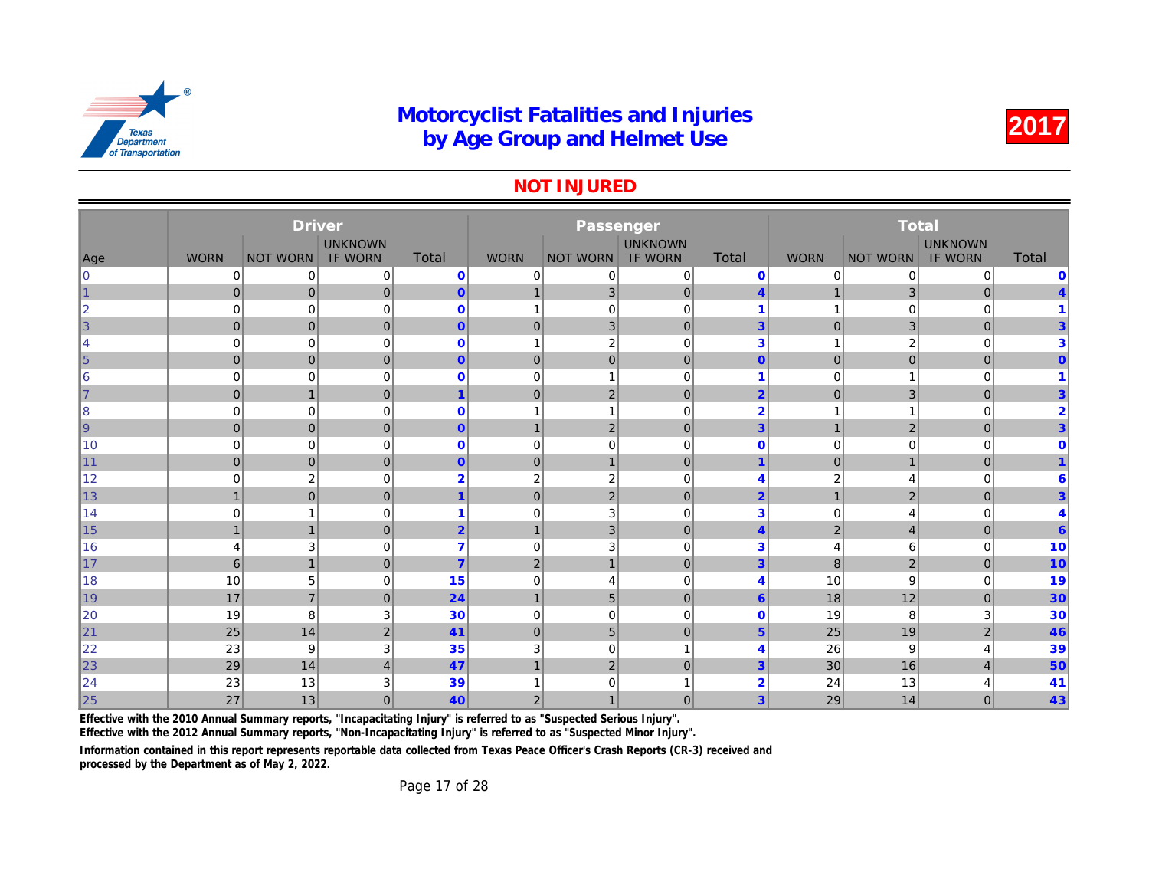#### NOT INJURED

|                 |                       | <b>Driver</b>   |                |                |                | Passenger            |                |                         |                |              |
|-----------------|-----------------------|-----------------|----------------|----------------|----------------|----------------------|----------------|-------------------------|----------------|--------------|
|                 |                       |                 | <b>UNKNOWN</b> |                |                |                      | <b>UNKNOWN</b> |                         |                |              |
| Age             | <b>WORN</b>           | <b>NOT WORN</b> | <b>IF WORN</b> | Total          | <b>WORN</b>    | <b>NOT WORN</b>      | <b>IF WORN</b> | <b>Total</b>            | <b>WORN</b>    | <b>NOT W</b> |
| $\overline{0}$  | 0                     | 0               | 0              | $\mathbf 0$    | $\mathbf 0$    | 0                    | $\mathbf 0$    | $\mathbf 0$             | 0              |              |
| 1               | $\overline{0}$        | $\mathbf 0$     | $\mathbf{0}$   | $\overline{0}$ | $\mathbf{1}$   | 3 <sup>2</sup>       | $\mathbf{0}$   | $\overline{4}$          |                |              |
| $\overline{2}$  | $\overline{0}$        | 0               | 0              | $\mathbf{0}$   | $\mathbf{1}$   | $\mathbf 0$          | $\mathbf 0$    | $\overline{1}$          | 1              |              |
| 3               | $\overline{0}$        | $\mathbf 0$     | $\mathbf 0$    | $\overline{0}$ | $\mathbf 0$    | 3                    | $\mathbf 0$    | $\overline{3}$          | $\overline{0}$ |              |
| 4               | $\mathbf 0$           | 0               | $\mathbf 0$    | $\mathbf{0}$   | $\overline{1}$ | $\overline{2}$       | $\mathbf 0$    | 3                       | 1              |              |
| $\vert 5 \vert$ | $\overline{0}$        | $\pmb{0}$       | $\mathbf 0$    | $\overline{0}$ | $\mathbf 0$    | $\mathbf{0}$         | $\mathbf 0$    | $\mathbf{0}$            | $\mathbf 0$    |              |
| 6               | $\mathbf 0$           | 0               | 0              | $\mathbf 0$    | $\mathbf 0$    | $\overline{ }$       | $\mathbf 0$    | $\overline{\mathbf{1}}$ | 0              |              |
| $\overline{7}$  | $\overline{0}$        | $\mathbf{1}$    | $\mathbf{0}$   | $\overline{1}$ | $\mathbf 0$    | 2                    | $\mathbf 0$    | $\overline{2}$          | $\mathbf 0$    |              |
| 8               | $\mathbf 0$           | 0               | 0              | $\mathbf 0$    |                |                      | $\mathbf 0$    | $\overline{2}$          |                |              |
| 9               | $\overline{0}$        | $\pmb{0}$       | $\mathbf{0}$   | $\overline{0}$ | $\mathbf{1}$   | 2                    | $\pmb{0}$      | $\overline{3}$          | $\mathbf{1}$   |              |
| 10              | $\mathbf 0$           | 0               | 0              | $\mathbf 0$    | $\mathbf 0$    | 0                    | $\mathbf 0$    | $\mathbf 0$             | 0              |              |
| 11              | $\overline{0}$        | $\mathbf 0$     | $\mathbf{0}$   | $\overline{0}$ | $\mathbf 0$    | $\mathbf{1}$         | $\mathbf 0$    | $\overline{1}$          | $\mathbf 0$    |              |
| 12              | $\Omega$              | $\mathbf 2$     | 0              | $\overline{2}$ | $\overline{2}$ | $\overline{2}$       | $\mathbf 0$    | $\overline{4}$          | 2              |              |
| 13              | $\mathbf{1}$          | $\mathbf 0$     | $\mathbf{0}$   | $\overline{1}$ | $\mathbf 0$    | 2                    | $\mathbf{0}$   | $\overline{2}$          | $\mathbf{1}$   |              |
| 14              | $\Omega$              | 1               | 0              | 1              | $\mathbf 0$    | 3                    | $\mathbf 0$    | 3                       | 0              |              |
| 15              | $\mathbf{1}$          | $\mathbf{1}$    | $\mathbf{0}$   | $\overline{2}$ | $\overline{1}$ | 3                    | $\mathbf{0}$   | $\overline{4}$          | $\overline{2}$ |              |
| 16              | $\boldsymbol{\Delta}$ | 3               | 0              | $\overline{7}$ | $\mathbf 0$    | 3                    | $\mathbf 0$    | 3                       | 4              |              |
| 17              | 6                     | $\mathbf{1}$    | $\mathbf{0}$   | $\overline{7}$ | $\overline{2}$ | $\mathbf{1}$         | $\mathbf{0}$   | 3                       | 8              |              |
| 18              | 10                    | 5               | $\mathbf 0$    | 15             | $\overline{0}$ | 4                    | $\mathbf 0$    | 4                       | 10             |              |
| 19              | 17                    | $\overline{7}$  | $\mathbf{0}$   | 24             | $\overline{1}$ | 5 <sup>5</sup>       | $\overline{0}$ | $6\phantom{1}$          | 18             |              |
| 20              | 19                    | 8               | 3              | 30             | $\overline{0}$ | $\mathbf 0$          | $\mathbf 0$    | $\mathbf 0$             | 19             |              |
| 21              | 25                    | 14              | $\overline{2}$ | 41             | $\mathbf 0$    | 5 <sup>5</sup>       | $\overline{0}$ | $5\overline{)}$         | 25             |              |
| 22              | 23                    | 9               | 3              | 35             | 3              | $\mathbf 0$          | $\mathbf{1}$   | $\overline{4}$          | 26             |              |
| 23              | 29                    | 14              | $\overline{4}$ | 47             | $\overline{1}$ | 2                    | $\overline{0}$ | $\overline{3}$          | 30             |              |
| 24              | 23                    | 13              | 3              | 39             |                | $\Omega$             | 1              | $\overline{2}$          | 24             |              |
| 25              | 27                    | 13              | $\Omega$       | 40             | $\overline{2}$ | $\blacktriangleleft$ | $\overline{0}$ | $\overline{3}$          | 29             |              |

Effective with the 2010 Annual Summary reports, "Incapacitating Injury" is referred to as "Suspected Serious Injury".

Effective with the 2012 Annual Summary reports, "Non-Incapacitating Injury" is referred to as "Suspected Minor Injury".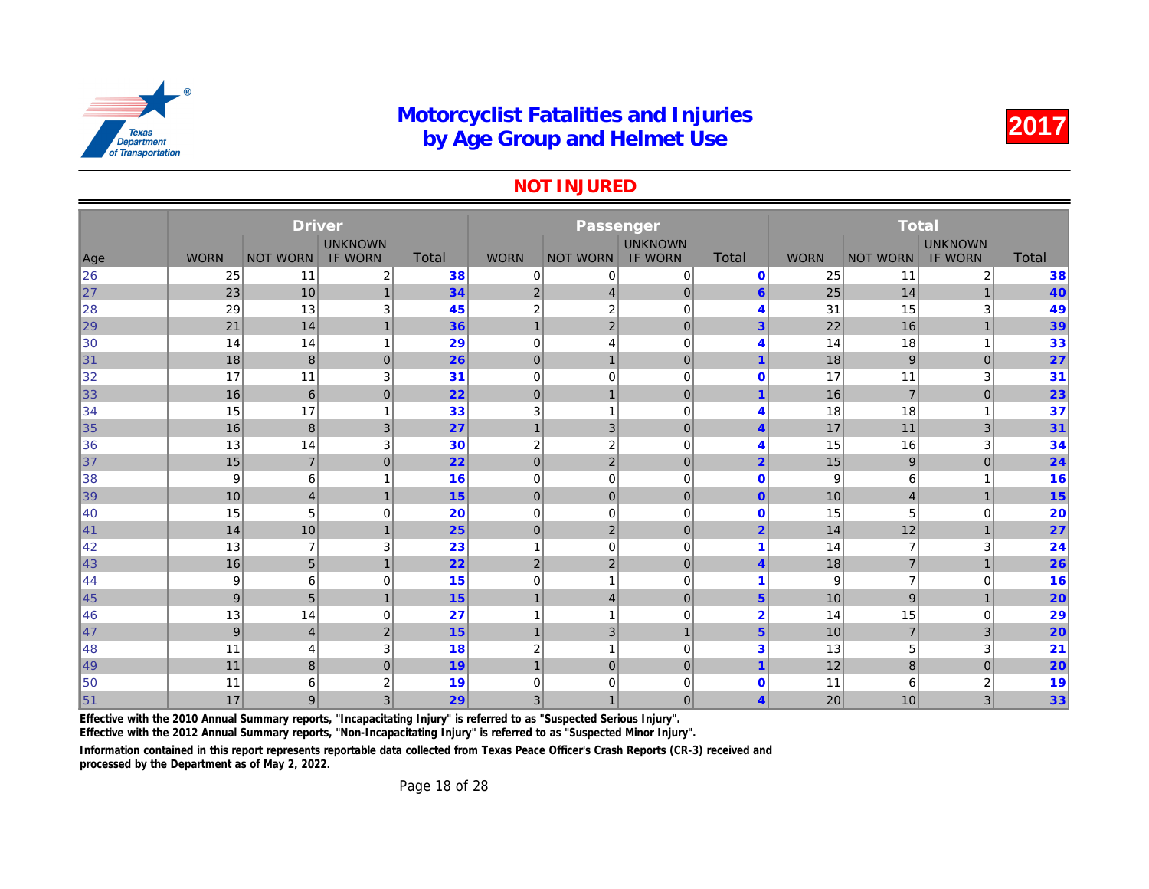#### NOT INJURED

|     | <b>Driver</b><br><b>UNKNOWN</b> |                 |                |       |                | Passenger        |                |                         |             |              |
|-----|---------------------------------|-----------------|----------------|-------|----------------|------------------|----------------|-------------------------|-------------|--------------|
|     |                                 |                 |                |       |                |                  | <b>UNKNOWN</b> |                         |             |              |
| Age | <b>WORN</b>                     | <b>NOT WORN</b> | <b>IF WORN</b> | Total | <b>WORN</b>    | <b>NOT WORN</b>  | <b>IF WORN</b> | Total                   | <b>WORN</b> | <b>NOT W</b> |
| 26  | 25                              | 11              | 2              | 38    | 0              | 0                | 0              | $\mathbf 0$             | 25          |              |
| 27  | 23                              | 10              |                | 34    | 2              | $\overline{4}$   | $\mathbf{0}$   | $6\phantom{1}6$         | 25          |              |
| 28  | 29                              | 13              | 3              | 45    | $\overline{2}$ | $\boldsymbol{2}$ | $\mathbf 0$    | $\overline{4}$          | 31          |              |
| 29  | 21                              | 14              | 1              | 36    | $\overline{1}$ | $\overline{2}$   | $\pmb{0}$      | 3                       | 22          |              |
| 30  | 14                              | 14              | 1              | 29    | 0              | 4                | $\mathbf 0$    | 4                       | 14          |              |
| 31  | 18                              | 8               | $\mathbf 0$    | 26    | $\mathbf 0$    | $\mathbf{1}$     | $\pmb{0}$      |                         | 18          |              |
| 32  | 17                              | 11              | 3              | 31    | 0              | 0                | $\mathbf 0$    | $\mathbf 0$             | 17          |              |
| 33  | 16                              | $6\phantom{1}6$ | $\mathbf 0$    | 22    | $\mathbf 0$    | $\mathbf{1}$     | $\mathbf{0}$   |                         | 16          |              |
| 34  | 15                              | 17              | 1              | 33    | 3              | $\mathbf{1}$     | $\mathbf 0$    | $\overline{4}$          | 18          |              |
| 35  | 16                              | 8               | 3              | 27    | $\mathbf 1$    | 3                | $\mathbf 0$    | $\overline{4}$          | 17          |              |
| 36  | 13                              | 14              | 3              | 30    | $\overline{c}$ | $\boldsymbol{2}$ | $\mathbf 0$    | $\overline{\mathbf{4}}$ | 15          |              |
| 37  | 15                              | $\overline{7}$  | $\mathbf 0$    | 22    | $\mathbf 0$    | $\mathbf 2$      | $\mathbf 0$    | $\overline{2}$          | 15          |              |
| 38  | 9                               | 6               |                | 16    | $\mathbf 0$    | 0                | $\mathbf 0$    | $\mathbf 0$             | 9           |              |
| 39  | 10                              | $\overline{4}$  | $\overline{1}$ | 15    | $\mathbf 0$    | $\overline{0}$   | $\mathbf 0$    | $\mathbf{0}$            | 10          |              |
| 40  | 15                              | 5               | $\mathbf 0$    | 20    | $\mathbf 0$    | 0                | $\mathbf 0$    | $\mathbf{0}$            | 15          |              |
| 141 | 14                              | 10              | $\mathbf{1}$   | 25    | $\mathbf{0}$   | $\overline{2}$   | $\mathbf{0}$   | $\overline{2}$          | 14          |              |
| 42  | 13                              | $\overline{7}$  | 3              | 23    | 1              | $\mathbf 0$      | $\mathbf 0$    | 1                       | 14          |              |
| 43  | 16                              | 5               | $\mathbf{1}$   | 22    | $\overline{2}$ | $\overline{2}$   | $\mathbf{0}$   | $\overline{4}$          | 18          |              |
| 44  | 9                               | 6               | 0              | 15    | 0              | 1                | $\mathbf 0$    |                         | 9           |              |
| 45  | 9                               | 5               | $\mathbf{1}$   | 15    | $\mathbf{1}$   | $\overline{4}$   | $\mathbf 0$    | $5\phantom{1}$          | 10          |              |
| 46  | 13                              | 14              | 0              | 27    | 1              | 1                | $\mathbf 0$    | $\overline{2}$          | 14          |              |
| ∥47 | 9                               | $\overline{4}$  | 2              | 15    | $\mathbf{1}$   | 3                | $\mathbf{1}$   | 5                       | 10          |              |
| 48  | 11                              | $\overline{4}$  | 3              | 18    | $\overline{2}$ | 1                | $\mathbf 0$    | 3                       | 13          |              |
| 49  | 11                              | 8               | $\overline{0}$ | 19    | $\overline{1}$ | $\overline{0}$   | $\mathbf 0$    | $\blacktriangleleft$    | 12          |              |
| 50  | 11                              | 6               | $\overline{c}$ | 19    | 0              | 0                | $\mathbf 0$    | $\Omega$                | 11          |              |
| 51  | 17                              | 9               | 3              | 29    | 3 <sub>l</sub> | $\mathbf{1}$     | $\mathbf 0$    | $\overline{\mathbf{4}}$ | 20          |              |

Effective with the 2010 Annual Summary reports, "Incapacitating Injury" is referred to as "Suspected Serious Injury".

Effective with the 2012 Annual Summary reports, "Non-Incapacitating Injury" is referred to as "Suspected Minor Injury".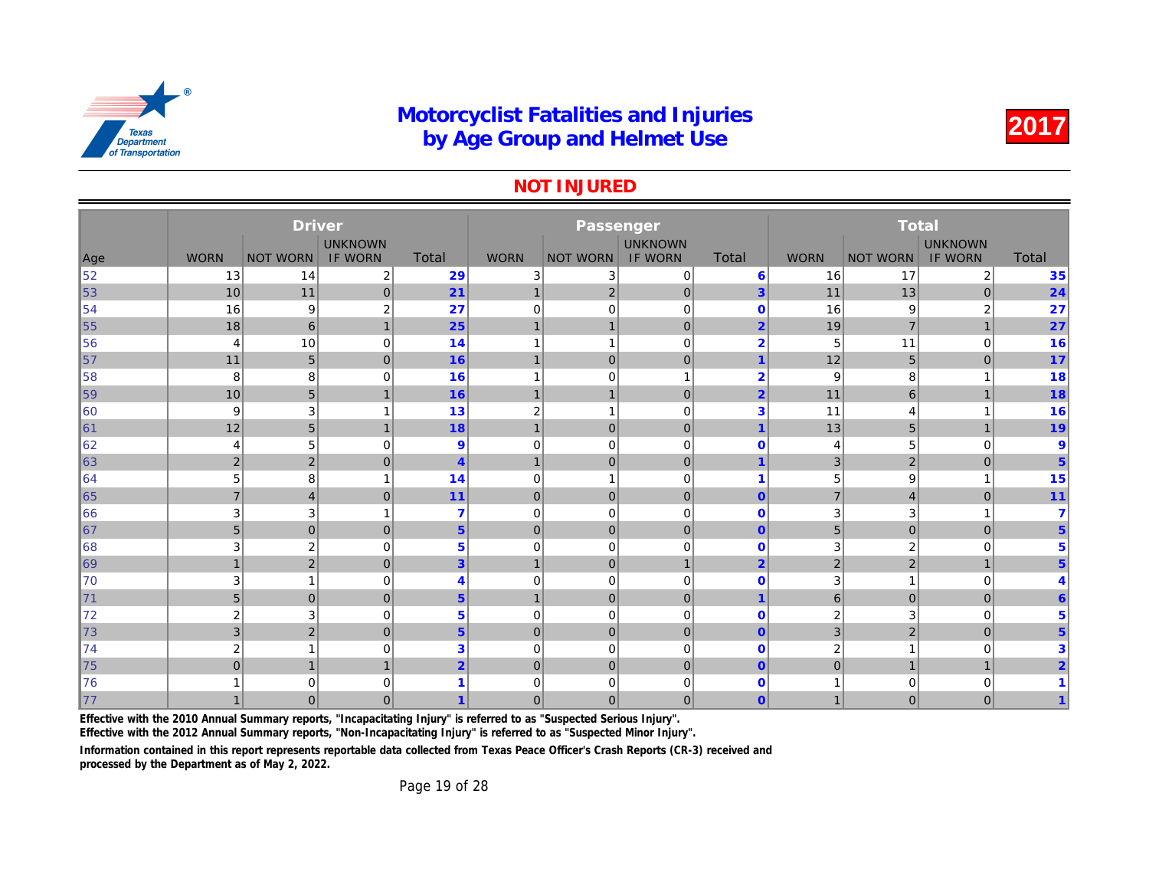#### NOT INJURED

|     | <b>Driver</b>  |                  |                |                 |                | Passenger       |                |                |                |              |
|-----|----------------|------------------|----------------|-----------------|----------------|-----------------|----------------|----------------|----------------|--------------|
|     |                |                  | <b>UNKNOWN</b> |                 |                |                 | <b>UNKNOWN</b> |                |                |              |
| Age | <b>WORN</b>    | <b>NOT WORN</b>  | <b>IF WORN</b> | Total           | <b>WORN</b>    | <b>NOT WORN</b> | <b>IF WORN</b> | Total          | <b>WORN</b>    | <b>NOT W</b> |
| 52  | 13             | 14               | $\overline{2}$ | 29              | 3              | 3               | 0              | 6              | 16             |              |
| 53  | 10             | 11               | $\mathbf{0}$   | 21              | $\mathbf{1}$   | 2 <sup>2</sup>  | $\mathbf 0$    | 3              | 11             |              |
| 54  | 16             | $\boldsymbol{9}$ | $\overline{2}$ | 27              | $\mathbf 0$    | $\mathbf 0$     | $\mathbf 0$    | $\mathbf 0$    | 16             |              |
| 55  | 18             | $6\phantom{1}$   | $\mathbf{1}$   | 25              | $\mathbf{1}$   | $\mathbf 1$     | $\mathbf 0$    | $\overline{2}$ | 19             |              |
| 56  | $\overline{4}$ | 10               | $\mathbf 0$    | 14              | $\overline{1}$ |                 | $\mathbf 0$    | $\overline{2}$ | 5              |              |
| 57  | 11             | $\sqrt{5}$       | $\mathbf 0$    | 16              | $\mathbf{1}$   | $\mathbf{0}$    | $\mathbf 0$    | $\overline{1}$ | 12             |              |
| 58  | 8              | 8                | $\mathbf 0$    | 16              | $\overline{1}$ | $\mathbf 0$     | $\mathbf{1}$   | $\overline{2}$ | 9              |              |
| 59  | 10             | $\sqrt{5}$       | $\mathbf{1}$   | 16              | $\mathbf{1}$   | $\mathbf{1}$    | $\mathbf 0$    | $\overline{2}$ | 11             |              |
| 60  | 9              | 3                | 1              | 13              | $\overline{2}$ | 1               | $\mathbf 0$    | 3              | 11             |              |
| ∥61 | 12             | $\sqrt{5}$       | $\overline{1}$ | 18              | $\mathbf{1}$   | $\mathbf{0}$    | $\pmb{0}$      | $\overline{1}$ | 13             |              |
| 62  | 4              | 5                | 0              | 9               | $\mathbf 0$    | $\mathbf 0$     | $\mathbf 0$    | $\mathbf 0$    | 4              |              |
| 63  | 2              | $\mathbf 2$      | $\mathbf{0}$   | $\overline{4}$  | $\mathbf 1$    | $\mathbf{0}$    | $\pmb{0}$      | 1              | 3              |              |
| 64  | 5              | 8                | 1              | 14              | $\mathbf 0$    | -1              | $\mathbf 0$    | -1             | 5              |              |
| 65  | $\overline{7}$ | $\overline{4}$   | $\mathbf{0}$   | 11              | $\mathbf 0$    | $\mathbf{0}$    | $\mathbf{0}$   | $\mathbf{0}$   | $\overline{7}$ |              |
| 66  | 3              | 3                | 1              | $\overline{7}$  | $\overline{0}$ | $\mathbf 0$     | $\mathbf 0$    | $\mathbf 0$    | 3              |              |
| 67  | 5              | $\mathbf 0$      | $\mathbf{0}$   | 5 <sup>5</sup>  | $\mathbf 0$    | $\mathbf 0$     | $\mathbf{0}$   | $\mathbf{0}$   | 5              |              |
| 68  | 3              | $\mathbf 2$      | 0              | $5\phantom{1}$  | $\mathbf 0$    | $\mathbf 0$     | $\mathbf 0$    | $\mathbf 0$    | 3              |              |
| 69  | $\mathbf{1}$   | $\overline{2}$   | $\mathbf{0}$   | $\overline{3}$  | $\mathbf{1}$   | $\mathbf 0$     | $\mathbf{1}$   | $\overline{2}$ | $\overline{2}$ |              |
| 70  | 3              | 1                | $\mathbf{0}$   | $\overline{4}$  | $\overline{0}$ | $\mathbf 0$     | $\Omega$       | $\mathbf 0$    | 3              |              |
| 71  | 5              | $\mathbf 0$      | $\mathbf{0}$   | 5 <sup>5</sup>  | $\overline{1}$ | $\mathbf 0$     | $\overline{0}$ | $\overline{1}$ | 6              |              |
| 72  | $\overline{2}$ | 3                | $\Omega$       | $5\phantom{1}$  | $\overline{0}$ | $\mathbf 0$     | $\Omega$       | $\mathbf 0$    | 2              |              |
| 73  | 3              | $\mathbf 2$      | $\mathbf{0}$   | $5\phantom{.0}$ | $\mathbf 0$    | $\mathbf 0$     | $\mathbf 0$    | $\mathbf{0}$   | 3              |              |
| 74  | $\overline{2}$ | 1                | $\Omega$       | 3               | $\mathbf 0$    | $\mathbf 0$     | $\mathbf 0$    | $\mathbf 0$    | 2              |              |
| 75  | $\Omega$       | $\overline{1}$   | $\mathbf{1}$   | $\overline{2}$  | $\mathbf{0}$   | $\overline{0}$  | $\mathbf{0}$   | $\overline{0}$ | $\overline{0}$ |              |
| 76  |                | 0                | 0              |                 | 0              | 0               | $\mathbf 0$    | $\mathbf 0$    |                |              |
| 77  |                | $\mathbf 0$      | $\overline{0}$ |                 | $\mathbf 0$    | $\mathbf 0$     | $\mathbf 0$    | $\mathbf{0}$   | $\mathbf{1}$   |              |

Effective with the 2010 Annual Summary reports, "Incapacitating Injury" is referred to as "Suspected Serious Injury".

Effective with the 2012 Annual Summary reports, "Non-Incapacitating Injury" is referred to as "Suspected Minor Injury".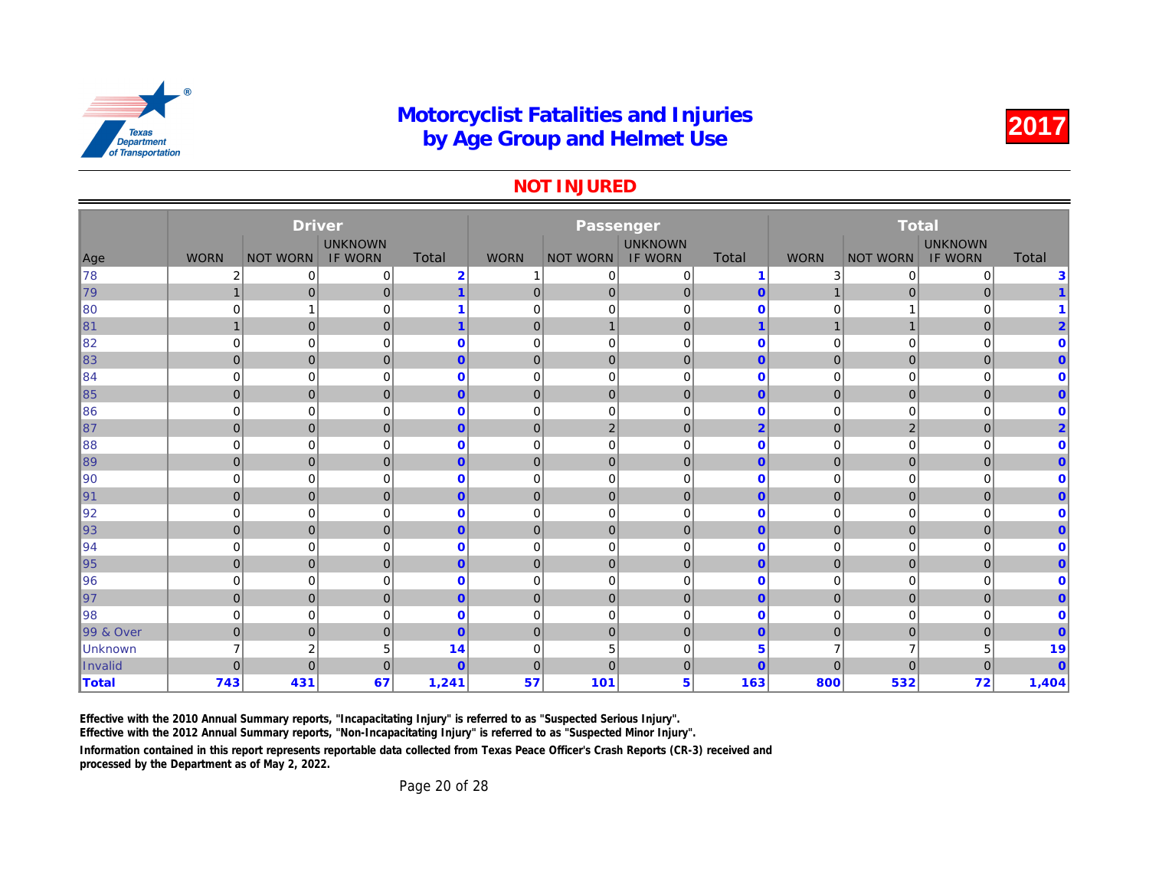#### NOT INJURED

|                |                | <b>Driver</b>    |                |                |                | Passenger       |                |                |                |              |
|----------------|----------------|------------------|----------------|----------------|----------------|-----------------|----------------|----------------|----------------|--------------|
|                |                |                  | <b>UNKNOWN</b> |                |                |                 | <b>UNKNOWN</b> |                |                |              |
| Age            | <b>WORN</b>    | <b>NOT WORN</b>  | <b>IF WORN</b> | Total          | <b>WORN</b>    | <b>NOT WORN</b> | <b>IF WORN</b> | <b>Total</b>   | <b>WORN</b>    | <b>NOT W</b> |
| 78             | 2              | 0                | 0              | $\overline{2}$ |                | 0               | 0              | $\overline{1}$ | 3              |              |
| 79             |                | $\mathbf 0$      | $\mathbf 0$    | $\overline{1}$ | $\overline{0}$ | $\mathbf 0$     | $\mathbf{0}$   | $\mathbf{0}$   |                |              |
| 80             | $\Omega$       | 1                | 0              |                | $\mathbf 0$    | $\mathbf 0$     | $\mathbf 0$    | $\mathbf 0$    | 0              |              |
| ∥81            | $\overline{1}$ | $\mathbf 0$      | $\mathbf{0}$   | $\overline{1}$ | $\overline{0}$ | $\mathbf{1}$    | $\overline{0}$ | $\overline{1}$ | $\mathbf{1}$   |              |
| 82             | $\Omega$       | 0                | 0              | $\mathbf{0}$   | $\mathbf 0$    | $\mathbf 0$     | $\mathbf 0$    | $\mathbf 0$    | 0              |              |
| 83             | $\overline{0}$ | $\mathbf 0$      | $\overline{0}$ | $\overline{0}$ | $\mathbf 0$    | $\mathbf 0$     | $\mathbf 0$    | $\overline{0}$ | $\mathbf 0$    |              |
| 84             | $\mathbf 0$    | 0                | 0              | $\mathbf{0}$   | $\mathbf 0$    | $\mathbf 0$     | $\mathbf 0$    | $\mathbf 0$    | 0              |              |
| 85             | $\overline{0}$ | $\mathbf 0$      | $\overline{0}$ | $\overline{0}$ | $\mathbf 0$    | $\mathbf 0$     | $\mathbf 0$    | $\mathbf{0}$   | $\mathbf 0$    |              |
| 86             | $\Omega$       | 0                | $\mathbf 0$    | $\mathbf 0$    | $\mathbf 0$    | 0               | $\mathbf 0$    | $\mathbf 0$    | 0              |              |
| 87             | $\overline{0}$ | $\mathbf 0$      | $\mathbf 0$    | $\overline{0}$ | $\pmb{0}$      | $\overline{2}$  | $\mathbf 0$    | $\overline{2}$ | $\mathbf 0$    |              |
| 88             | 0              | 0                | 0              | $\mathbf{0}$   | 0              | $\mathbf 0$     | $\mathbf 0$    | $\mathbf 0$    | 0              |              |
| ∥89            | $\overline{0}$ | $\pmb{0}$        | $\mathbf{0}$   | $\overline{0}$ | $\mathbf 0$    | $\mathbf 0$     | $\pmb{0}$      | $\mathbf{0}$   | $\pmb{0}$      |              |
| 90             | $\mathbf 0$    | 0                | 0              | $\mathbf 0$    | $\mathbf 0$    | 0               | $\mathbf 0$    | $\mathbf 0$    | 0              |              |
| ∥91            | $\overline{0}$ | $\mathbf{0}$     | $\mathbf{0}$   | $\overline{0}$ | $\overline{0}$ | $\overline{0}$  | $\mathbf 0$    | $\mathbf{0}$   | $\overline{0}$ |              |
| 92             | $\Omega$       | 0                | 0              | $\mathbf{0}$   | $\mathbf 0$    | $\mathbf 0$     | $\Omega$       | $\Omega$       | 0              |              |
| 93             | $\overline{0}$ | $\pmb{0}$        | $\overline{0}$ | $\overline{0}$ | $\pmb{0}$      | $\mathbf 0$     | $\mathbf 0$    | $\overline{0}$ | $\overline{0}$ |              |
| 94             | $\mathbf 0$    | 0                | 0              | $\mathbf 0$    | 0              | 0               | $\mathbf 0$    | $\bf{0}$       | 0              |              |
| 95             | $\overline{0}$ | $\mathbf 0$      | $\overline{0}$ | $\mathbf{0}$   | $\mathbf 0$    | $\mathbf 0$     | $\mathbf 0$    | $\mathbf{0}$   | $\mathbf 0$    |              |
| 96             | $\Omega$       | 0                | 0              | $\mathbf{0}$   | 0              | 0               | $\mathbf 0$    | $\mathbf 0$    | 0              |              |
| ∥97            | $\overline{0}$ | $\mathbf 0$      | $\mathbf{0}$   | $\overline{0}$ | $\overline{0}$ | $\mathbf{0}$    | $\mathbf 0$    | $\mathbf{0}$   | $\mathbf 0$    |              |
| 98             | $\mathbf 0$    | 0                | $\mathbf 0$    | $\mathbf 0$    | $\mathbf 0$    | $\mathbf 0$     | $\mathbf 0$    | $\mathbf 0$    | 0              |              |
| 99 & Over      | $\overline{0}$ | $\mathbf 0$      | $\mathbf 0$    | $\overline{0}$ | $\mathbf 0$    | $\mathbf 0$     | $\mathbf 0$    | $\overline{0}$ | $\mathbf 0$    |              |
| <b>Unknown</b> | $\overline{ }$ | $\boldsymbol{2}$ | 5              | 14             | 0              | 5               | $\mathbf 0$    | 5              | $\overline{7}$ |              |
| Invalid        | $\overline{0}$ | $\mathbf 0$      | $\mathbf 0$    | $\overline{0}$ | $\mathbf 0$    | $\mathbf{0}$    | $\mathbf 0$    | $\mathbf{0}$   | $\mathbf 0$    |              |
| Total          | 743            | 431              | 67             | 1,241          | 57             | 101             | 5              | 163            | 800            |              |

Effective with the 2010 Annual Summary reports, "Incapacitating Injury" is referred to as "Suspected Serious Injury".

Effective with the 2012 Annual Summary reports, "Non-Incapacitating Injury" is referred to as "Suspected Minor Injury".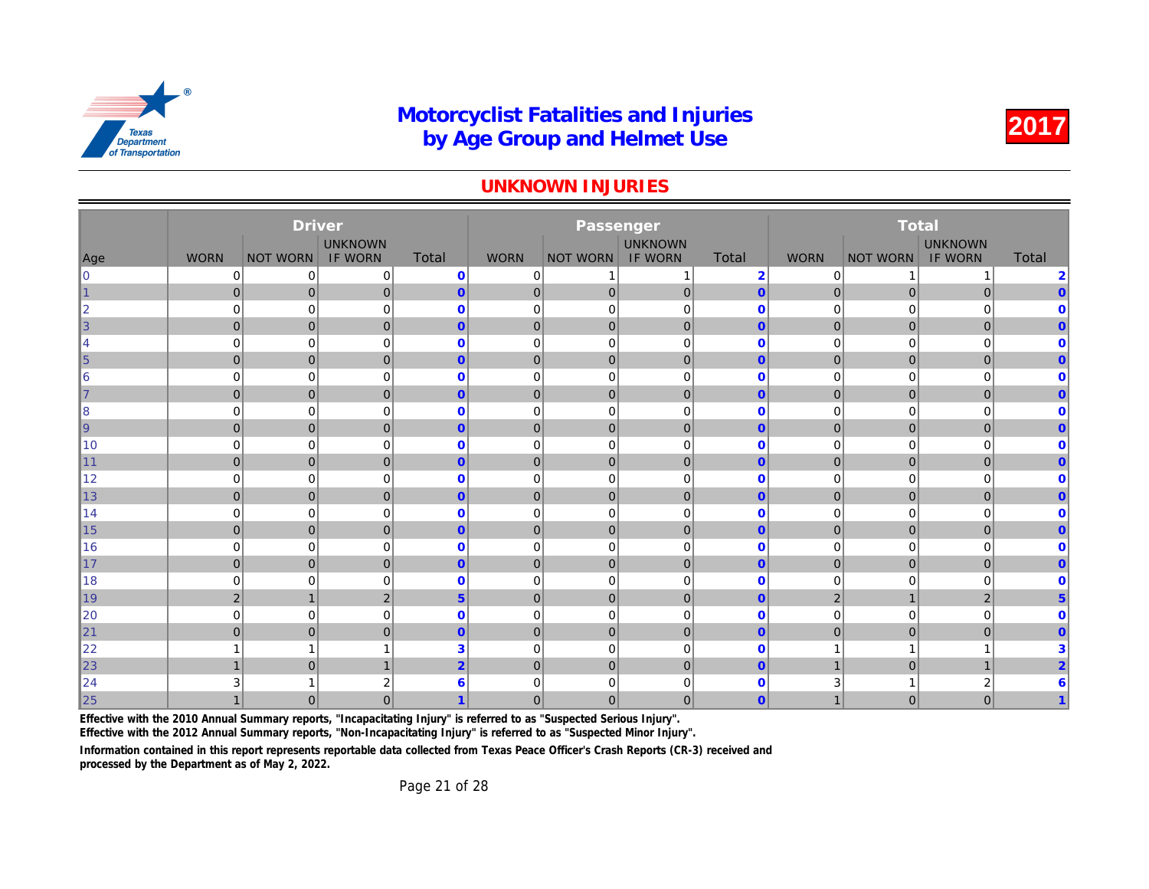#### UNKNOWN INJURIES

|            |                | <b>Driver</b>   |                |                |                | Passenger       |                |                |                |              |
|------------|----------------|-----------------|----------------|----------------|----------------|-----------------|----------------|----------------|----------------|--------------|
|            |                |                 | <b>UNKNOWN</b> |                |                |                 | <b>UNKNOWN</b> |                |                |              |
| Age        | <b>WORN</b>    | <b>NOT WORN</b> | <b>IF WORN</b> | Total          | <b>WORN</b>    | <b>NOT WORN</b> | <b>IF WORN</b> | <b>Total</b>   | <b>WORN</b>    | <b>NOT W</b> |
| lo         | 0              | 0               | 0              | $\mathbf 0$    | 0              |                 | 1              | $\overline{2}$ | 0              |              |
| $\vert$ 1  | $\mathbf 0$    | $\mathbf 0$     | 0              | $\mathbf 0$    | $\mathbf 0$    | $\overline{0}$  | $\pmb{0}$      | $\mathbf{0}$   | 0              |              |
| 2          | $\mathbf 0$    | $\mathbf 0$     | 0              | $\mathbf 0$    | 0              | $\mathbf 0$     | $\mathbf 0$    | $\mathbf 0$    | 0              |              |
| $\vert$ 3  | $\mathbf{0}$   | $\mathbf{0}$    | $\overline{0}$ | $\mathbf{0}$   | $\mathbf{0}$   | $\overline{0}$  | $\mathbf 0$    | $\overline{0}$ | $\mathbf{0}$   |              |
| 14         | $\mathbf 0$    | $\mathbf 0$     | $\mathbf 0$    | $\mathbf 0$    | $\mathbf 0$    | $\mathbf 0$     | $\mathbf 0$    | $\mathbf{0}$   | 0              |              |
| $\vert$ 5  | $\mathbf 0$    | $\mathbf{0}$    | $\overline{0}$ | $\mathbf{0}$   | $\mathbf 0$    | $\mathbf{0}$    | $\pmb{0}$      | $\overline{0}$ | $\mathbf 0$    |              |
| ∣6         | $\mathbf 0$    | $\mathbf 0$     | $\mathbf 0$    | $\mathbf 0$    | $\mathbf 0$    | $\mathbf 0$     | $\mathbf 0$    | $\mathbf{0}$   | 0              |              |
| $\vert$ 7  | $\mathbf 0$    | $\mathbf 0$     | $\overline{0}$ | $\overline{0}$ | $\mathbf 0$    | $\mathbf 0$     | $\pmb{0}$      | $\overline{0}$ | $\mathbf 0$    |              |
| 8          | $\mathbf 0$    | $\mathbf 0$     | 0              | $\mathbf 0$    | 0              | $\mathbf 0$     | $\mathbf 0$    | $\mathbf 0$    | 0              |              |
| $\vert$ 9  | $\mathbf 0$    | $\mathbf 0$     | $\overline{0}$ | $\mathbf{0}$   | $\mathbf 0$    | $\mathbf 0$     | $\mathbf 0$    | $\mathbf{0}$   | $\mathbf 0$    |              |
| ∥10        | $\mathbf 0$    | $\mathbf 0$     | 0              | $\bf{0}$       | $\mathbf 0$    | $\mathbf 0$     | $\mathbf 0$    | $\mathbf 0$    | 0              |              |
| $\vert$ 11 | $\mathbf{0}$   | $\mathbf{0}$    | $\overline{0}$ | $\mathbf{0}$   | $\overline{0}$ | $\mathbf{0}$    | $\mathbf{0}$   | $\overline{0}$ | $\overline{0}$ |              |
| ∥12        | $\mathbf 0$    | $\mathbf 0$     | $\mathbf 0$    | $\mathbf 0$    | $\overline{0}$ | $\mathbf 0$     | $\mathbf 0$    | $\mathbf 0$    | 0              |              |
| $\vert$ 13 | $\mathbf{0}$   | $\mathbf 0$     | $\overline{0}$ | $\mathbf{0}$   | $\overline{0}$ | $\mathbf{0}$    | $\mathbf 0$    | $\overline{0}$ | $\mathbf{0}$   |              |
| 14         | $\mathbf 0$    | $\mathbf 0$     | $\mathbf 0$    | $\mathbf{0}$   | $\mathbf 0$    | $\mathbf 0$     | $\mathbf 0$    | $\mathbf{0}$   | 0              |              |
| 15         | $\mathbf{0}$   | $\mathbf 0$     | $\overline{0}$ | $\overline{0}$ | $\mathbf 0$    | $\mathbf{0}$    | $\mathbf 0$    | $\overline{0}$ | $\overline{0}$ |              |
| 16         | $\mathbf 0$    | $\mathbf 0$     | 0              | $\mathbf 0$    | $\mathbf 0$    | $\mathbf 0$     | $\mathbf 0$    | $\mathbf 0$    | $\Omega$       |              |
| $\vert$ 17 | $\mathbf{0}$   | $\mathbf 0$     | $\overline{0}$ | $\overline{0}$ | $\mathbf 0$    | $\mathbf{0}$    | $\mathbf 0$    | $\overline{0}$ | $\overline{0}$ |              |
| 18         | $\mathbf 0$    | $\mathbf 0$     | $\mathbf 0$    | $\mathbf{0}$   | $\mathbf 0$    | $\mathbf 0$     | $\mathbf 0$    | $\mathbf{0}$   | 0              |              |
| $\vert$ 19 | 2              | $\mathbf{1}$    | $\overline{2}$ | 5 <sup>5</sup> | $\mathbf 0$    | $\mathbf{0}$    | $\mathbf 0$    | $\overline{0}$ | $\overline{2}$ |              |
| 20         | $\mathbf 0$    | $\mathbf 0$     | $\mathbf 0$    | $\mathbf 0$    | $\mathbf 0$    | $\mathbf 0$     | $\mathbf 0$    | $\Omega$       | 0              |              |
| $\vert$ 21 | $\mathbf{0}$   | $\mathbf 0$     | $\overline{0}$ | $\overline{0}$ | $\mathbf 0$    | $\mathbf 0$     | $\mathbf 0$    | $\overline{0}$ | $\overline{0}$ |              |
| 22         |                | $\mathbf{1}$    |                | 3              | 0              | $\mathbf 0$     | $\mathbf 0$    | $\mathbf 0$    | 1              |              |
| $\vert$ 23 | $\overline{1}$ | $\mathbf 0$     | 1              | $\overline{2}$ | $\mathbf 0$    | $\mathbf{0}$    | $\mathbf 0$    | $\mathbf{0}$   | $\mathbf{1}$   |              |
| 24         | 3              | -1              | 2              | 6              | $\mathbf 0$    | $\mathbf 0$     | $\mathbf 0$    | $\mathbf 0$    | 3              |              |
| 25         |                | $\mathbf{0}$    | $\Omega$       |                | 0              | $\overline{0}$  | $\mathbf{0}$   | $\overline{0}$ | $\mathbf 1$    |              |

Effective with the 2010 Annual Summary reports, "Incapacitating Injury" is referred to as "Suspected Serious Injury".

Effective with the 2012 Annual Summary reports, "Non-Incapacitating Injury" is referred to as "Suspected Minor Injury".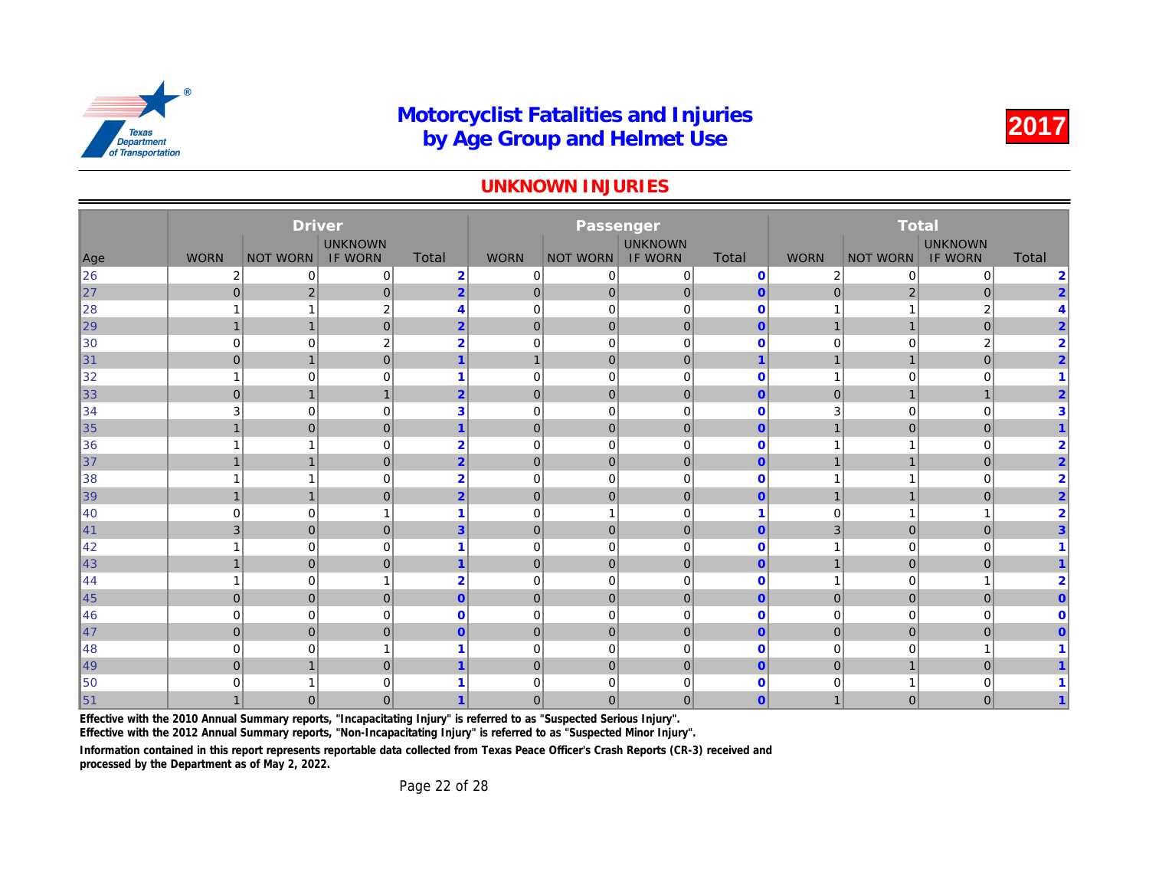#### UNKNOWN INJURIES

|                       |                | <b>Driver</b>   |                  |                         |                | Passenger       |                |                      |                |              |
|-----------------------|----------------|-----------------|------------------|-------------------------|----------------|-----------------|----------------|----------------------|----------------|--------------|
|                       |                |                 | <b>UNKNOWN</b>   |                         |                |                 | <b>UNKNOWN</b> |                      |                |              |
| Age                   | <b>WORN</b>    | <b>NOT WORN</b> | <b>IF WORN</b>   | <b>Total</b>            | <b>WORN</b>    | <b>NOT WORN</b> | <b>IF WORN</b> | <b>Total</b>         | <b>WORN</b>    | <b>NOT W</b> |
| 26                    | $\overline{2}$ | 0               | 0                | $\overline{2}$          | $\mathbf 0$    | 0               | $\mathbf 0$    | $\mathbf 0$          | 2              |              |
| $\vert$ <sub>27</sub> | $\mathbf{0}$   | $\overline{c}$  | $\overline{0}$   | $\overline{2}$          | $\mathbf 0$    | $\overline{0}$  | $\pmb{0}$      | $\overline{0}$       | $\overline{0}$ |              |
| 28                    |                | $\mathbf{1}$    | $\boldsymbol{2}$ | $\overline{4}$          | $\mathbf 0$    | $\mathbf 0$     | $\mathbf 0$    | $\mathbf 0$          | 1              |              |
| $\vert$ 29            | $\mathbf{1}$   | $\mathbf{1}$    | $\overline{0}$   | $\overline{2}$          | $\mathbf 0$    | $\mathbf{0}$    | $\mathbf 0$    | $\overline{0}$       | $\mathbf{1}$   |              |
| $\parallel$ 30        | 0              | $\mathbf 0$     | $\overline{2}$   | $\overline{2}$          | 0              | $\mathbf 0$     | $\mathbf 0$    | $\mathbf 0$          | 0              |              |
| $\vert$ 31            | $\mathbf 0$    | $\mathbf{1}$    | $\overline{0}$   | 1                       | $\mathbf 1$    | $\mathbf 0$     | $\mathbf 0$    | $\blacktriangleleft$ | 1              |              |
| 32                    |                | $\mathbf 0$     | $\mathbf 0$      |                         | $\mathbf 0$    | $\mathbf 0$     | $\mathbf 0$    | $\mathbf 0$          | 1              |              |
| $\vert$ 33            | $\overline{0}$ | $\mathbf{1}$    | $\mathbf{1}$     | $\overline{2}$          | $\mathbf 0$    | $\mathbf{0}$    | $\mathbf 0$    | $\overline{0}$       | $\mathbf{0}$   |              |
| 34                    | 3              | $\mathbf 0$     | $\mathbf 0$      | 3                       | $\mathbf 0$    | $\mathbf 0$     | $\mathbf 0$    | $\mathbf 0$          | 3              |              |
| $\vert$ 35            | 1              | $\mathbf 0$     | $\overline{0}$   |                         | $\mathbf 0$    | $\pmb{0}$       | $\pmb{0}$      | $\mathbf{0}$         | $\mathbf 1$    |              |
| 36                    |                | 1               | $\mathbf 0$      | $\overline{2}$          | $\mathbf 0$    | $\mathbf 0$     | $\mathbf 0$    | $\mathbf{0}$         | 1              |              |
| $\vert$ 37            |                | $\mathbf{1}$    | $\mathbf 0$      | $\overline{2}$          | $\mathbf 0$    | $\mathbf{0}$    | $\mathbf 0$    | $\mathbf{0}$         | $\mathbf{1}$   |              |
| 38                    |                | $\mathbf{1}$    | $\mathbf 0$      | $\overline{2}$          | $\mathbf 0$    | $\mathbf 0$     | $\mathbf 0$    | $\mathbf 0$          | 1              |              |
| $\vert$ 39            | 1              | $\mathbf{1}$    | $\mathbf{0}$     | $\overline{2}$          | $\mathbf 0$    | $\mathbf 0$     | $\mathbf 0$    | $\mathbf{0}$         | $\mathbf{1}$   |              |
| ∥40                   | $\mathbf 0$    | $\mathbf 0$     | 1                |                         | $\mathbf 0$    | 1               | $\mathbf 0$    | -1                   | 0              |              |
| $\vert$ 41            | 3              | $\overline{0}$  | $\Omega$         | $\overline{3}$          | $\overline{0}$ | $\mathbf{0}$    | $\mathbf{0}$   | $\mathbf{0}$         | 3              |              |
| ∥42                   |                | $\mathbf 0$     | $\Omega$         |                         | $\mathbf 0$    | $\mathbf 0$     | $\Omega$       | $\mathbf{0}$         | 1              |              |
| $\parallel$ 43        | $\mathbf 1$    | $\overline{0}$  | $\mathbf{0}$     | $\mathbf 1$             | $\overline{0}$ | $\mathbf 0$     | $\mathbf{0}$   | $\mathbf{0}$         | $\mathbf{1}$   |              |
| ∥44                   |                | $\mathbf 0$     | 1                | $\overline{2}$          | $\mathbf 0$    | $\mathbf 0$     | $\mathbf 0$    | $\mathbf 0$          | 1              |              |
| $\vert$ 45            | $\overline{0}$ | $\overline{0}$  | $\overline{0}$   | $\mathbf{0}$            | $\mathbf 0$    | $\mathbf{0}$    | $\overline{0}$ | $\overline{0}$       | $\overline{0}$ |              |
| ∥46                   | $\mathbf 0$    | $\mathbf 0$     | $\mathbf 0$      | $\mathbf 0$             | $\overline{0}$ | $\mathbf 0$     | $\mathbf 0$    | $\mathbf 0$          | 0              |              |
| $\vert$ 47            | $\mathbf{0}$   | $\mathbf 0$     | $\mathbf{0}$     | $\mathbf{0}$            | $\mathbf 0$    | $\mathbf{0}$    | $\mathbf 0$    | $\overline{0}$       | $\overline{0}$ |              |
| ∥48                   | $\mathbf 0$    | $\mathbf 0$     | 1                |                         | $\mathbf 0$    | $\mathbf 0$     | $\mathbf 0$    | $\mathbf 0$          | 0              |              |
| ∥49                   | $\mathbf{0}$   | $\overline{1}$  | $\mathbf{0}$     | $\overline{\mathbf{1}}$ | $\mathbf 0$    | $\mathbf 0$     | $\mathbf 0$    | $\overline{0}$       | $\overline{0}$ |              |
| 50                    | $\Omega$       | 1               | $\mathbf 0$      |                         | $\mathbf 0$    | 0               | $\mathbf 0$    | $\mathbf 0$          | 0              |              |
| $\vert$ 51            |                | $\mathbf 0$     | $\overline{0}$   |                         | $\mathbf 0$    | $\mathbf 0$     | $\mathbf 0$    | $\overline{0}$       | $\mathbf{1}$   |              |

Effective with the 2010 Annual Summary reports, "Incapacitating Injury" is referred to as "Suspected Serious Injury".

Effective with the 2012 Annual Summary reports, "Non-Incapacitating Injury" is referred to as "Suspected Minor Injury".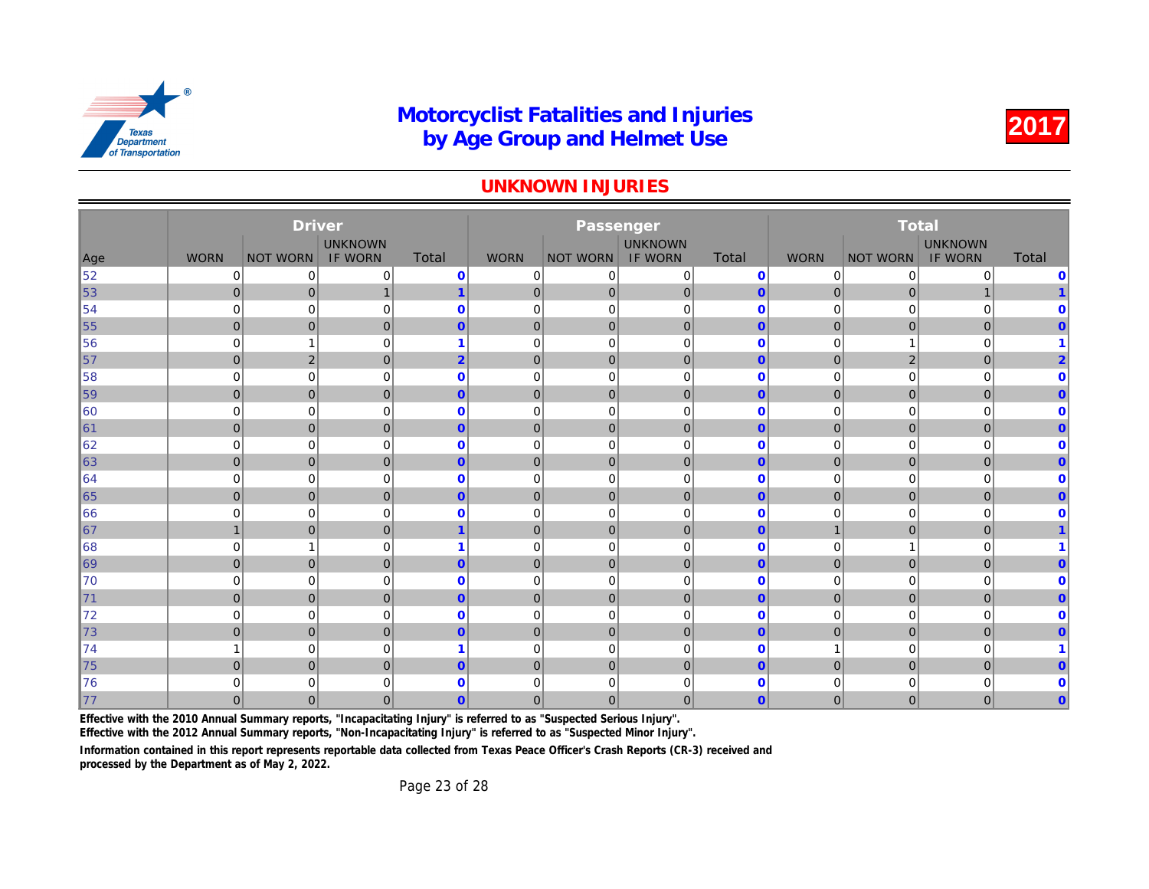#### UNKNOWN INJURIES

|                |              | <b>Driver</b>   |                |                |                | Passenger       |                |                |                |              |
|----------------|--------------|-----------------|----------------|----------------|----------------|-----------------|----------------|----------------|----------------|--------------|
|                |              |                 | <b>UNKNOWN</b> |                |                |                 | <b>UNKNOWN</b> |                |                |              |
| Age            | <b>WORN</b>  | <b>NOT WORN</b> | <b>IF WORN</b> | <b>Total</b>   | <b>WORN</b>    | <b>NOT WORN</b> | <b>IF WORN</b> | <b>Total</b>   | <b>WORN</b>    | <b>NOT W</b> |
| 52             | 0            | 0               | 0              | $\mathbf 0$    | $\mathbf 0$    | 0               | $\mathbf 0$    | $\mathbf 0$    | 0              |              |
| $\vert$ 53     | $\mathbf{0}$ | $\mathbf 0$     | $\mathbf{1}$   | $\mathbf{1}$   | $\mathbf 0$    | $\overline{0}$  | $\pmb{0}$      | $\mathbf{0}$   | $\mathbf 0$    |              |
| 54             | $\mathbf 0$  | $\mathbf 0$     | $\mathbf 0$    | $\bf{0}$       | 0              | $\mathbf 0$     | $\mathbf 0$    | $\mathbf 0$    | 0              |              |
| 55             | $\mathbf 0$  | $\mathbf 0$     | $\overline{0}$ | $\mathbf{0}$   | $\mathbf 0$    | $\mathbf{0}$    | $\mathbf 0$    | $\mathbf{0}$   | $\mathbf{0}$   |              |
| 56             | $\mathbf 0$  | $\mathbf{1}$    | 0              |                | 0              | $\mathbf 0$     | $\mathbf 0$    | $\mathbf 0$    | 0              |              |
| $\vert$ 57     | $\mathbf 0$  | $\overline{2}$  | $\overline{0}$ | $\overline{2}$ | $\mathbf 0$    | $\mathbf 0$     | $\mathbf 0$    | $\mathbf{0}$   | $\mathbf{0}$   |              |
| ∥58            | $\mathbf 0$  | $\mathbf 0$     | $\mathbf 0$    | $\mathbf 0$    | $\mathbf 0$    | $\mathbf 0$     | $\mathbf 0$    | $\mathbf{0}$   | 0              |              |
| $\vert$ 59     | $\mathbf{0}$ | $\mathbf 0$     | $\overline{0}$ | $\mathbf{0}$   | $\mathbf 0$    | $\mathbf{0}$    | $\mathbf 0$    | $\overline{0}$ | $\mathbf{0}$   |              |
| $\parallel$ 60 | $\mathbf 0$  | $\mathbf 0$     | $\mathbf 0$    | $\bf{0}$       | $\mathbf 0$    | $\mathbf 0$     | $\mathbf 0$    | $\mathbf 0$    | 0              |              |
| $\vert$ 61     | $\mathbf{0}$ | $\mathbf{0}$    | $\overline{0}$ | $\mathbf{0}$   | $\mathbf 0$    | $\pmb{0}$       | $\pmb{0}$      | $\mathbf{0}$   | $\mathbf 0$    |              |
| 62             | $\mathbf 0$  | $\mathbf 0$     | 0              | $\bf{0}$       | $\mathbf 0$    | $\mathbf 0$     | $\mathbf 0$    | $\mathbf{0}$   | 0              |              |
| $\vert$ 63     | $\mathbf{0}$ | $\mathbf 0$     | $\mathbf 0$    | $\mathbf{0}$   | $\mathbf 0$    | $\mathbf{0}$    | $\mathbf 0$    | $\mathbf{0}$   | $\mathbf 0$    |              |
| 64             | $\mathbf 0$  | $\mathbf 0$     | $\mathbf 0$    | $\bf{0}$       | $\mathbf 0$    | $\mathbf 0$     | $\mathbf 0$    | $\mathbf 0$    | 0              |              |
| 65             | $\mathbf 0$  | $\mathbf 0$     | $\mathbf{0}$   | $\mathbf{0}$   | $\mathbf 0$    | $\mathbf{0}$    | $\mathbf 0$    | $\mathbf{0}$   | $\overline{0}$ |              |
| 66             | $\mathbf 0$  | $\mathbf 0$     | $\mathbf 0$    | $\mathbf 0$    | $\mathbf 0$    | $\mathbf 0$     | $\mathbf 0$    | $\mathbf 0$    | 0              |              |
| $\vert$ 67     | $\mathbf{1}$ | $\overline{0}$  | $\mathbf{0}$   | $\mathbf{1}$   | $\overline{0}$ | $\mathbf{0}$    | $\mathbf{0}$   | $\mathbf{0}$   | $\mathbf{1}$   |              |
| $\ 68$         | $\mathbf 0$  | $\mathbf{1}$    | $\Omega$       |                | $\mathbf 0$    | $\mathbf 0$     | $\Omega$       | $\mathbf{0}$   | 0              |              |
| $\ 69\ $       | $\mathbf{0}$ | $\overline{0}$  | $\overline{0}$ | $\mathbf{0}$   | $\mathbf 0$    | $\mathbf 0$     | $\mathbf{0}$   | $\mathbf{0}$   | $\overline{0}$ |              |
| 170            | $\mathbf 0$  | $\mathbf 0$     | 0              | $\mathbf{0}$   | $\mathbf 0$    | $\mathbf 0$     | $\mathbf 0$    | $\mathbf{0}$   | 0              |              |
| $\vert$ 71     | $\mathbf{0}$ | $\overline{0}$  | $\overline{0}$ | $\mathbf{0}$   | $\mathbf 0$    | $\mathbf{0}$    | $\overline{0}$ | $\overline{0}$ | $\overline{0}$ |              |
| 72             | $\mathbf 0$  | $\mathbf 0$     | $\mathbf 0$    | $\mathbf 0$    | $\overline{0}$ | $\mathbf 0$     | $\mathbf 0$    | $\mathbf 0$    | 0              |              |
| 73             | $\mathbf{0}$ | $\mathbf 0$     | $\overline{0}$ | $\mathbf{0}$   | $\mathbf 0$    | $\mathbf{0}$    | $\mathbf 0$    | $\overline{0}$ | $\overline{0}$ |              |
| 74             |              | $\mathbf 0$     | $\mathbf 0$    |                | $\mathbf 0$    | $\mathbf 0$     | $\mathbf 0$    | $\mathbf{0}$   | 1              |              |
| $\vert$ 75     | $\mathbf{0}$ | $\mathbf 0$     | $\overline{0}$ | $\mathbf{0}$   | $\mathbf 0$    | $\mathbf{0}$    | $\mathbf 0$    | $\mathbf{0}$   | $\overline{0}$ |              |
| 76             | $\Omega$     | 0               | $\mathbf 0$    | $\mathbf 0$    | $\mathbf 0$    | 0               | $\mathbf 0$    | $\mathbf 0$    | $\Omega$       |              |
| $\vert$ 77     | $\mathbf{0}$ | $\mathbf{0}$    | $\overline{0}$ | $\overline{0}$ | $\mathbf 0$    | 0               | $\mathbf 0$    | $\overline{0}$ | $\overline{0}$ |              |

Effective with the 2010 Annual Summary reports, "Incapacitating Injury" is referred to as "Suspected Serious Injury".

Effective with the 2012 Annual Summary reports, "Non-Incapacitating Injury" is referred to as "Suspected Minor Injury".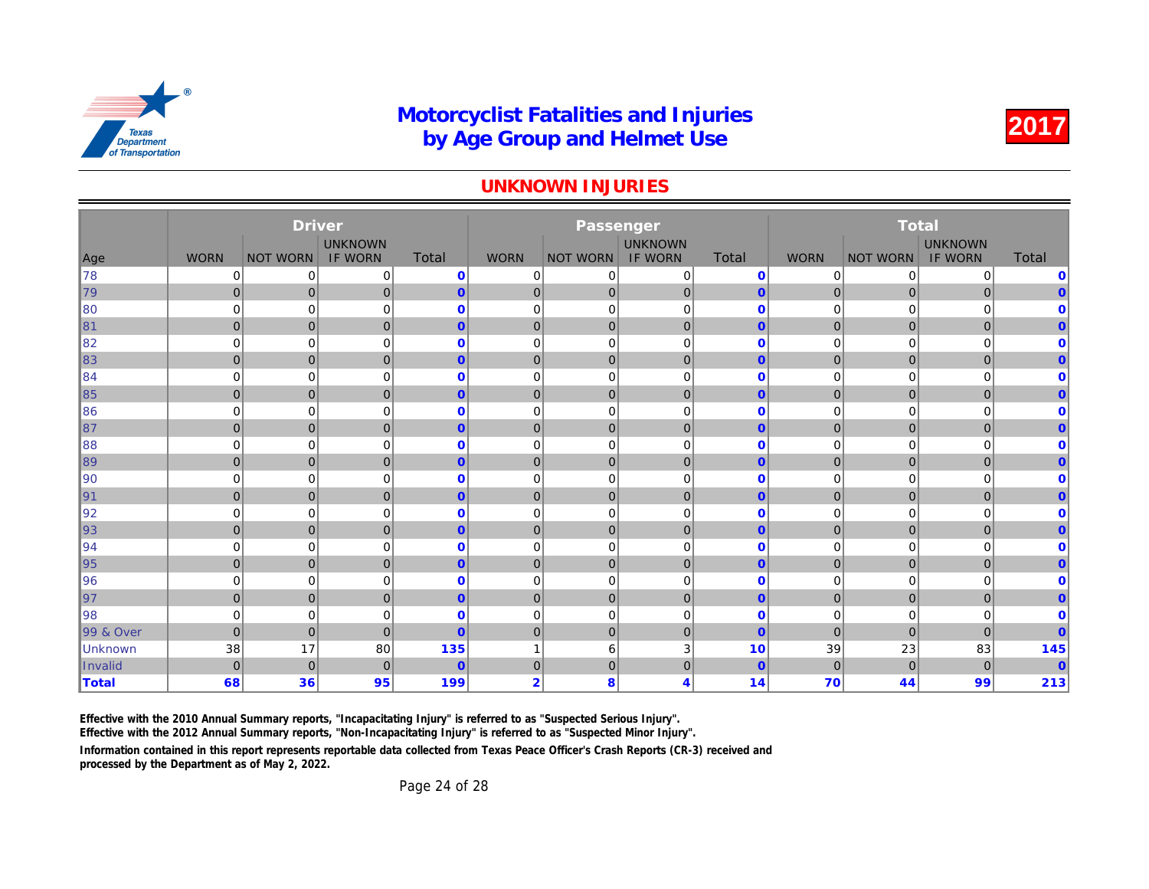#### UNKNOWN INJURIES

|                      |                | <b>Driver</b>   |                |                |                | Passenger       |                         |                |                |              |
|----------------------|----------------|-----------------|----------------|----------------|----------------|-----------------|-------------------------|----------------|----------------|--------------|
|                      |                |                 | <b>UNKNOWN</b> |                |                |                 | <b>UNKNOWN</b>          |                |                |              |
| Age                  | <b>WORN</b>    | <b>NOT WORN</b> | <b>IF WORN</b> | <b>Total</b>   | <b>WORN</b>    | <b>NOT WORN</b> | <b>IF WORN</b>          | Total          | <b>WORN</b>    | <b>NOT W</b> |
| ∥78                  | 0              | $\mathbf 0$     | 0              | $\mathbf 0$    | 0              | 0               | 0                       | $\mathbf{0}$   | 0              |              |
| 79                   | $\overline{0}$ | $\mathbf 0$     | 0              | $\overline{0}$ | $\mathbf{0}$   | $\overline{0}$  | $\mathbf 0$             | $\mathbf{0}$   | $\overline{0}$ |              |
| 80                   | $\mathbf 0$    | $\mathbf 0$     | 0              | $\mathbf{0}$   | 0              | 0               | $\mathbf 0$             | $\Omega$       | 0              |              |
| 81                   | $\overline{0}$ | $\mathbf 0$     | $\mathbf{0}$   | $\overline{0}$ | $\overline{0}$ | $\mathbf 0$     | $\mathbf 0$             | $\mathbf{0}$   | $\mathbf 0$    |              |
| 82                   | $\mathbf 0$    | $\mathbf 0$     | $\mathbf 0$    | $\mathbf{0}$   | 0              | $\mathbf 0$     | $\mathbf 0$             | $\mathbf 0$    | 0              |              |
| $\parallel$ 83       | $\overline{0}$ | $\mathbf 0$     | 0              | $\overline{0}$ | $\overline{0}$ | $\pmb{0}$       | $\mathbf 0$             | $\mathbf{0}$   | $\overline{0}$ |              |
| ∥84                  | $\mathbf 0$    | $\mathbf 0$     | 0              | $\mathbf{0}$   | 0              | $\mathbf 0$     | $\mathbf 0$             | $\mathbf 0$    | 0              |              |
| ∥85                  | $\overline{0}$ | $\mathbf 0$     | $\mathbf{0}$   | $\overline{0}$ | $\mathbf 0$    | $\overline{0}$  | $\mathbf 0$             | $\mathbf{0}$   | $\mathbf 0$    |              |
| 86                   | 0              | $\mathbf 0$     | 0              | $\mathbf 0$    | 0              | 0               | $\mathbf 0$             | $\mathbf 0$    | 0              |              |
| ∥87                  | $\overline{0}$ | $\mathbf 0$     | $\mathbf{0}$   | $\overline{0}$ | $\overline{0}$ | $\overline{0}$  | $\mathbf 0$             | $\mathbf{0}$   | $\mathbf 0$    |              |
| 88                   | 0              | $\mathbf 0$     | $\mathbf 0$    | $\mathbf 0$    | $\mathbf 0$    | $\mathbf 0$     | $\mathbf 0$             | $\mathbf 0$    | 0              |              |
| ∥89                  | $\overline{0}$ | $\mathbf{0}$    | $\mathbf{0}$   | $\overline{0}$ | $\overline{0}$ | $\overline{0}$  | $\mathbf{0}$            | $\mathbf{0}$   | $\overline{0}$ |              |
| $\parallel$ 90       | $\mathbf 0$    | $\mathbf 0$     | 0              | $\mathbf{0}$   | 0              | $\mathbf 0$     | $\mathbf 0$             | $\mathbf 0$    | 0              |              |
| $\vert$ 91           | $\overline{0}$ | $\mathbf 0$     | $\mathbf{0}$   | $\overline{0}$ | $\mathbf 0$    | $\overline{0}$  | $\mathbf 0$             | $\mathbf{0}$   | $\overline{0}$ |              |
| ∥92                  | 0              | $\mathbf 0$     | 0              | $\mathbf 0$    | 0              | $\mathbf 0$     | $\mathbf 0$             | $\mathbf 0$    | 0              |              |
| 93                   | $\overline{0}$ | $\mathbf 0$     | $\mathbf{0}$   | $\mathbf{0}$   | $\overline{0}$ | $\overline{0}$  | $\mathbf 0$             | $\mathbf{0}$   | $\mathbf 0$    |              |
| ∥94                  | $\mathbf 0$    | $\mathbf 0$     | 0              | $\mathbf 0$    | 0              | $\mathbf 0$     | $\mathbf 0$             | $\bf{0}$       | 0              |              |
| ∥95                  | $\overline{0}$ | $\mathbf 0$     | 0              | $\overline{0}$ | $\overline{0}$ | $\overline{0}$  | $\mathbf 0$             | $\mathbf{0}$   | $\overline{0}$ |              |
| ∥96                  | $\mathbf 0$    | $\mathbf 0$     | 0              | $\mathbf 0$    | 0              | $\mathbf 0$     | $\mathbf 0$             | $\mathbf 0$    | 0              |              |
| ∥97                  | $\overline{0}$ | $\mathbf 0$     | 0              | $\overline{0}$ | $\mathbf 0$    | $\overline{0}$  | $\mathbf 0$             | $\overline{0}$ | $\mathbf 0$    |              |
| ∥98                  | 0              | $\mathbf 0$     | 0              | $\mathbf 0$    | 0              | $\mathbf 0$     | $\mathbf 0$             | $\mathbf 0$    | 0              |              |
| <b>99 &amp; Over</b> | $\mathbf 0$    | $\mathbf 0$     | $\mathbf{0}$   | $\overline{0}$ | $\mathbf{0}$   | $\overline{0}$  | $\mathbf 0$             | $\mathbf{0}$   | $\mathbf{0}$   |              |
| Unknown              | 38             | 17              | 80             | 135            | -1             | 6               | 3                       | 10             | 39             |              |
| Invalid              | $\mathbf{0}$   | $\mathbf{0}$    | $\overline{0}$ | $\mathbf{0}$   | $\mathbf{0}$   | $\overline{0}$  | $\mathbf 0$             | $\overline{0}$ | $\mathbf{0}$   |              |
| ∥Total               | 68             | 36              | 95             | 199            | $\overline{2}$ | 8               | $\overline{\mathbf{4}}$ | 14             | 70             |              |

Effective with the 2010 Annual Summary reports, "Incapacitating Injury" is referred to as "Suspected Serious Injury".

Effective with the 2012 Annual Summary reports, "Non-Incapacitating Injury" is referred to as "Suspected Minor Injury".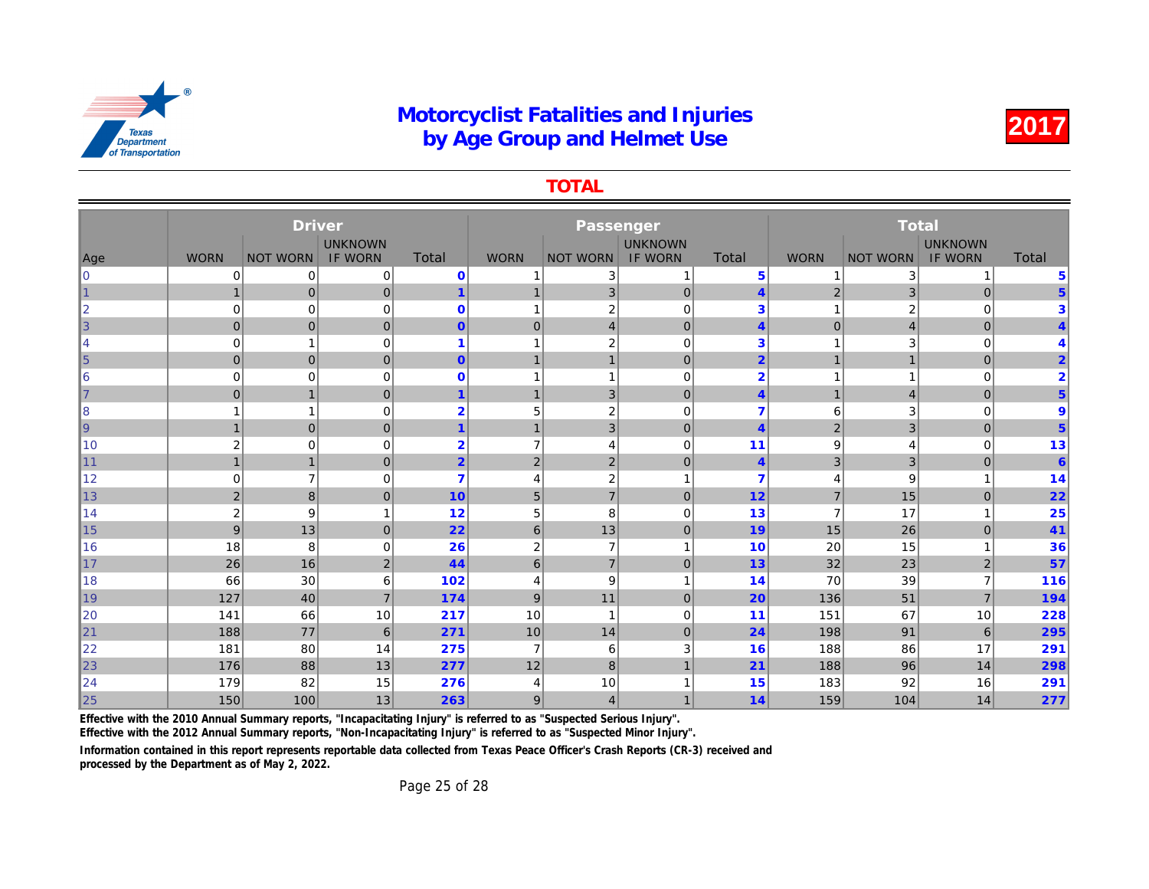TOTAL

|                 |                | <b>Driver</b>   |                |                |                 |                           |                |                        |                |              |
|-----------------|----------------|-----------------|----------------|----------------|-----------------|---------------------------|----------------|------------------------|----------------|--------------|
|                 |                |                 | <b>UNKNOWN</b> |                |                 |                           | <b>UNKNOWN</b> |                        |                |              |
| Age             | <b>WORN</b>    | <b>NOT WORN</b> | <b>IF WORN</b> | Total          | <b>WORN</b>     | <b>NOT WORN</b>           | <b>IF WORN</b> | Total                  | <b>WORN</b>    | <b>NOT W</b> |
| $\overline{0}$  | $\Omega$       | 0               | 0              | $\mathbf 0$    |                 | 3                         | 1              | 5                      | 1              |              |
| $\overline{1}$  |                | $\pmb{0}$       | $\mathbf{0}$   | 1              | $\overline{1}$  | $\ensuremath{\mathsf{3}}$ | $\pmb{0}$      | $\boldsymbol{\Lambda}$ | $\overline{2}$ |              |
| $\overline{2}$  | $\Omega$       | $\mathbf 0$     | 0              | $\mathbf 0$    |                 | $\overline{2}$            | $\mathbf 0$    | 3                      | 1              |              |
| 3               | $\mathbf{0}$   | $\mathbf 0$     | $\mathbf{0}$   | $\overline{0}$ | $\mathbf 0$     | $\overline{4}$            | $\overline{0}$ | $\overline{4}$         | $\overline{0}$ |              |
| 4               | $\Omega$       | 1               | 0              |                |                 | $\overline{2}$            | $\mathbf 0$    | 3                      | 1              |              |
| $\vert 5 \vert$ | $\mathbf{0}$   | $\mathbf 0$     | $\mathbf{0}$   | $\overline{0}$ | $\mathbf{1}$    |                           | $\overline{0}$ | $\overline{2}$         | $\mathbf{1}$   |              |
| 6               | $\Omega$       | $\mathbf 0$     | $\mathbf 0$    | $\mathbf{0}$   | $\overline{1}$  |                           | $\mathbf 0$    | $\overline{2}$         | 1              |              |
| 17              | $\mathbf{0}$   | $\overline{1}$  | $\mathbf{0}$   | 1              | $\overline{1}$  | 3                         | $\mathbf 0$    | $\overline{4}$         | $\mathbf{1}$   |              |
| 8               |                | 1               | 0              | $\overline{2}$ | 5               | $\overline{2}$            | $\mathbf 0$    | 7                      | 6              |              |
| 9               |                | $\mathbf 0$     | $\mathbf{0}$   | 1              | $\overline{1}$  | 3                         | $\pmb{0}$      | $\overline{4}$         | $\overline{2}$ |              |
| 10              | $\overline{2}$ | 0               | $\mathbf 0$    | $\overline{2}$ | $\overline{7}$  | $\overline{4}$            | $\mathbf 0$    | 11                     | 9              |              |
| 11              | $\mathbf{1}$   | $\overline{1}$  | $\mathbf 0$    | $\overline{2}$ | $\overline{2}$  | $\overline{2}$            | $\mathbf 0$    | $\overline{4}$         | 3              |              |
| 12              | $\mathbf 0$    | $\overline{7}$  | 0              | $\overline{7}$ | $\overline{4}$  | $\boldsymbol{2}$          | $\mathbf{1}$   | 7                      | 4              |              |
| 13              | $\overline{2}$ | $\bf8$          | $\mathbf{0}$   | 10             | $\overline{5}$  | $\overline{7}$            | $\pmb{0}$      | 12                     | $\overline{7}$ |              |
| 14              | $\overline{2}$ | 9               | 1              | 12             | 5               | 8                         | $\mathbf 0$    | 13                     | $\overline{7}$ |              |
| 15              | 9              | 13              | $\mathbf{0}$   | 22             | 6               | 13                        | $\mathbf{0}$   | 19                     | 15             |              |
| 16              | 18             | 8               | 0              | 26             | $\overline{2}$  | $\overline{7}$            | $\mathbf{1}$   | 10                     | 20             |              |
| 17              | 26             | 16              | 2 <sup>1</sup> | 44             | $6\phantom{1}6$ | $\overline{7}$            | $\mathbf{0}$   | 13                     | 32             |              |
| 18              | 66             | 30              | 6              | 102            | 4               | 9                         | $\mathbf{1}$   | 14                     | 70             |              |
| 19              | 127            | 40              | $\overline{7}$ | 174            | 9               | 11                        | $\mathbf{0}$   | 20                     | 136            |              |
| 20              | 141            | 66              | 10             | 217            | 10              | 1                         | $\mathbf 0$    | 11                     | 151            |              |
| 21              | 188            | 77              | 6              | 271            | 10              | 14                        | $\mathbf{0}$   | 24                     | 198            |              |
| 22              | 181            | 80              | 14             | 275            | $\overline{7}$  | 6                         | 3              | 16                     | 188            |              |
| 23              | 176            | 88              | 13             | 277            | 12              | 8                         | $\mathbf{1}$   | 21                     | 188            |              |
| 24              | 179            | 82              | 15             | 276            | 4               | 10                        |                | 15                     | 183            |              |
| 25              | 150            | 100             | 13             | 263            | 9               | $\overline{4}$            | $\mathbf{1}$   | 14                     | 159            |              |

Effective with the 2010 Annual Summary reports, "Incapacitating Injury" is referred to as "Suspected Serious Injury".

Effective with the 2012 Annual Summary reports, "Non-Incapacitating Injury" is referred to as "Suspected Minor Injury".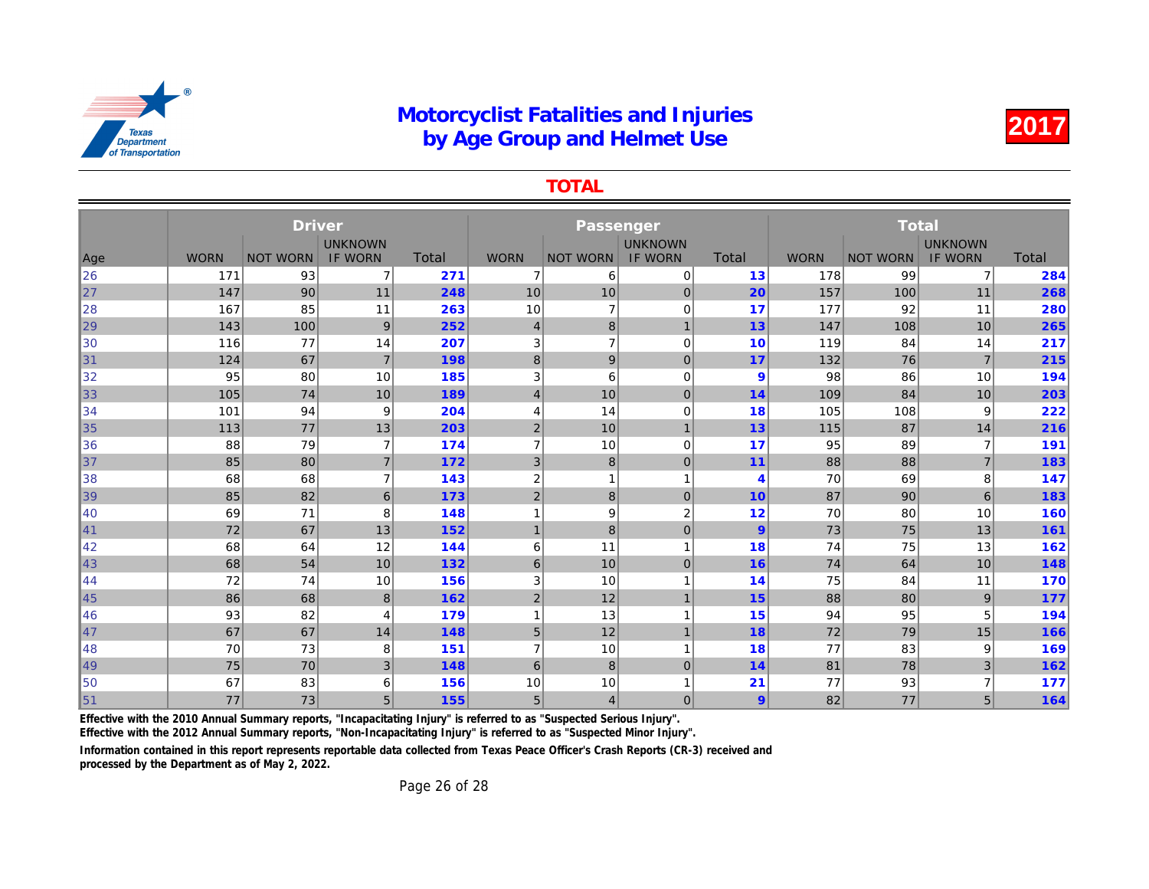TOTAL

|     |             | <b>Driver</b>   |                |              |                |                 |                |                |             |              |
|-----|-------------|-----------------|----------------|--------------|----------------|-----------------|----------------|----------------|-------------|--------------|
|     |             |                 | <b>UNKNOWN</b> |              |                |                 | <b>UNKNOWN</b> |                |             |              |
| Age | <b>WORN</b> | <b>NOT WORN</b> | <b>IF WORN</b> | <b>Total</b> | <b>WORN</b>    | <b>NOT WORN</b> | <b>IF WORN</b> | Total          | <b>WORN</b> | <b>NOT W</b> |
| 26  | 171         | 93              | $\overline{7}$ | 271          | 7              | 6               | 0              | 13             | 178         |              |
| 27  | 147         | 90              | 11             | 248          | 10             | 10              | $\mathbf 0$    | 20             | 157         |              |
| 28  | 167         | 85              | 11             | 263          | 10             | $\overline{7}$  | $\mathbf 0$    | 17             | 177         |              |
| 29  | 143         | 100             | 9              | 252          | $\overline{4}$ | 8               | $\mathbf{1}$   | 13             | 147         |              |
| 30  | 116         | 77              | 14             | 207          | 3              | $\overline{7}$  | 0              | 10             | 119         |              |
| 31  | 124         | 67              | $\overline{7}$ | 198          | 8              | 9               | $\mathbf 0$    | 17             | 132         |              |
| 32  | 95          | 80              | 10             | 185          | 3              | 6               | 0              | 9              | 98          |              |
| 33  | 105         | 74              | 10             | 189          | $\overline{4}$ | 10              | $\mathbf 0$    | 14             | 109         |              |
| 34  | 101         | 94              | 9              | 204          | 4              | 14              | $\mathbf 0$    | 18             | 105         |              |
| 35  | 113         | 77              | 13             | 203          | $\overline{2}$ | 10              | $\mathbf{1}$   | 13             | 115         |              |
| 36  | 88          | 79              | $\overline{7}$ | 174          | $\overline{7}$ | 10              | $\mathbf 0$    | 17             | 95          |              |
| 37  | 85          | 80              | $\overline{7}$ | 172          | 3              | 8               | $\mathbf 0$    | 11             | 88          |              |
| 38  | 68          | 68              | 7              | 143          | $\overline{2}$ | $\mathbf{1}$    | $\overline{1}$ | $\overline{4}$ | 70          |              |
| 39  | 85          | 82              | 6              | 173          | $\overline{2}$ | 8               | $\mathbf 0$    | 10             | 87          |              |
| 40  | 69          | 71              | 8              | 148          | 1              | 9               | $\overline{2}$ | 12             | 70          |              |
| 41  | 72          | 67              | 13             | 152          | $\overline{1}$ | $\bf 8$         | $\mathbf 0$    | 9              | 73          |              |
| 42  | 68          | 64              | 12             | 144          | 6              | 11              | 1              | 18             | 74          |              |
| 43  | 68          | 54              | 10             | 132          | 6              | 10              | $\mathbf 0$    | 16             | 74          |              |
| 44  | 72          | 74              | 10             | 156          | 3              | 10              | 1              | 14             | 75          |              |
| 45  | 86          | 68              | 8              | 162          | $2 \nvert$     | 12              | $\mathbf{1}$   | 15             | 88          |              |
| 46  | 93          | 82              | 4              | 179          | 1              | 13              | $\overline{ }$ | 15             | 94          |              |
| 47  | 67          | 67              | 14             | 148          | 5              | 12              | $\mathbf{1}$   | 18             | 72          |              |
| 48  | 70          | 73              | 8              | 151          | 7              | 10              | 1              | 18             | 77          |              |
| 49  | 75          | 70              | 3              | 148          | $6\phantom{1}$ | 8               | $\overline{0}$ | 14             | 81          |              |
| 50  | 67          | 83              | 6              | 156          | 10             | 10              | 1              | 21             | 77          |              |
| 51  | 77          | 73              | 5              | 155          | 5              | $\overline{4}$  | $\overline{0}$ | 9              | 82          |              |

Effective with the 2010 Annual Summary reports, "Incapacitating Injury" is referred to as "Suspected Serious Injury".

Effective with the 2012 Annual Summary reports, "Non-Incapacitating Injury" is referred to as "Suspected Minor Injury".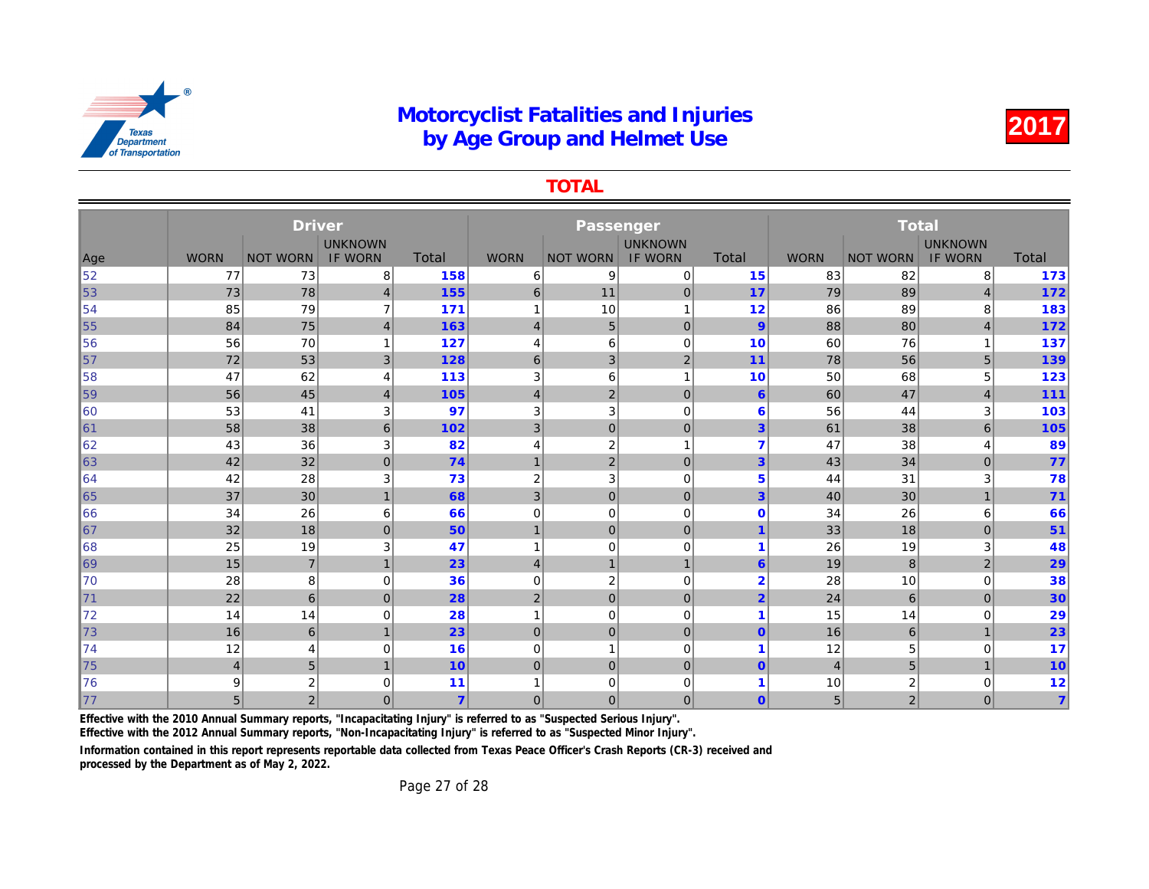TOTAL

|     |                | <b>Driver</b>   |                                  |                |                         |                  |                                  |                |                |              |
|-----|----------------|-----------------|----------------------------------|----------------|-------------------------|------------------|----------------------------------|----------------|----------------|--------------|
| Age | <b>WORN</b>    | <b>NOT WORN</b> | <b>UNKNOWN</b><br><b>IF WORN</b> | Total          | <b>WORN</b>             | <b>NOT WORN</b>  | <b>UNKNOWN</b><br><b>IF WORN</b> | Total          | <b>WORN</b>    | <b>NOT W</b> |
| 52  | 77             | 73              | 8                                | 158            | 6                       | 9                | $\mathbf 0$                      | 15             | 83             |              |
| 53  | 73             | 78              | $\overline{4}$                   | 155            | 6                       | 11               | $\mathbf 0$                      | 17             | 79             |              |
| 54  | 85             | 79              | 7                                | 171            |                         | 10               | $\mathbf{1}$                     | 12             | 86             |              |
| 55  | 84             | 75              | $\overline{4}$                   | 163            | $\overline{4}$          | 5                | $\mathbf 0$                      | 9              | 88             |              |
| 56  | 56             | 70              | 1                                | 127            | $\overline{4}$          | 6                | $\mathbf 0$                      | 10             | 60             |              |
| 57  | 72             | 53              | 3                                | 128            | 6                       | 3                | $\overline{2}$                   | 11             | 78             |              |
| 58  | 47             | 62              | 4                                | 113            | 3                       | 6                | $\mathbf{1}$                     | 10             | 50             |              |
| 59  | 56             | 45              | $\overline{4}$                   | 105            | $\overline{4}$          | $\overline{2}$   | $\overline{0}$                   | 6              | 60             |              |
| 60  | 53             | 41              | 3                                | 97             | 3                       | 3                | $\mathbf 0$                      | 6              | 56             |              |
| 61  | 58             | 38              | 6                                | 102            | $\mathbf{3}$            | $\mathbf 0$      | $\mathbf 0$                      | 3              | 61             |              |
| 62  | 43             | 36              | 3                                | 82             | 4                       | $\boldsymbol{2}$ | $\mathbf{1}$                     | $\overline{7}$ | 47             |              |
| 63  | 42             | 32              | $\overline{0}$                   | 74             | $\overline{1}$          | $\overline{2}$   | $\mathbf 0$                      | $\overline{3}$ | 43             |              |
| 64  | 42             | 28              | 3                                | 73             | $\overline{c}$          | 3                | $\mathbf 0$                      | 5              | 44             |              |
| 65  | 37             | 30              | $\overline{1}$                   | 68             | 3                       | $\mathbf{0}$     | $\mathbf{0}$                     | 3              | 40             |              |
| 66  | 34             | 26              | 6                                | 66             | $\mathbf 0$             | $\mathbf 0$      | $\mathbf 0$                      | $\mathbf 0$    | 34             |              |
| 67  | 32             | 18              | $\mathbf{0}$                     | 50             | $\mathbf{1}$            | $\mathbf{0}$     | $\mathbf{0}$                     | $\overline{1}$ | 33             |              |
| 68  | 25             | 19              | 3                                | 47             | $\overline{\mathbf{1}}$ | $\mathbf 0$      | $\mathbf 0$                      | 1              | 26             |              |
| 69  | 15             | $\overline{7}$  | $\mathbf{1}$                     | 23             | $\overline{4}$          | $\mathbf{1}$     | $\mathbf{1}$                     | 6              | 19             |              |
| 70  | 28             | 8               | 0                                | 36             | $\mathbf 0$             | $\overline{2}$   | $\Omega$                         | $\overline{2}$ | 28             |              |
| 71  | 22             | 6               | $\mathbf{0}$                     | 28             | $\overline{2}$          | $\mathbf{0}$     | $\mathbf 0$                      | $\overline{2}$ | 24             |              |
| 72  | 14             | 14              | 0                                | 28             | $\mathbf{1}$            | $\mathbf 0$      | $\Omega$                         | 1              | 15             |              |
| 73  | 16             | $6\phantom{1}$  | $\overline{1}$                   | 23             | $\mathbf 0$             | $\mathbf{0}$     | $\overline{0}$                   | $\mathbf{0}$   | 16             |              |
| 74  | 12             | 4               | 0                                | 16             | $\mathbf 0$             |                  | $\mathbf 0$                      | 1              | 12             |              |
| 75  | $\overline{4}$ | 5               | $\overline{1}$                   | 10             | $\overline{0}$          | $\overline{0}$   | $\mathbf{0}$                     | $\overline{0}$ | $\overline{4}$ |              |
| 76  | 9              | $\overline{c}$  | 0                                | 11             |                         | 0                | $\mathbf 0$                      |                | 10             |              |
| 177 | 5              | $\overline{2}$  | $\Omega$                         | $\overline{7}$ | $\mathbf 0$             | $\mathbf{0}$     | $\mathbf{0}$                     | $\overline{0}$ | 5              |              |

Effective with the 2010 Annual Summary reports, "Incapacitating Injury" is referred to as "Suspected Serious Injury".

Effective with the 2012 Annual Summary reports, "Non-Incapacitating Injury" is referred to as "Suspected Minor Injury".